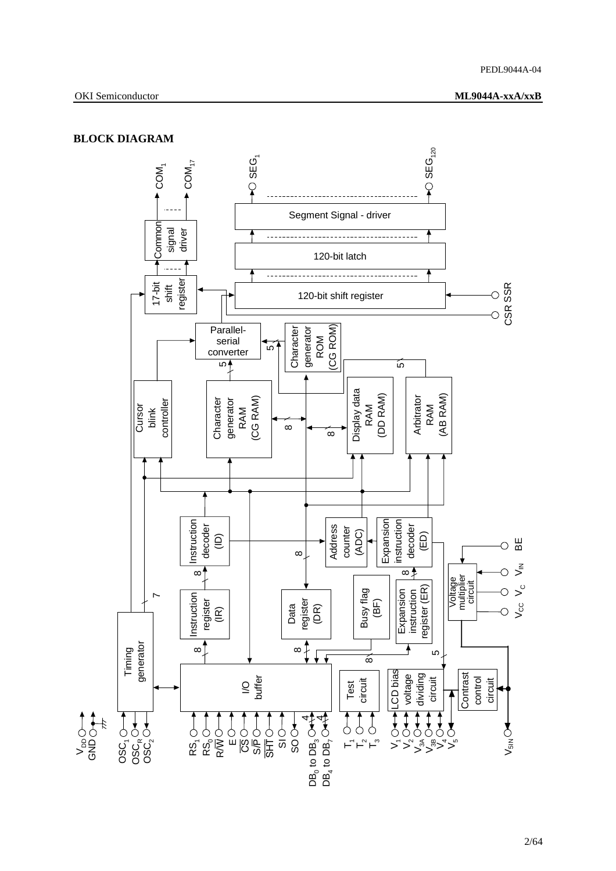## **BLOCK DIAGRAM**

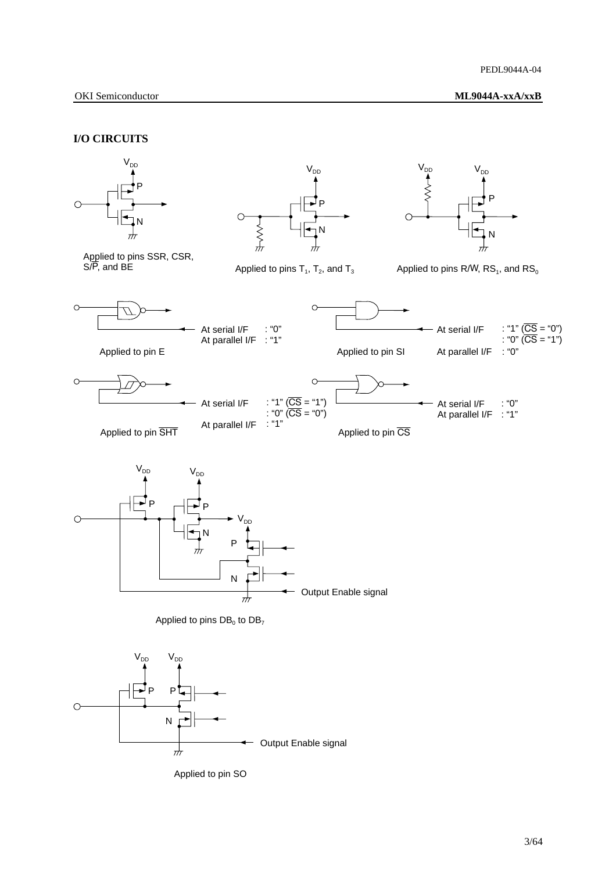### **I/O CIRCUITS**





Applied to pin SO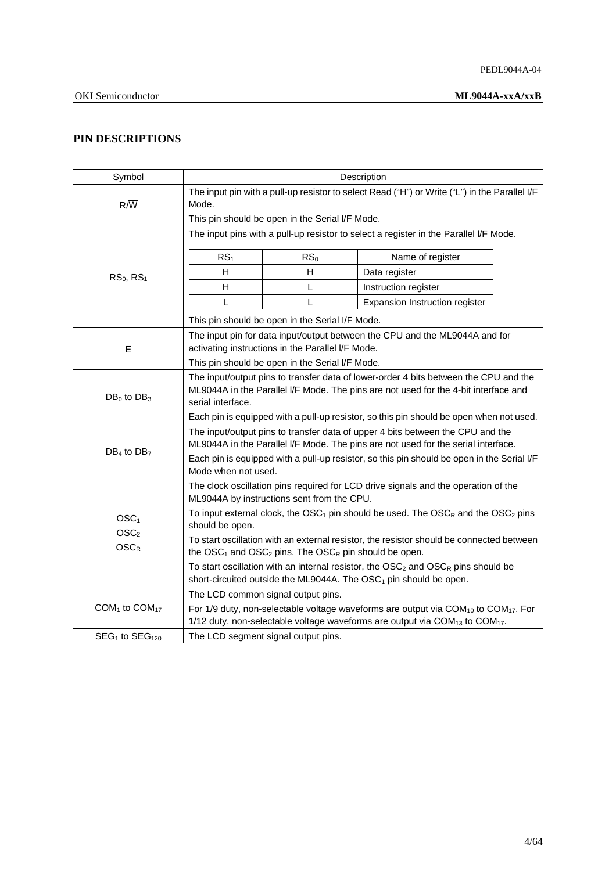## **PIN DESCRIPTIONS**

| Symbol                                |                                                                                                                                                                                                  |                                                   | Description                                                                                                                                                                                                       |  |  |  |  |
|---------------------------------------|--------------------------------------------------------------------------------------------------------------------------------------------------------------------------------------------------|---------------------------------------------------|-------------------------------------------------------------------------------------------------------------------------------------------------------------------------------------------------------------------|--|--|--|--|
| $R/\overline{W}$                      | The input pin with a pull-up resistor to select Read ("H") or Write ("L") in the Parallel I/F<br>Mode.                                                                                           |                                                   |                                                                                                                                                                                                                   |  |  |  |  |
|                                       |                                                                                                                                                                                                  | This pin should be open in the Serial I/F Mode.   |                                                                                                                                                                                                                   |  |  |  |  |
|                                       | The input pins with a pull-up resistor to select a register in the Parallel I/F Mode.                                                                                                            |                                                   |                                                                                                                                                                                                                   |  |  |  |  |
|                                       | RS <sub>1</sub>                                                                                                                                                                                  | RS <sub>0</sub>                                   | Name of register                                                                                                                                                                                                  |  |  |  |  |
| $RS0$ , $RS1$                         | H                                                                                                                                                                                                | $\mathsf{H}$                                      | Data register                                                                                                                                                                                                     |  |  |  |  |
|                                       | H                                                                                                                                                                                                | L                                                 | Instruction register                                                                                                                                                                                              |  |  |  |  |
|                                       | L                                                                                                                                                                                                | L                                                 | Expansion Instruction register                                                                                                                                                                                    |  |  |  |  |
|                                       |                                                                                                                                                                                                  | This pin should be open in the Serial I/F Mode.   |                                                                                                                                                                                                                   |  |  |  |  |
| E                                     |                                                                                                                                                                                                  | activating instructions in the Parallel I/F Mode. | The input pin for data input/output between the CPU and the ML9044A and for                                                                                                                                       |  |  |  |  |
|                                       | This pin should be open in the Serial I/F Mode.                                                                                                                                                  |                                                   |                                                                                                                                                                                                                   |  |  |  |  |
| $DB_0$ to $DB_3$                      | The input/output pins to transfer data of lower-order 4 bits between the CPU and the<br>ML9044A in the Parallel I/F Mode. The pins are not used for the 4-bit interface and<br>serial interface. |                                                   |                                                                                                                                                                                                                   |  |  |  |  |
|                                       | Each pin is equipped with a pull-up resistor, so this pin should be open when not used.                                                                                                          |                                                   |                                                                                                                                                                                                                   |  |  |  |  |
|                                       | The input/output pins to transfer data of upper 4 bits between the CPU and the<br>ML9044A in the Parallel I/F Mode. The pins are not used for the serial interface.                              |                                                   |                                                                                                                                                                                                                   |  |  |  |  |
| $DB_4$ to $DB_7$                      | Each pin is equipped with a pull-up resistor, so this pin should be open in the Serial I/F<br>Mode when not used.                                                                                |                                                   |                                                                                                                                                                                                                   |  |  |  |  |
|                                       |                                                                                                                                                                                                  | ML9044A by instructions sent from the CPU.        | The clock oscillation pins required for LCD drive signals and the operation of the                                                                                                                                |  |  |  |  |
| OSC <sub>1</sub>                      | To input external clock, the $\text{OSC}_1$ pin should be used. The $\text{OSC}_R$ and the $\text{OSC}_2$ pins<br>should be open.                                                                |                                                   |                                                                                                                                                                                                                   |  |  |  |  |
| $\text{OSC}_2$<br><b>OSCR</b>         | To start oscillation with an external resistor, the resistor should be connected between<br>the $\text{OSC}_1$ and $\text{OSC}_2$ pins. The $\text{OSC}_R$ pin should be open.                   |                                                   |                                                                                                                                                                                                                   |  |  |  |  |
|                                       | To start oscillation with an internal resistor, the $\rm{OSC}_2$ and $\rm{OSC}_R$ pins should be<br>short-circuited outside the ML9044A. The OSC <sub>1</sub> pin should be open.                |                                                   |                                                                                                                                                                                                                   |  |  |  |  |
|                                       |                                                                                                                                                                                                  | The LCD common signal output pins.                |                                                                                                                                                                                                                   |  |  |  |  |
| COM <sub>1</sub> to COM <sub>17</sub> |                                                                                                                                                                                                  |                                                   | For 1/9 duty, non-selectable voltage waveforms are output via COM <sub>10</sub> to COM <sub>17</sub> . For<br>1/12 duty, non-selectable voltage waveforms are output via COM <sub>13</sub> to COM <sub>17</sub> . |  |  |  |  |
| $SEG1$ to $SEG120$                    | The LCD segment signal output pins.                                                                                                                                                              |                                                   |                                                                                                                                                                                                                   |  |  |  |  |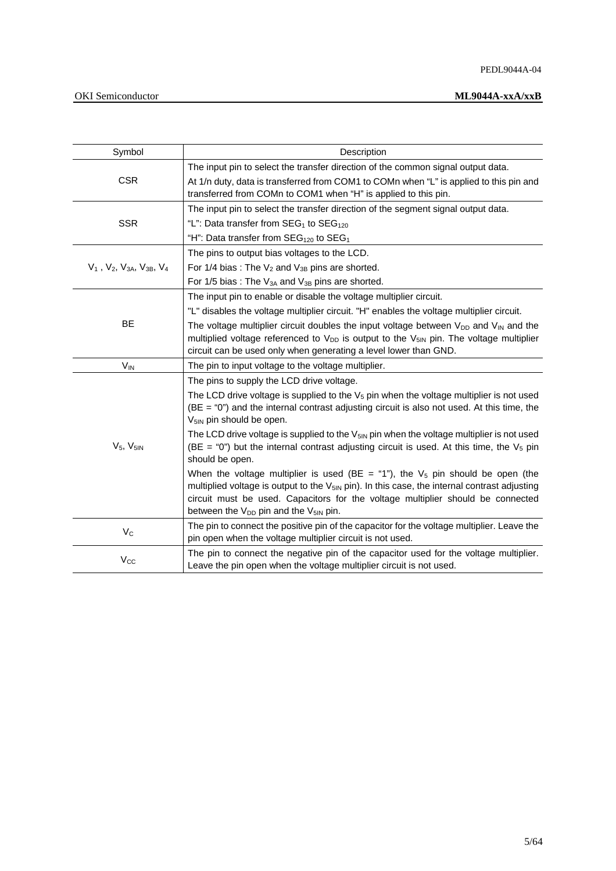| Symbol                                      | Description                                                                                                                                                                                                                                                                                                                                                                                                                                                                                                                                                                                                                                                                                                                                                                                                                               |
|---------------------------------------------|-------------------------------------------------------------------------------------------------------------------------------------------------------------------------------------------------------------------------------------------------------------------------------------------------------------------------------------------------------------------------------------------------------------------------------------------------------------------------------------------------------------------------------------------------------------------------------------------------------------------------------------------------------------------------------------------------------------------------------------------------------------------------------------------------------------------------------------------|
| <b>CSR</b>                                  | The input pin to select the transfer direction of the common signal output data.<br>At 1/n duty, data is transferred from COM1 to COMn when "L" is applied to this pin and<br>transferred from COMn to COM1 when "H" is applied to this pin.                                                                                                                                                                                                                                                                                                                                                                                                                                                                                                                                                                                              |
| <b>SSR</b>                                  | The input pin to select the transfer direction of the segment signal output data.<br>"L": Data transfer from $SEG_1$ to $SEG_{120}$<br>"H": Data transfer from $SEG_{120}$ to $SEG_1$                                                                                                                                                                                                                                                                                                                                                                                                                                                                                                                                                                                                                                                     |
| $V_1$ , $V_2$ , $V_{3A}$ , $V_{3B}$ , $V_4$ | The pins to output bias voltages to the LCD.<br>For 1/4 bias: The $V_2$ and $V_{3B}$ pins are shorted.<br>For 1/5 bias: The $V_{3A}$ and $V_{3B}$ pins are shorted.                                                                                                                                                                                                                                                                                                                                                                                                                                                                                                                                                                                                                                                                       |
| BE                                          | The input pin to enable or disable the voltage multiplier circuit.<br>"L" disables the voltage multiplier circuit. "H" enables the voltage multiplier circuit.<br>The voltage multiplier circuit doubles the input voltage between $V_{DD}$ and $V_{IN}$ and the<br>multiplied voltage referenced to V <sub>DD</sub> is output to the V <sub>5IN</sub> pin. The voltage multiplier<br>circuit can be used only when generating a level lower than GND.                                                                                                                                                                                                                                                                                                                                                                                    |
| $V_{IN}$                                    | The pin to input voltage to the voltage multiplier.                                                                                                                                                                                                                                                                                                                                                                                                                                                                                                                                                                                                                                                                                                                                                                                       |
| $V5$ , $V5IN$                               | The pins to supply the LCD drive voltage.<br>The LCD drive voltage is supplied to the $V5$ pin when the voltage multiplier is not used<br>$(BE = "0")$ and the internal contrast adjusting circuit is also not used. At this time, the<br>V <sub>5IN</sub> pin should be open.<br>The LCD drive voltage is supplied to the $V_{5iN}$ pin when the voltage multiplier is not used<br>(BE = "0") but the internal contrast adjusting circuit is used. At this time, the $V_5$ pin<br>should be open.<br>When the voltage multiplier is used (BE = "1"), the $V_5$ pin should be open (the<br>multiplied voltage is output to the V <sub>5IN</sub> pin). In this case, the internal contrast adjusting<br>circuit must be used. Capacitors for the voltage multiplier should be connected<br>between the $V_{DD}$ pin and the $V_{5IN}$ pin. |
| $V_C$                                       | The pin to connect the positive pin of the capacitor for the voltage multiplier. Leave the<br>pin open when the voltage multiplier circuit is not used.                                                                                                                                                                                                                                                                                                                                                                                                                                                                                                                                                                                                                                                                                   |
| $V_{\rm CC}$                                | The pin to connect the negative pin of the capacitor used for the voltage multiplier.<br>Leave the pin open when the voltage multiplier circuit is not used.                                                                                                                                                                                                                                                                                                                                                                                                                                                                                                                                                                                                                                                                              |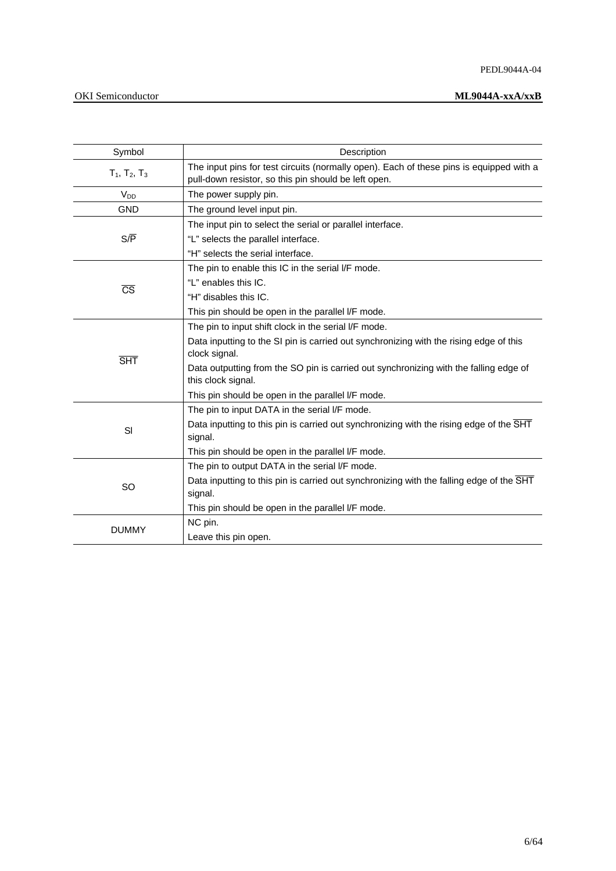### PEDL9044A-04

## OKI Semiconductor **ML9044A-xxA/xxB**

| Symbol                 | Description                                                                                                                                     |
|------------------------|-------------------------------------------------------------------------------------------------------------------------------------------------|
| $T_1$ , $T_2$ , $T_3$  | The input pins for test circuits (normally open). Each of these pins is equipped with a<br>pull-down resistor, so this pin should be left open. |
| V <sub>DD</sub>        | The power supply pin.                                                                                                                           |
| <b>GND</b>             | The ground level input pin.                                                                                                                     |
|                        | The input pin to select the serial or parallel interface.                                                                                       |
| $S/\overline{P}$       | "L" selects the parallel interface.                                                                                                             |
|                        | "H" selects the serial interface.                                                                                                               |
|                        | The pin to enable this IC in the serial I/F mode.                                                                                               |
| $\overline{\text{CS}}$ | "L" enables this IC.                                                                                                                            |
|                        | "H" disables this IC.                                                                                                                           |
|                        | This pin should be open in the parallel I/F mode.                                                                                               |
|                        | The pin to input shift clock in the serial I/F mode.                                                                                            |
| <b>SHT</b>             | Data inputting to the SI pin is carried out synchronizing with the rising edge of this<br>clock signal.                                         |
|                        | Data outputting from the SO pin is carried out synchronizing with the falling edge of<br>this clock signal.                                     |
|                        | This pin should be open in the parallel I/F mode.                                                                                               |
|                        | The pin to input DATA in the serial I/F mode.                                                                                                   |
| SI                     | Data inputting to this pin is carried out synchronizing with the rising edge of the SHT<br>signal.                                              |
|                        | This pin should be open in the parallel I/F mode.                                                                                               |
|                        | The pin to output DATA in the serial I/F mode.                                                                                                  |
| SO                     | Data inputting to this pin is carried out synchronizing with the falling edge of the SHT<br>signal.                                             |
|                        | This pin should be open in the parallel I/F mode.                                                                                               |
|                        | NC pin.                                                                                                                                         |
| <b>DUMMY</b>           | Leave this pin open.                                                                                                                            |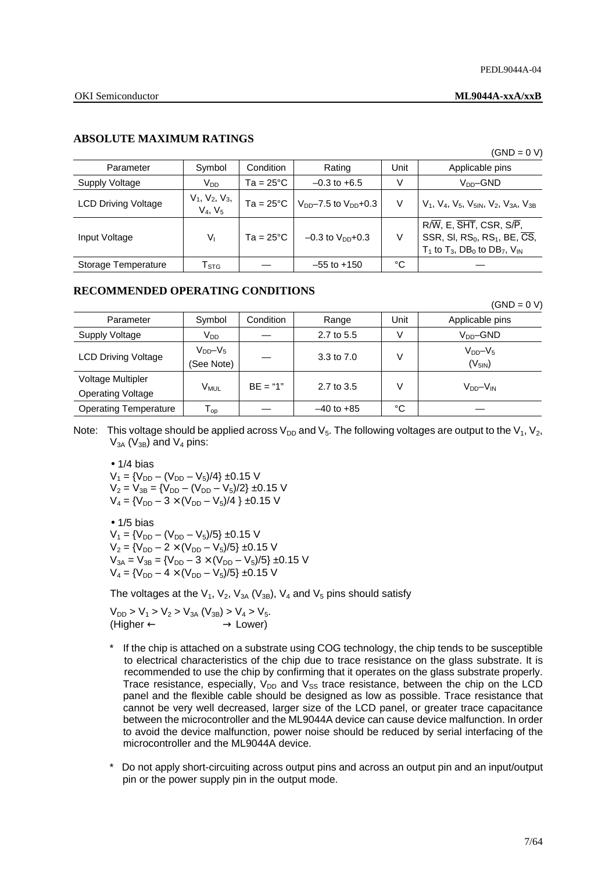## **ABSOLUTE MAXIMUM RATINGS**

|                            |                                |                    |                                |      | (GND = 0 V)                                                                                                                                                                     |
|----------------------------|--------------------------------|--------------------|--------------------------------|------|---------------------------------------------------------------------------------------------------------------------------------------------------------------------------------|
| Parameter                  | Symbol                         | Condition          | Rating                         | Unit | Applicable pins                                                                                                                                                                 |
| Supply Voltage             | V <sub>DD</sub>                | $Ta = 25^{\circ}C$ | $-0.3$ to $+6.5$               | V    | V <sub>DD</sub> –GND                                                                                                                                                            |
| <b>LCD Driving Voltage</b> | $V_1, V_2, V_3,$<br>$V_4, V_5$ | $Ta = 25^{\circ}C$ | $V_{DD}$ –7.5 to $V_{DD}$ +0.3 | V    | $V_1$ , $V_4$ , $V_5$ , $V_{51N}$ , $V_2$ , $V_{3A}$ , $V_{3B}$                                                                                                                 |
| Input Voltage              | $V_{1}$                        | $Ta = 25^{\circ}C$ | $-0.3$ to $V_{DD}$ +0.3        | V    | $R/\overline{W}$ , E, $\overline{SHT}$ , CSR, S/P,<br>SSR, SI, $RS_0$ , $RS_1$ , BE, $\overline{CS}$ ,<br>$T_1$ to $T_3$ , DB <sub>0</sub> to DB <sub>7</sub> , $V_{\text{IN}}$ |
| Storage Temperature        | $\mathsf{T}_{\texttt{STG}}$    |                    | $-55$ to $+150$                | °C   |                                                                                                                                                                                 |

## **RECOMMENDED OPERATING CONDITIONS**

| GND. | $\overline{\phantom{0}}$ |  |
|------|--------------------------|--|
|      |                          |  |

| Parameter                                            | Symbol                      | Condition  | Range          | Unit | Applicable pins            |
|------------------------------------------------------|-----------------------------|------------|----------------|------|----------------------------|
| Supply Voltage                                       | V <sub>DD</sub>             |            | 2.7 to 5.5     | V    | $VDD$ -GND                 |
| <b>LCD Driving Voltage</b>                           | $V_{DD}-V_5$<br>(See Note)  |            | 3.3 to 7.0     | V    | $V_{DD}-V_5$<br>$(V_{5N})$ |
| <b>Voltage Multipler</b><br><b>Operating Voltage</b> | V <sub>MUL</sub>            | $BF = "1"$ | 2.7 to 3.5     | V    | $V_{DD} - V_{IN}$          |
| <b>Operating Temperature</b>                         | ${\mathsf T}_{\mathsf{op}}$ |            | $-40$ to $+85$ | °C   |                            |

Note: This voltage should be applied across  $V_{DD}$  and  $V_5$ . The following voltages are output to the  $V_1$ ,  $V_2$ ,  $V_{3A}$  ( $V_{3B}$ ) and  $V_4$  pins:

 $\bullet$  1/4 bias  $V_1 = \{V_{DD} - (V_{DD} - V_5)/4\} \pm 0.15$  V  $V_2 = V_{3B} = \{V_{DD} - (V_{DD} - V_5)/2\} \pm 0.15$  V  $V_4 = {V_{DD} - 3 \times (V_{DD} - V_5)/4}$  ±0.15 V

 $\bullet$  1/5 bias  $V_1 = \{V_{DD} - (V_{DD} - V_5)/5\} \pm 0.15$  V  $V_2 = \{V_{DD} - 2 \times (V_{DD} - V_5)/5\} \pm 0.15$  V  $V_{3A} = V_{3B} = \{V_{DD} - 3 \times (V_{DD} - V_5)/5\} \pm 0.15$  V  $V_4 = \{V_{DD} - 4 \times (V_{DD} - V_5)/5\} \pm 0.15$  V

The voltages at the  $V_1$ ,  $V_2$ ,  $V_{3A}$  ( $V_{3B}$ ),  $V_4$  and  $V_5$  pins should satisfy

 $V_{DD}$  >  $V_1$  >  $V_2$  >  $V_{3A}$  ( $V_{3B}$ ) >  $V_4$  >  $V_5$ .  $(Higher \leftarrow \rightarrow Lower)$ 

- If the chip is attached on a substrate using COG technology, the chip tends to be susceptible to electrical characteristics of the chip due to trace resistance on the glass substrate. It is recommended to use the chip by confirming that it operates on the glass substrate properly. Trace resistance, especially,  $V_{DD}$  and  $V_{SS}$  trace resistance, between the chip on the LCD panel and the flexible cable should be designed as low as possible. Trace resistance that cannot be very well decreased, larger size of the LCD panel, or greater trace capacitance between the microcontroller and the ML9044A device can cause device malfunction. In order to avoid the device malfunction, power noise should be reduced by serial interfacing of the microcontroller and the ML9044A device.
- Do not apply short-circuiting across output pins and across an output pin and an input/output pin or the power supply pin in the output mode.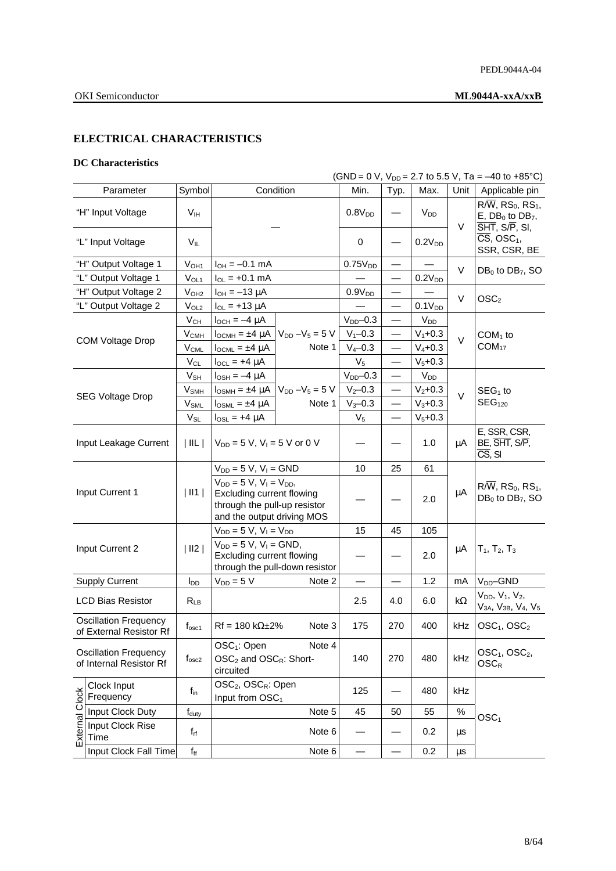## **ELECTRICAL CHARACTERISTICS**

## **DC Characteristics**

|                | (GND = 0 V, $V_{DD}$ = 2.7 to 5.5 V, Ta = -40 to +85°C) |                        |                                                                           |                                                                                                                              |                     |                          |                    |            |                                                                                                                       |  |
|----------------|---------------------------------------------------------|------------------------|---------------------------------------------------------------------------|------------------------------------------------------------------------------------------------------------------------------|---------------------|--------------------------|--------------------|------------|-----------------------------------------------------------------------------------------------------------------------|--|
|                | Parameter                                               | Symbol                 |                                                                           | Condition                                                                                                                    | Min.                | Typ.                     | Max.               | Unit       | Applicable pin                                                                                                        |  |
|                | "H" Input Voltage                                       | V <sub>IH</sub>        |                                                                           |                                                                                                                              |                     |                          | $V_{DD}$           | V          | $R/\overline{W}$ , RS <sub>0</sub> , RS <sub>1</sub> ,<br>$E$ , DB <sub>0</sub> to DB <sub>7</sub> ,<br>SHT, S/P, SI, |  |
|                | "L" Input Voltage                                       | V <sub>IL</sub>        |                                                                           |                                                                                                                              | 0                   |                          | 0.2V <sub>DD</sub> |            | $\overline{\text{CS}}$ , OSC <sub>1</sub> ,<br>SSR, CSR, BE                                                           |  |
|                | "H" Output Voltage 1                                    | V <sub>OH1</sub>       | $I_{OH} = -0.1$ mA                                                        |                                                                                                                              | 0.75V <sub>DD</sub> |                          |                    | V          | $DB_0$ to $DB_7$ , SO                                                                                                 |  |
|                | "L" Output Voltage 1                                    | $V_{OL1}$              | $I_{OL}$ = +0.1 mA                                                        |                                                                                                                              |                     | $\overline{\phantom{0}}$ | 0.2V <sub>DD</sub> |            |                                                                                                                       |  |
|                | "H" Output Voltage 2                                    | V <sub>OH2</sub>       | $I_{OH} = -13 \mu A$                                                      |                                                                                                                              | 0.9V <sub>DD</sub>  |                          |                    | V          | OSC <sub>2</sub>                                                                                                      |  |
|                | "L" Output Voltage 2                                    | V <sub>OL2</sub>       | $I_{OL}$ = +13 $\mu$ A                                                    |                                                                                                                              |                     | $\overline{\phantom{0}}$ | 0.1V <sub>DD</sub> |            |                                                                                                                       |  |
|                |                                                         | $V_{CH}$               | $I_{OCH} = -4 \mu A$                                                      |                                                                                                                              | $V_{DD}$ -0.3       |                          | $V_{DD}$           |            |                                                                                                                       |  |
|                |                                                         | $V_{\text{CMH}}$       | $I_{OCMH} = \pm 4 \mu A$                                                  | $V_{DD} - V_5 = 5 V$                                                                                                         | $V_1 - 0.3$         |                          | $V_1 + 0.3$        | $\vee$     | $COM1$ to                                                                                                             |  |
|                | <b>COM Voltage Drop</b>                                 | $V_{CML}$              | $I_{OCML} = \pm 4 \mu A$                                                  | Note 1                                                                                                                       | $V_4 - 0.3$         |                          | $V_4 + 0.3$        |            | COM <sub>17</sub>                                                                                                     |  |
|                |                                                         | $V_{CL}$               | $I_{\text{OCL}} = +4 \mu A$                                               |                                                                                                                              | $V_5$               |                          | $V_5 + 0.3$        |            |                                                                                                                       |  |
|                |                                                         | $V_{\mathsf{SH}}$      | $I_{\text{OSH}} = -4 \mu A$                                               |                                                                                                                              | $V_{DD}$ -0.3       | $\overline{\phantom{0}}$ | $V_{DD}$           |            |                                                                                                                       |  |
|                |                                                         | $V_{SMH}$              | $I_{\text{OSMH}} = \pm 4 \mu A$                                           | $V_{DD} - V_5 = 5 V$                                                                                                         | $V_2 - 0.3$         | $\overline{\phantom{0}}$ | $V_2 + 0.3$        | $\vee$     | $SEG1$ to                                                                                                             |  |
|                | <b>SEG Voltage Drop</b>                                 | $V_{\text{SML}}$       | $I_{\text{OSML}} = \pm 4 \mu A$                                           | Note 1                                                                                                                       | $V_3 - 0.3$         |                          | $V_3 + 0.3$        |            | SEG <sub>120</sub>                                                                                                    |  |
|                |                                                         | $V_{SL}$               | $I_{OSL}$ = +4 $\mu$ A                                                    |                                                                                                                              | $V_5$               |                          | $V_5 + 0.3$        |            |                                                                                                                       |  |
|                | Input Leakage Current                                   | $ $ $  L $             |                                                                           | $V_{DD} = 5 V$ , $V_1 = 5 V$ or 0 V                                                                                          |                     |                          | 1.0                | μA         | E, SSR, CSR,<br>BE, SHT, S/P,<br>$\overline{\text{CS}}$ , SI                                                          |  |
|                |                                                         |                        | $V_{DD} = 5 V, V_1 = GND$                                                 |                                                                                                                              | 10                  | 25                       | 61                 |            |                                                                                                                       |  |
|                | Input Current 1                                         | $\vert$ II1 $\vert$    |                                                                           | $V_{DD} = 5 V$ , $V_1 = V_{DD}$ ,<br>Excluding current flowing<br>through the pull-up resistor<br>and the output driving MOS |                     |                          | 2.0                | μA         | $R/\overline{W}$ , RS <sub>0</sub> , RS <sub>1</sub> ,<br>$DB_0$ to $DB_7$ , SO                                       |  |
|                |                                                         |                        | $V_{DD} = 5 V, V_1 = V_{DD}$                                              |                                                                                                                              | 15                  | 45                       | 105                |            |                                                                                                                       |  |
|                | Input Current 2                                         | $ $ II2 $ $            | $V_{DD} = 5 V$ , $V_1 = GND$ ,<br>Excluding current flowing               | through the pull-down resistor                                                                                               |                     |                          | 2.0                | μA         | $T_1, T_2, T_3$                                                                                                       |  |
|                | <b>Supply Current</b>                                   | <b>I</b> <sub>DD</sub> | $V_{DD} = 5 V$                                                            | Note 2                                                                                                                       |                     |                          | 1.2                | mA         | V <sub>DD</sub> -GND                                                                                                  |  |
|                | <b>LCD Bias Resistor</b>                                | $R_{LB}$               |                                                                           |                                                                                                                              | 2.5                 | 4.0                      | 6.0                | k $\Omega$ | $V_{DD}$ , $V_1$ , $V_2$ ,<br>$V_{3A}$ , $V_{3B}$ , $V_4$ , $V_5$                                                     |  |
|                | <b>Oscillation Frequency</b><br>of External Resistor Rf | t <sub>osc1</sub>      | $Rf = 180 k\Omega \pm 2\%$                                                | Note 3                                                                                                                       | 175                 | 270                      | 400                |            | kHz   OSC <sub>1</sub> , OSC <sub>2</sub>                                                                             |  |
|                | <b>Oscillation Frequency</b><br>of Internal Resistor Rf | f <sub>osc2</sub>      | OSC <sub>1</sub> : Open<br>circuited                                      | Note 4<br>$OSC2$ and $OSCR$ : Short-                                                                                         |                     | 270                      | 480                | kHz        | OSC <sub>1</sub> , OSC <sub>2</sub> ,<br>$OSC_R$                                                                      |  |
|                | Clock Input<br>Frequency                                | $f_{in}$               | OSC <sub>2</sub> , OSC <sub>R</sub> : Open<br>Input from OSC <sub>1</sub> |                                                                                                                              | 125                 |                          | 480                | kHz        |                                                                                                                       |  |
|                | Input Clock Duty                                        | $f_{\text{duty}}$      |                                                                           | Note 5                                                                                                                       | 45                  | 50                       | 55                 | $\%$       | OSC <sub>1</sub>                                                                                                      |  |
| External Clock | Input Clock Rise<br>Time                                | $f_{rf}$               |                                                                           | Note 6                                                                                                                       |                     |                          | 0.2                | μs         |                                                                                                                       |  |
|                | Input Clock Fall Time                                   | $f_{ff}$               |                                                                           | Note 6                                                                                                                       |                     |                          | 0.2                | μs         |                                                                                                                       |  |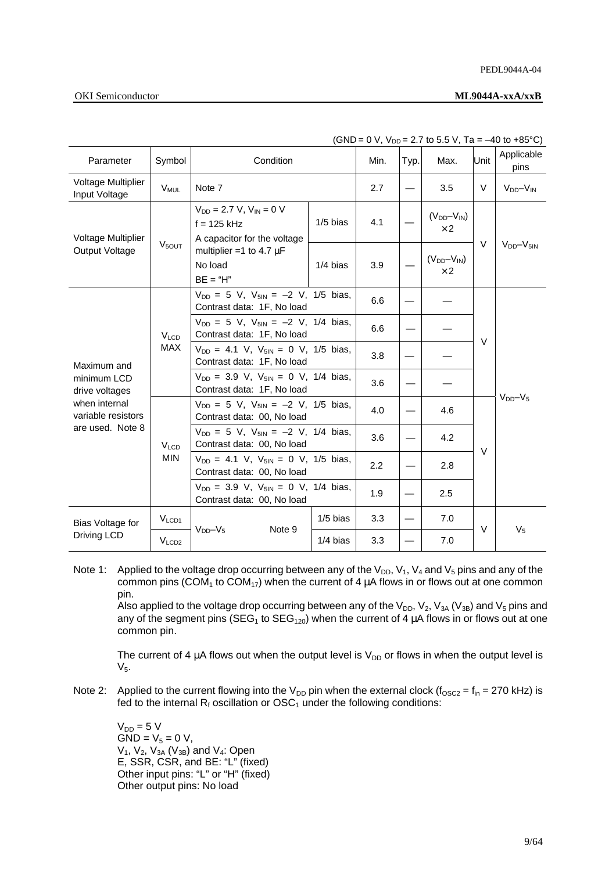## **OKI** Semiconductor

| Parameter                                                                                               | Symbol                               | Condition                                                                      | Min.       | Typ. | Max. | Unit                            | Applicable<br>pins |                 |
|---------------------------------------------------------------------------------------------------------|--------------------------------------|--------------------------------------------------------------------------------|------------|------|------|---------------------------------|--------------------|-----------------|
| Voltage Multiplier<br>Input Voltage                                                                     | <b>V<sub>MUL</sub></b>               | Note 7                                                                         |            | 2.7  |      | 3.5                             | V                  | $V_{DD}-V_{IN}$ |
| <b>Voltage Multiplier</b>                                                                               |                                      | $V_{DD} = 2.7 V, V_{IN} = 0 V$<br>$f = 125$ kHz<br>A capacitor for the voltage | $1/5$ bias | 4.1  |      | $(V_{DD}-V_{IN})$<br>$\times 2$ |                    |                 |
| <b>Output Voltage</b>                                                                                   | V <sub>5OUT</sub>                    | multiplier =1 to 4.7 $\mu$ F<br>No load<br>$BE = "H"$                          | $1/4$ bias | 3.9  |      | $(V_{DD}-V_{IN})$<br>$\times 2$ | $\vee$             | $VDD-V5IN$      |
|                                                                                                         |                                      | $V_{DD} = 5$ V, $V_{5IN} = -2$ V, 1/5 bias,<br>Contrast data: 1F, No load      |            | 6.6  |      |                                 |                    |                 |
| Maximum and<br>minimum LCD<br>drive voltages<br>when internal<br>variable resistors<br>are used. Note 8 | <b>V<sub>LCD</sub></b><br><b>MAX</b> | $V_{DD} = 5$ V, $V_{5IN} = -2$ V, 1/4 bias,<br>Contrast data: 1F, No load      |            | 6.6  |      |                                 | V                  | $V_{DD}-V_5$    |
|                                                                                                         |                                      | $V_{DD} = 4.1$ V, $V_{5IN} = 0$ V, 1/5 bias,<br>Contrast data: 1F, No load     |            | 3.8  |      |                                 |                    |                 |
|                                                                                                         |                                      | $V_{DD} = 3.9$ V, $V_{5IN} = 0$ V, 1/4 bias,<br>Contrast data: 1F, No load     |            | 3.6  |      |                                 |                    |                 |
|                                                                                                         |                                      | $V_{DD} = 5$ V, $V_{5IN} = -2$ V, 1/5 bias,<br>Contrast data: 00, No load      |            | 4.0  |      | 4.6                             |                    |                 |
|                                                                                                         | $V_{LCD}$<br><b>MIN</b>              | $V_{DD} = 5$ V, $V_{5IN} = -2$ V, 1/4 bias,<br>Contrast data: 00, No load      |            | 3.6  |      | 4.2                             | $\vee$             |                 |
|                                                                                                         |                                      | $V_{DD} = 4.1$ V, $V_{5IN} = 0$ V, 1/5 bias,<br>Contrast data: 00, No load     |            | 2.2  |      | 2.8                             |                    |                 |
|                                                                                                         |                                      | $V_{DD} = 3.9$ V, $V_{5IN} = 0$ V, 1/4 bias,<br>Contrast data: 00, No load     |            | 1.9  |      | 2.5                             |                    |                 |
| Bias Voltage for                                                                                        | V <sub>LCD1</sub>                    |                                                                                | $1/5$ bias | 3.3  |      | 7.0                             |                    |                 |
| Driving LCD                                                                                             | V <sub>LCD2</sub>                    | $V_{DD}-V_5$<br>Note 9                                                         | $1/4$ bias | 3.3  |      | 7.0                             | V                  | $V_5$           |

 $(SND = 0 V, V_{DD} = 2.7 \text{ to } 5.5 V, Ta = -40 \text{ to } +85^{\circ}C)$ 

Note 1: Applied to the voltage drop occurring between any of the  $V_{DD}$ ,  $V_1$ ,  $V_4$  and  $V_5$  pins and any of the common pins (COM<sub>1</sub> to COM<sub>17</sub>) when the current of 4  $\mu$ A flows in or flows out at one common pin.

Also applied to the voltage drop occurring between any of the  $V_{DD}$ ,  $V_2$ ,  $V_{3A}$  ( $V_{3B}$ ) and  $V_5$  pins and any of the segment pins (SEG<sub>1</sub> to SEG<sub>120</sub>) when the current of 4  $\mu$ A flows in or flows out at one common pin.

The current of 4  $\mu$ A flows out when the output level is  $V_{DD}$  or flows in when the output level is  $V_5$ .

Note 2: Applied to the current flowing into the V<sub>DD</sub> pin when the external clock ( $f_{\text{OSC2}} = f_{\text{in}} = 270$  kHz) is fed to the internal  $R_f$  oscillation or  $OSC_1$  under the following conditions:

 $V_{DD} = 5 V$  $GND = V_5 = 0 V,$  $V_1$ ,  $V_2$ ,  $V_{3A}$  ( $V_{3B}$ ) and  $V_4$ : Open E, SSR, CSR, and BE: "L" (fixed) Other input pins: "L" or "H" (fixed) Other output pins: No load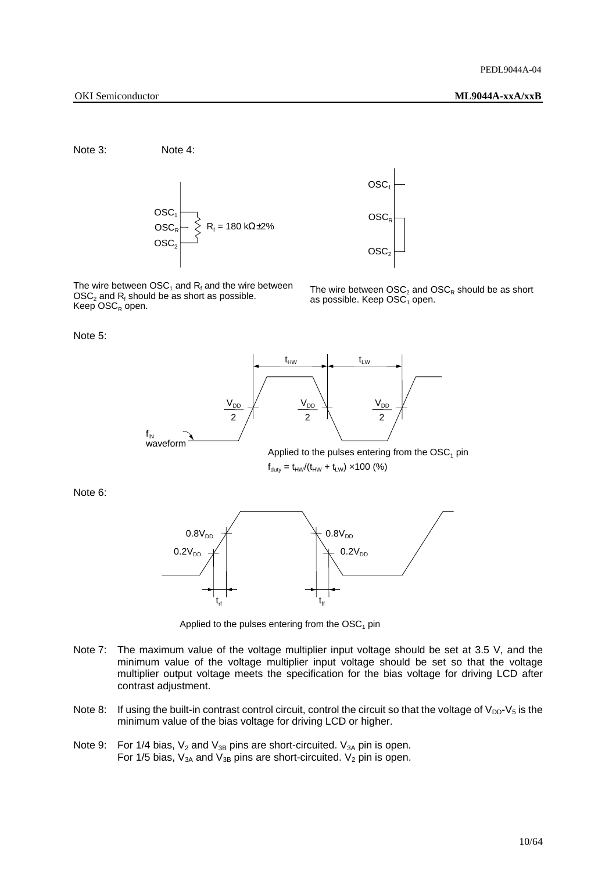Note 3: Note 4:



The wire between  $\mathsf{OSC}_1$  and  $\mathsf{R}_{\mathsf{f}}$  and the wire between  $\mathsf{OSC}_2$  and  $\mathsf{R}_{\mathsf{f}}$  should be as short as possible. Keep  $\mathrm{OSC}_{R}$  open.



The wire between  $\text{OSC}_2$  and  $\text{OSC}_R$  should be as short as possible. Keep  $\overline{\mathrm{OSC}}_1$  open.

Note 5:



Applied to the pulses entering from the  $OSC<sub>1</sub>$  pin  $f_{\text{duty}} = t_{HW}/(t_{HW} + t_{LW}) \times 100$  (%)

Note 6:



Applied to the pulses entering from the  $OSC<sub>1</sub>$  pin

- Note 7: The maximum value of the voltage multiplier input voltage should be set at 3.5 V, and the minimum value of the voltage multiplier input voltage should be set so that the voltage multiplier output voltage meets the specification for the bias voltage for driving LCD after contrast adjustment.
- Note 8: If using the built-in contrast control circuit, control the circuit so that the voltage of  $V_{DD}$ - $V_5$  is the minimum value of the bias voltage for driving LCD or higher.
- Note 9: For 1/4 bias,  $V_2$  and  $V_{3B}$  pins are short-circuited.  $V_{3A}$  pin is open. For 1/5 bias,  $V_{3A}$  and  $V_{3B}$  pins are short-circuited.  $V_2$  pin is open.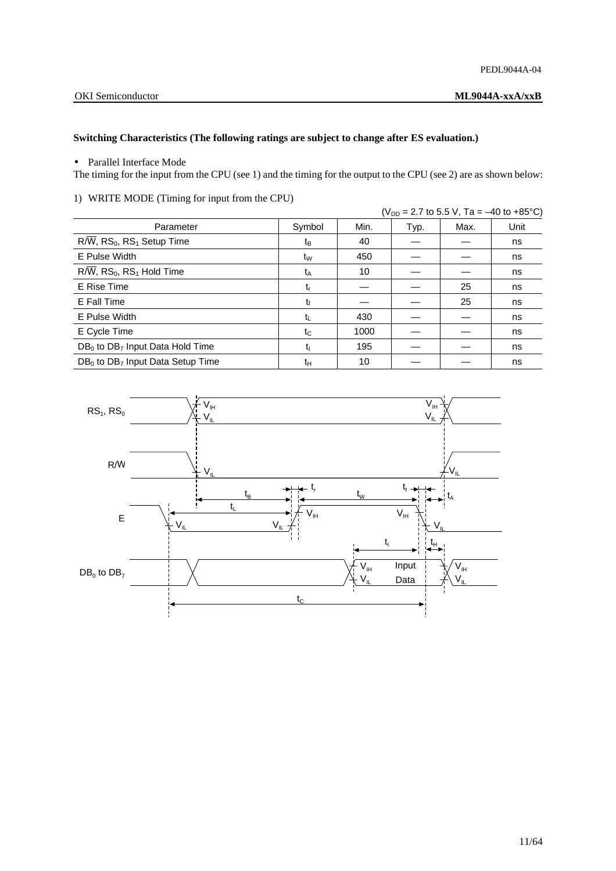## **Switching Characteristics (The following ratings are subject to change after ES evaluation.)**

• Parallel Interface Mode

The timing for the input from the CPU (see 1) and the timing for the output to the CPU (see 2) are as shown below:

|                                                                 |                |      | ( $V_{DD}$ = 2.7 to 5.5 V, Ta = -40 to +85°C) |      |      |  |
|-----------------------------------------------------------------|----------------|------|-----------------------------------------------|------|------|--|
| Parameter                                                       | Symbol         | Min. | Typ.                                          | Max. | Unit |  |
| $R/\overline{W}$ , RS <sub>0</sub> , RS <sub>1</sub> Setup Time | tв             | 40   |                                               |      | ns   |  |
| E Pulse Width                                                   | t <sub>w</sub> | 450  |                                               |      | ns   |  |
| $R/\overline{W}$ , RS <sub>0</sub> , RS <sub>1</sub> Hold Time  | t <sub>A</sub> | 10   |                                               |      | ns   |  |
| E Rise Time                                                     | $t_{r}$        |      |                                               | 25   | ns   |  |
| E Fall Time                                                     | tŕ             |      |                                               | 25   | ns   |  |
| E Pulse Width                                                   | tı.            | 430  |                                               |      | ns   |  |
| E Cycle Time                                                    | tc             | 1000 |                                               |      | ns   |  |
| $DB_0$ to $DB_7$ Input Data Hold Time                           | t۱             | 195  |                                               |      | ns   |  |
| $DB0$ to DB <sub>7</sub> Input Data Setup Time                  | tн             | 10   |                                               |      | ns   |  |

1) WRITE MODE (Timing for input from the CPU)

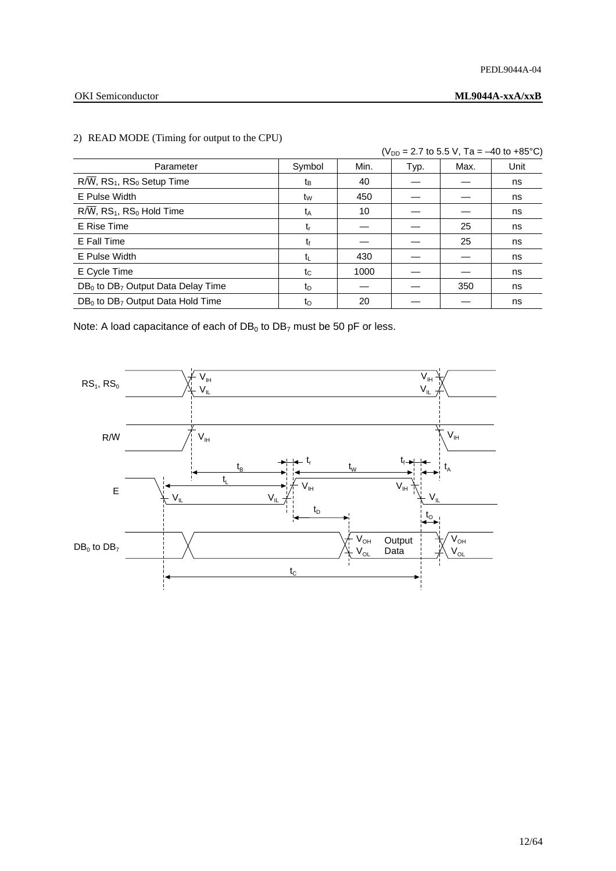### PEDL9044A-04

### OKI Semiconductor **ML9044A-xxA/xxB**

## $(V_{DD} = 2.7$  to 5.5 V, Ta = -40 to +85°C) Parameter | Symbol | Min. | Typ. | Max. | Unit R/W, RS1, RS0 Setup Time tB 40 — — ns E Pulse Width tW 450 — — ns R/W, RS<sub>1</sub>, RS<sub>0</sub> Hold Time tas the task that the task that the task the task the task that the task the task the task the task the task the task the task the task the task the task the task the task the task the task the E Rise Time tr — — 25 ns E Fall Time  $t_f$   $t_f$   $25$  ns E Pulse Width tL 430 — — ns E Cycle Time  $t_{\text{c}}$  |  $t_{\text{c}}$  | 1000 |  $-$  |  $-$  | ns  $DB_0$  to  $DB_7$  Output Data Delay Time  $t_D$   $t_D$   $-$  350  $\vert$  ns DB0 to DB7 Output Data Hold Time tO 20 — — ns

### 2) READ MODE (Timing for output to the CPU)

Note: A load capacitance of each of  $DB_0$  to  $DB_7$  must be 50 pF or less.

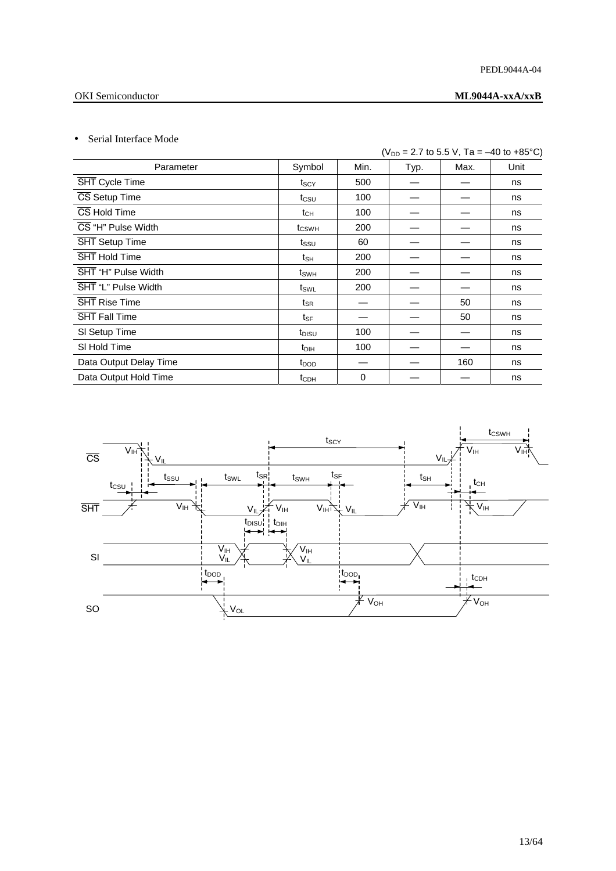### PEDL9044A-04

## OKI Semiconductor **ML9044A-xxA/xxB**

## • Serial Interface Mode

|                        |                   |      | ( $V_{DD}$ = 2.7 to 5.5 V, Ta = -40 to +85°C) |      |      |  |  |
|------------------------|-------------------|------|-----------------------------------------------|------|------|--|--|
| Parameter              | Symbol            | Min. | Typ.                                          | Max. | Unit |  |  |
| SHT Cycle Time         | t <sub>SCY</sub>  | 500  |                                               |      | ns   |  |  |
| CS Setup Time          | $t_{\text{CSU}}$  | 100  |                                               |      | ns   |  |  |
| CS Hold Time           | tсн               | 100  |                                               |      | ns   |  |  |
| CS "H" Pulse Width     | t <sub>CSWH</sub> | 200  |                                               |      | ns   |  |  |
| SHT Setup Time         | $t_{\text{SSU}}$  | 60   |                                               |      | ns   |  |  |
| SHT Hold Time          | tsн               | 200  |                                               |      | ns   |  |  |
| SHT "H" Pulse Width    | $t_{SWH}$         | 200  |                                               |      | ns   |  |  |
| SHT "L" Pulse Width    | $t_{SWL}$         | 200  |                                               |      | ns   |  |  |
| SHT Rise Time          | $t_{\mathsf{SR}}$ |      |                                               | 50   | ns   |  |  |
| <b>SHT Fall Time</b>   | tsF               |      |                                               | 50   | ns   |  |  |
| SI Setup Time          | t <sub>DISU</sub> | 100  |                                               |      | ns   |  |  |
| SI Hold Time           | $t_{DH}$          | 100  |                                               |      | ns   |  |  |
| Data Output Delay Time | t <sub>DOD</sub>  |      |                                               | 160  | ns   |  |  |
| Data Output Hold Time  | t <sub>CDH</sub>  | 0    |                                               |      | ns   |  |  |

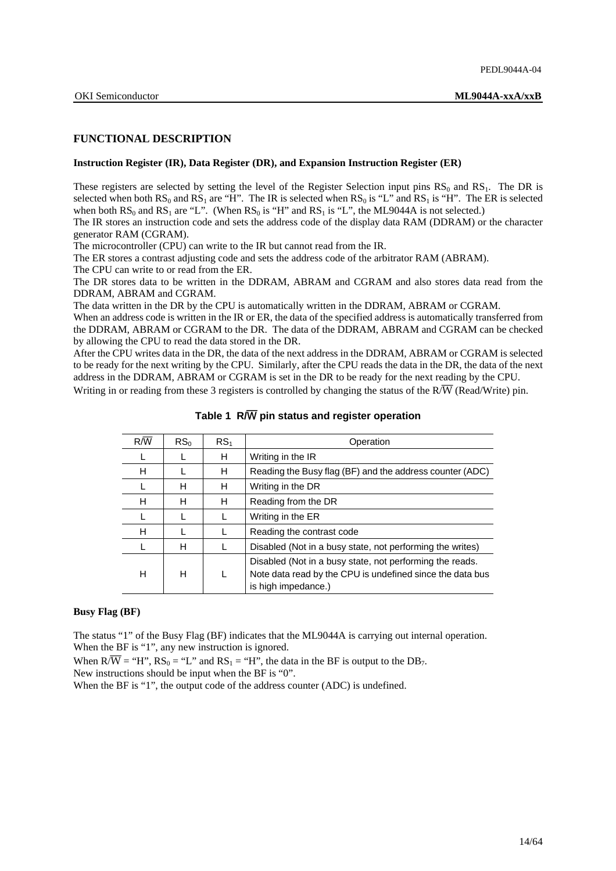### **FUNCTIONAL DESCRIPTION**

### **Instruction Register (IR), Data Register (DR), and Expansion Instruction Register (ER)**

These registers are selected by setting the level of the Register Selection input pins  $RS_0$  and  $RS_1$ . The DR is selected when both  $RS_0$  and  $RS_1$  are "H". The IR is selected when  $RS_0$  is "L" and  $RS_1$  is "H". The ER is selected when both  $RS_0$  and  $RS_1$  are "L". (When  $RS_0$  is "H" and  $RS_1$  is "L", the ML9044A is not selected.)

The IR stores an instruction code and sets the address code of the display data RAM (DDRAM) or the character generator RAM (CGRAM).

The microcontroller (CPU) can write to the IR but cannot read from the IR.

The ER stores a contrast adjusting code and sets the address code of the arbitrator RAM (ABRAM).

The CPU can write to or read from the ER.

The DR stores data to be written in the DDRAM, ABRAM and CGRAM and also stores data read from the DDRAM, ABRAM and CGRAM.

The data written in the DR by the CPU is automatically written in the DDRAM, ABRAM or CGRAM.

When an address code is written in the IR or ER, the data of the specified address is automatically transferred from the DDRAM, ABRAM or CGRAM to the DR. The data of the DDRAM, ABRAM and CGRAM can be checked by allowing the CPU to read the data stored in the DR.

After the CPU writes data in the DR, the data of the next address in the DDRAM, ABRAM or CGRAM is selected to be ready for the next writing by the CPU. Similarly, after the CPU reads the data in the DR, the data of the next address in the DDRAM, ABRAM or CGRAM is set in the DR to be ready for the next reading by the CPU.

Writing in or reading from these 3 registers is controlled by changing the status of the  $R/\overline{W}$  (Read/Write) pin.

| $R/\overline{W}$ | RS <sub>0</sub> | RS <sub>1</sub> | Operation                                                                                                                                    |
|------------------|-----------------|-----------------|----------------------------------------------------------------------------------------------------------------------------------------------|
|                  |                 | н               | Writing in the IR                                                                                                                            |
| н                |                 | н               | Reading the Busy flag (BF) and the address counter (ADC)                                                                                     |
|                  | н               | н               | Writing in the DR                                                                                                                            |
| н                | н               | н               | Reading from the DR                                                                                                                          |
|                  |                 |                 | Writing in the ER                                                                                                                            |
| н                |                 |                 | Reading the contrast code                                                                                                                    |
|                  | н               |                 | Disabled (Not in a busy state, not performing the writes)                                                                                    |
| н                | н               |                 | Disabled (Not in a busy state, not performing the reads.<br>Note data read by the CPU is undefined since the data bus<br>is high impedance.) |

### **Table 1 R/**W **pin status and register operation**

## **Busy Flag (BF)**

The status "1" of the Busy Flag (BF) indicates that the ML9044A is carrying out internal operation. When the BF is "1", any new instruction is ignored.

When  $R/\overline{W}$  = "H",  $RS_0$  = "L" and  $RS_1$  = "H", the data in the BF is output to the DB<sub>7</sub>.

New instructions should be input when the BF is "0".

When the BF is "1", the output code of the address counter (ADC) is undefined.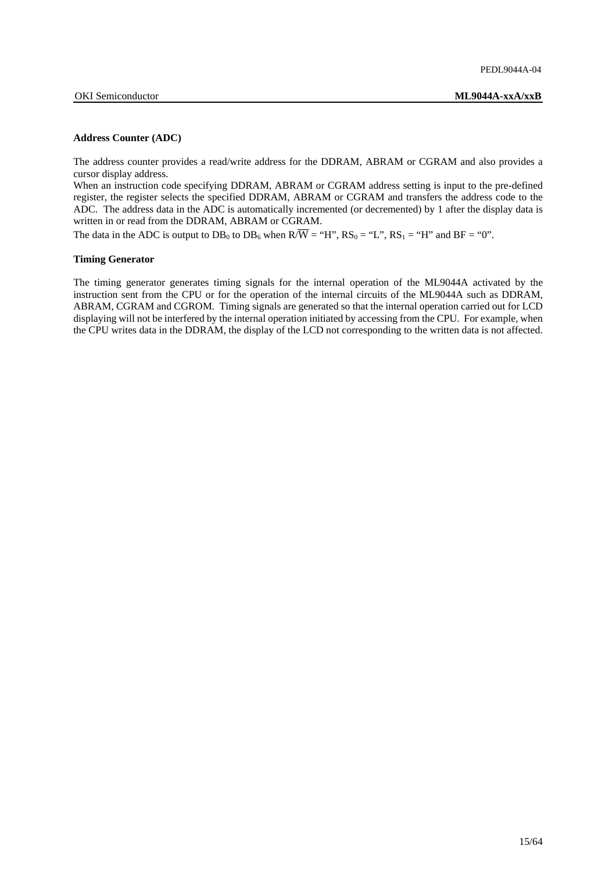### **Address Counter (ADC)**

The address counter provides a read/write address for the DDRAM, ABRAM or CGRAM and also provides a cursor display address.

When an instruction code specifying DDRAM, ABRAM or CGRAM address setting is input to the pre-defined register, the register selects the specified DDRAM, ABRAM or CGRAM and transfers the address code to the ADC. The address data in the ADC is automatically incremented (or decremented) by 1 after the display data is written in or read from the DDRAM, ABRAM or CGRAM.

The data in the ADC is output to  $DB_0$  to  $DB_6$  when  $R/\overline{W}$  = "H",  $RS_0$  = "L",  $RS_1$  = "H" and  $BF$  = "0".

### **Timing Generator**

The timing generator generates timing signals for the internal operation of the ML9044A activated by the instruction sent from the CPU or for the operation of the internal circuits of the ML9044A such as DDRAM, ABRAM, CGRAM and CGROM. Timing signals are generated so that the internal operation carried out for LCD displaying will not be interfered by the internal operation initiated by accessing from the CPU. For example, when the CPU writes data in the DDRAM, the display of the LCD not corresponding to the written data is not affected.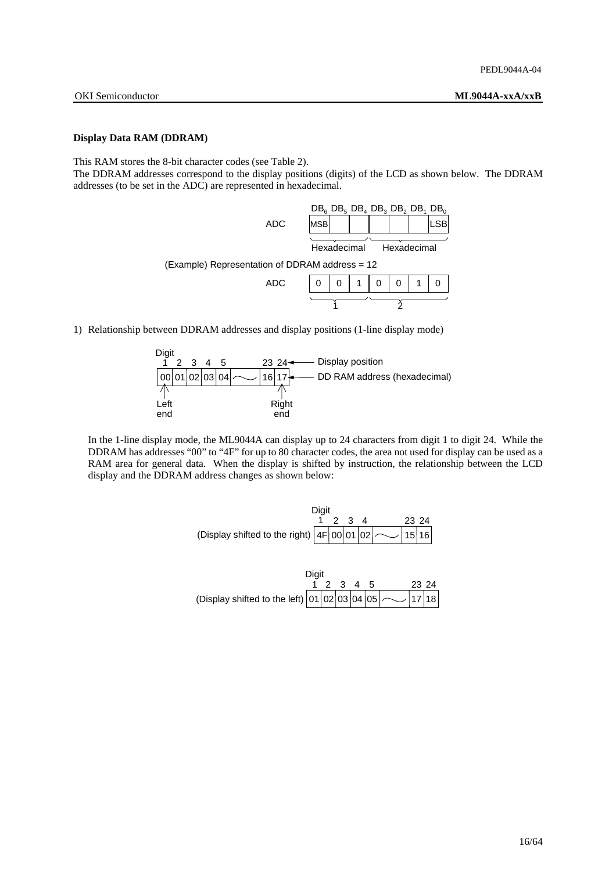### **Display Data RAM (DDRAM)**

This RAM stores the 8-bit character codes (see Table 2).

The DDRAM addresses correspond to the display positions (digits) of the LCD as shown below. The DDRAM addresses (to be set in the ADC) are represented in hexadecimal.

|      | $DB_6$ , $DB_5$ , $DB_4$ , $DB_3$ , $DB_1$ , $DB_0$ |             |  |
|------|-----------------------------------------------------|-------------|--|
| ADC. | <b>IMSBI</b>                                        |             |  |
|      | Hexadecimal                                         | Hexadecimal |  |
|      |                                                     |             |  |

(Example) Representation of DDRAM address = 12

| ADC |  | 1 | 0 | O | ำ |  |
|-----|--|---|---|---|---|--|
|     |  |   |   |   |   |  |

1) Relationship between DDRAM addresses and display positions (1-line display mode)



 In the 1-line display mode, the ML9044A can display up to 24 characters from digit 1 to digit 24. While the DDRAM has addresses "00" to "4F" for up to 80 character codes, the area not used for display can be used as a RAM area for general data. When the display is shifted by instruction, the relationship between the LCD display and the DDRAM address changes as shown below:



|                                                                | Diait |           |  |  |       |  |
|----------------------------------------------------------------|-------|-----------|--|--|-------|--|
|                                                                |       | 1 2 3 4 5 |  |  | 23 24 |  |
| (Display shifted to the left) $\boxed{01 02 03 04 05}$ 2 17 18 |       |           |  |  |       |  |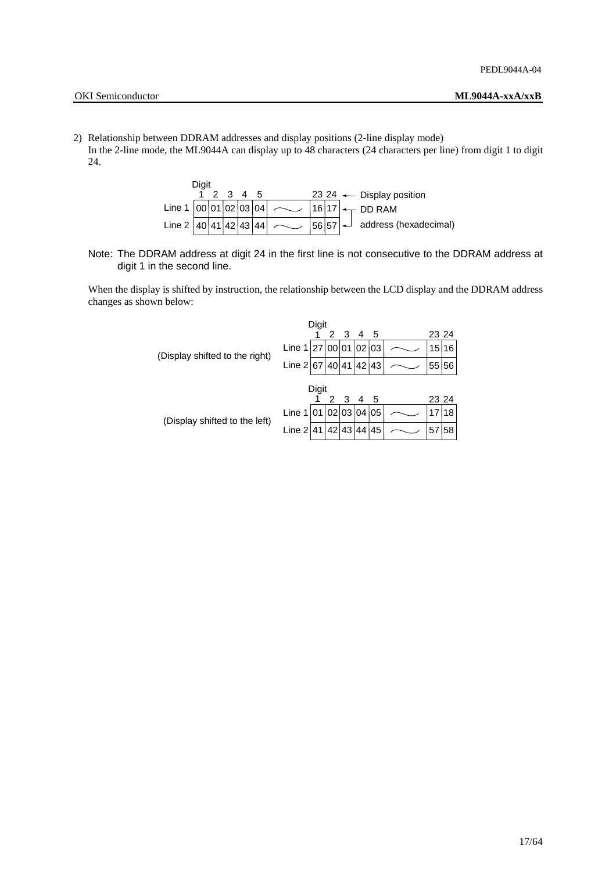- OKI Semiconductor **ML9044A-xxA/xxB**
- 2) Relationship between DDRAM addresses and display positions (2-line display mode) In the 2-line mode, the ML9044A can display up to 48 characters (24 characters per line) from digit 1 to digit
	- 24.



 Note: The DDRAM address at digit 24 in the first line is not consecutive to the DDRAM address at digit 1 in the second line.

When the display is shifted by instruction, the relationship between the LCD display and the DDRAM address changes as shown below:

|                                |                         | Digit |   |                |                |     |       |       |
|--------------------------------|-------------------------|-------|---|----------------|----------------|-----|-------|-------|
|                                |                         |       | 2 | 3 <sup>5</sup> | $\overline{4}$ | - 5 | 23 24 |       |
| (Display shifted to the right) | Line $1 27 00 01 02 03$ |       |   |                |                |     |       | 15 16 |
|                                | Line $2 67 40 41 42 43$ |       |   |                |                |     | 55 56 |       |
|                                |                         | Digit |   |                |                |     |       |       |
|                                |                         |       |   | 2 3 4 5        |                |     | 23 24 |       |
| (Display shifted to the left)  | Line $1 01 02 03 04 05$ |       |   |                |                |     | 17    | 18    |
|                                | Line $2 41 42 43 44$    |       |   |                |                | 145 | 57    | 58    |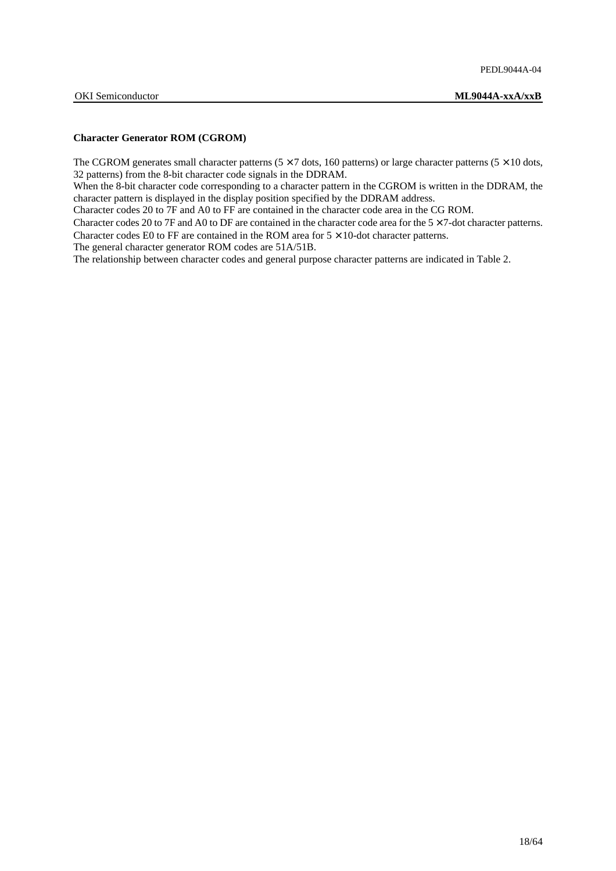### **Character Generator ROM (CGROM)**

The CGROM generates small character patterns ( $5 \times 7$  dots, 160 patterns) or large character patterns ( $5 \times 10$  dots, 32 patterns) from the 8-bit character code signals in the DDRAM.

When the 8-bit character code corresponding to a character pattern in the CGROM is written in the DDRAM, the character pattern is displayed in the display position specified by the DDRAM address.

Character codes 20 to 7F and A0 to FF are contained in the character code area in the CG ROM.

Character codes 20 to 7F and A0 to DF are contained in the character code area for the  $5 \times 7$ -dot character patterns. Character codes E0 to FF are contained in the ROM area for  $5 \times 10$ -dot character patterns.

The general character generator ROM codes are 51A/51B.

The relationship between character codes and general purpose character patterns are indicated in Table 2.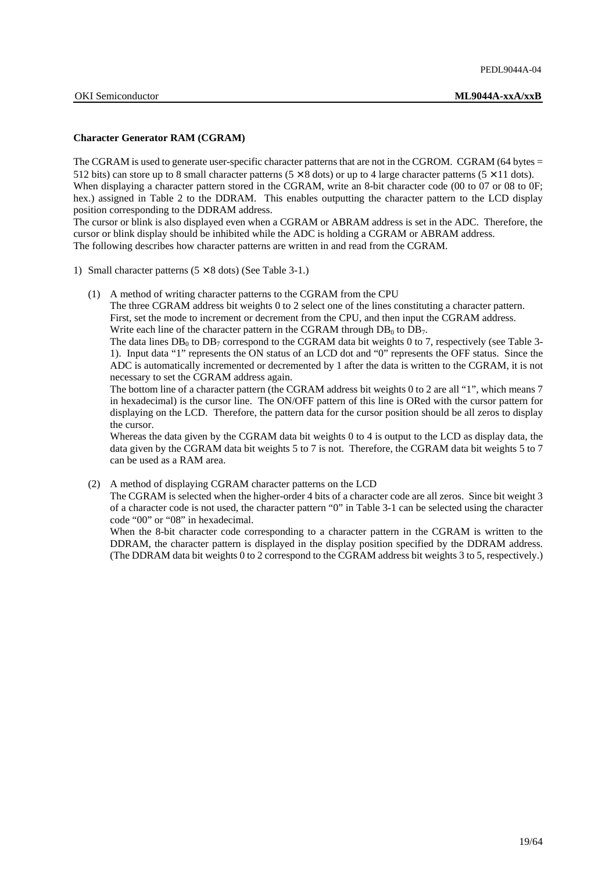### **Character Generator RAM (CGRAM)**

The CGRAM is used to generate user-specific character patterns that are not in the CGROM. CGRAM (64 bytes = 512 bits) can store up to 8 small character patterns  $(5 \times 8$  dots) or up to 4 large character patterns  $(5 \times 11$  dots). When displaying a character pattern stored in the CGRAM, write an 8-bit character code (00 to 07 or 08 to 0F; hex.) assigned in Table 2 to the DDRAM. This enables outputting the character pattern to the LCD display position corresponding to the DDRAM address.

The cursor or blink is also displayed even when a CGRAM or ABRAM address is set in the ADC. Therefore, the cursor or blink display should be inhibited while the ADC is holding a CGRAM or ABRAM address. The following describes how character patterns are written in and read from the CGRAM.

- 1) Small character patterns  $(5 \times 8 \text{ dots})$  (See Table 3-1.)
	- (1) A method of writing character patterns to the CGRAM from the CPU

 The three CGRAM address bit weights 0 to 2 select one of the lines constituting a character pattern. First, set the mode to increment or decrement from the CPU, and then input the CGRAM address. Write each line of the character pattern in the CGRAM through  $DB_0$  to  $DB_7$ .

The data lines  $DB_0$  to  $DB_7$  correspond to the CGRAM data bit weights 0 to 7, respectively (see Table 3-1). Input data "1" represents the ON status of an LCD dot and "0" represents the OFF status. Since the ADC is automatically incremented or decremented by 1 after the data is written to the CGRAM, it is not necessary to set the CGRAM address again.

 The bottom line of a character pattern (the CGRAM address bit weights 0 to 2 are all "1", which means 7 in hexadecimal) is the cursor line. The ON/OFF pattern of this line is ORed with the cursor pattern for displaying on the LCD. Therefore, the pattern data for the cursor position should be all zeros to display the cursor.

 Whereas the data given by the CGRAM data bit weights 0 to 4 is output to the LCD as display data, the data given by the CGRAM data bit weights 5 to 7 is not. Therefore, the CGRAM data bit weights 5 to 7 can be used as a RAM area.

(2) A method of displaying CGRAM character patterns on the LCD

 The CGRAM is selected when the higher-order 4 bits of a character code are all zeros. Since bit weight 3 of a character code is not used, the character pattern "0" in Table 3-1 can be selected using the character code "00" or "08" in hexadecimal.

When the 8-bit character code corresponding to a character pattern in the CGRAM is written to the DDRAM, the character pattern is displayed in the display position specified by the DDRAM address. (The DDRAM data bit weights 0 to 2 correspond to the CGRAM address bit weights 3 to 5, respectively.)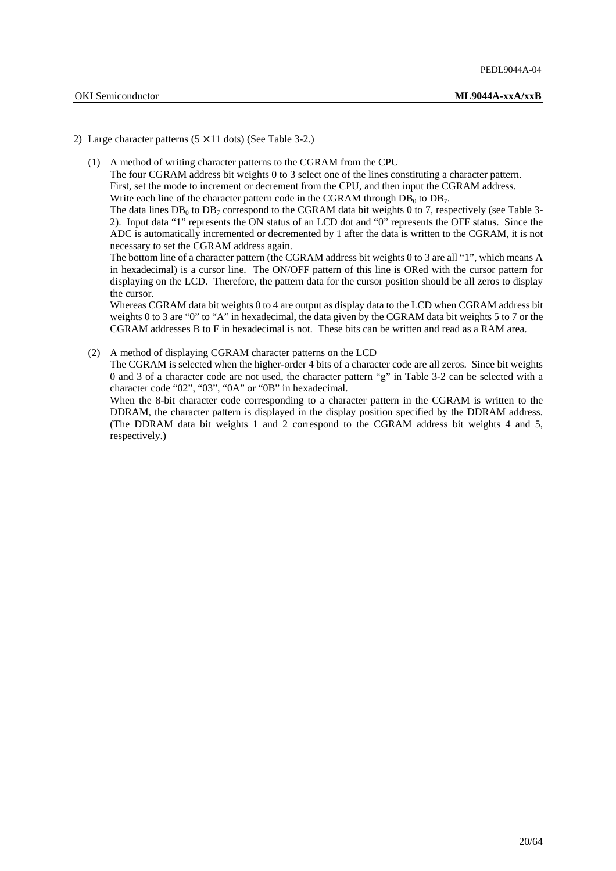### 2) Large character patterns  $(5 \times 11 \text{ dots})$  (See Table 3-2.)

(1) A method of writing character patterns to the CGRAM from the CPU

 The four CGRAM address bit weights 0 to 3 select one of the lines constituting a character pattern. First, set the mode to increment or decrement from the CPU, and then input the CGRAM address. Write each line of the character pattern code in the CGRAM through  $DB_0$  to  $DB_7$ .

The data lines  $DB_0$  to  $DB_7$  correspond to the CGRAM data bit weights 0 to 7, respectively (see Table 3-2). Input data "1" represents the ON status of an LCD dot and "0" represents the OFF status. Since the ADC is automatically incremented or decremented by 1 after the data is written to the CGRAM, it is not necessary to set the CGRAM address again.

 The bottom line of a character pattern (the CGRAM address bit weights 0 to 3 are all "1", which means A in hexadecimal) is a cursor line. The ON/OFF pattern of this line is ORed with the cursor pattern for displaying on the LCD. Therefore, the pattern data for the cursor position should be all zeros to display the cursor.

 Whereas CGRAM data bit weights 0 to 4 are output as display data to the LCD when CGRAM address bit weights 0 to 3 are "0" to "A" in hexadecimal, the data given by the CGRAM data bit weights 5 to 7 or the CGRAM addresses B to F in hexadecimal is not. These bits can be written and read as a RAM area.

(2) A method of displaying CGRAM character patterns on the LCD The CGRAM is selected when the higher-order 4 bits of a character code are all zeros. Since bit weights 0 and 3 of a character code are not used, the character pattern "g" in Table 3-2 can be selected with a character code "02", "03", "0A" or "0B" in hexadecimal. When the 8-bit character code corresponding to a character pattern in the CGRAM is written to the

DDRAM, the character pattern is displayed in the display position specified by the DDRAM address. (The DDRAM data bit weights 1 and 2 correspond to the CGRAM address bit weights 4 and 5, respectively.)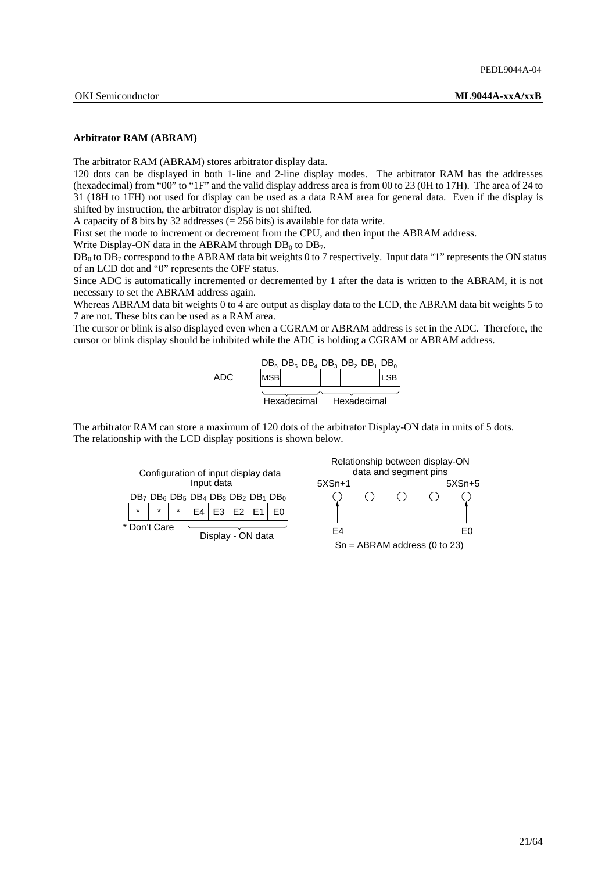### **Arbitrator RAM (ABRAM)**

The arbitrator RAM (ABRAM) stores arbitrator display data.

120 dots can be displayed in both 1-line and 2-line display modes. The arbitrator RAM has the addresses (hexadecimal) from "00" to "1F" and the valid display address area is from 00 to 23 (0H to 17H). The area of 24 to 31 (18H to 1FH) not used for display can be used as a data RAM area for general data. Even if the display is shifted by instruction, the arbitrator display is not shifted.

A capacity of 8 bits by 32 addresses  $(= 256 \text{ bits})$  is available for data write.

First set the mode to increment or decrement from the CPU, and then input the ABRAM address.

Write Display-ON data in the ABRAM through  $DB_0$  to  $DB_7$ .

 $DB_0$  to  $DB_7$  correspond to the ABRAM data bit weights 0 to 7 respectively. Input data "1" represents the ON status of an LCD dot and "0" represents the OFF status.

Since ADC is automatically incremented or decremented by 1 after the data is written to the ABRAM, it is not necessary to set the ABRAM address again.

Whereas ABRAM data bit weights 0 to 4 are output as display data to the LCD, the ABRAM data bit weights 5 to 7 are not. These bits can be used as a RAM area.

The cursor or blink is also displayed even when a CGRAM or ABRAM address is set in the ADC. Therefore, the cursor or blink display should be inhibited while the ADC is holding a CGRAM or ABRAM address.



The arbitrator RAM can store a maximum of 120 dots of the arbitrator Display-ON data in units of 5 dots. The relationship with the LCD display positions is shown below.



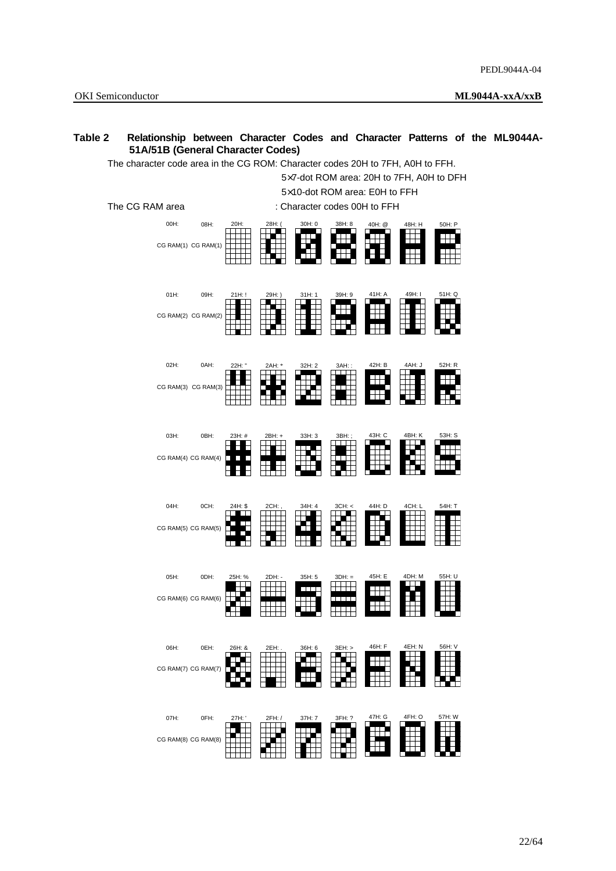## **Table 2 Relationship between Character Codes and Character Patterns of the ML9044A-51A/51B (General Character Codes)**

The character code area in the CG ROM: Character codes 20H to 7FH, A0H to FFH.

5×7-dot ROM area: 20H to 7FH, A0H to DFH

 5×10-dot ROM area: E0H to FFH The CG RAM area : Character codes 00H to FFH 08H:  $50H: F$ 00H: 08H: 20H: 28H: ( 30H: 0 38H: 8 Ħ CG RAM(1) CG RAM(1) F T 01H:  $09H$  $51H: \Omega$ 21H: ! 29H: ) 31H: 1 39H: 9 ian<br>Ing F H H  $\pm$ CG RAM(2) CG RAM(2)  $02H$ 0AH: 42H: B 4AH: J 52H: R 22H: " 2AH: \* 32H: 2 3AH: : 96)<br>Alt Ë ₩, Fili CG RAM(3) CG RAM(3) 03H: 0BH: 23H: # 2BH: + 33H: 3 3BH: ; 43H: C 4BH: K 53H: S **ESTE**<br>EEEL **FEREE**<br>FEREE FILE Ħ CG RAM(4) CG RAM(4) 04H: 0CH: 44H: D 4CH: L 54H: T 24H: \$ 2CH: , 34H: 4 3CH: < Fil<br>Billi Ř E E E ŧ CG RAM(5) CG RAM(5)  $05H$ 0DH:  $45H \cdot F$ 25H: % 2DH: - 35H: 5 3DH: = an p ▓ Ħ 耼 CG RAM(6) CG RAM(6) 06H: 0EH: 46H: F 4EH: N 56H: V 26H: & 2EH: . 36H: 6 3EH: > ensi<br>Ensi ╅ CG RAM(7) CG RAM(7) 07H: 0FH: 47H: G 4FH: O 57H: W  $\begin{array}{c} -27.4 \pm 0.7 \pm 0.7 \pm 0.7 \pm 0.7 \pm 0.7 \pm 0.7 \pm 0.7 \pm 0.7 \pm 0.7 \pm 0.7 \pm 0.7 \pm 0.7 \pm 0.7 \pm 0.7 \pm 0.7 \pm 0.7 \pm 0.7 \pm 0.7 \pm 0.7 \pm 0.7 \pm 0.7 \pm 0.7 \pm 0.7 \pm 0.7 \pm 0.7 \pm 0.7 \pm 0.7 \pm 0.7 \pm 0.7 \pm 0.7 \pm 0.7 \pm 0.7 \pm 0.7 \pm 0.7 \pm 0$ **EBBE**<br>EBBE E ļ. E CG RAM(8) CG RAM(8)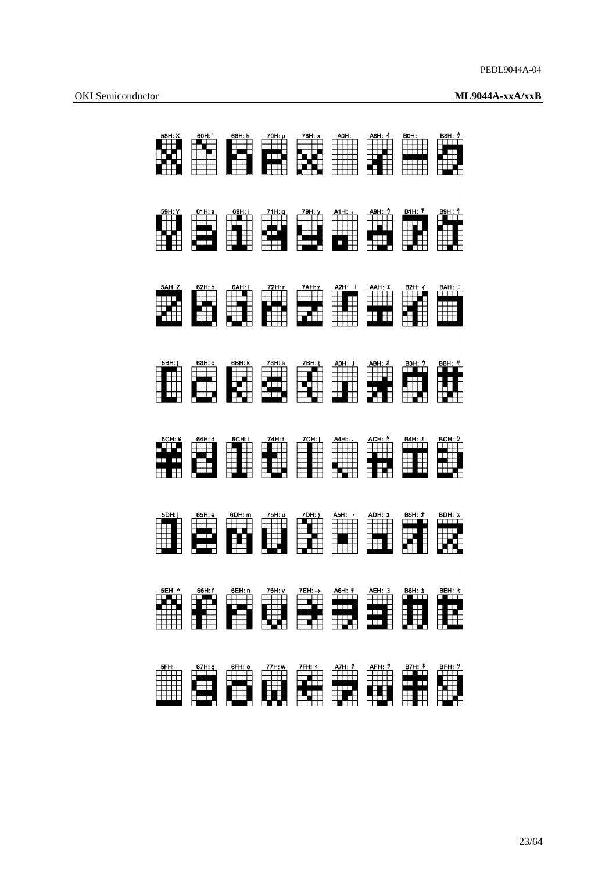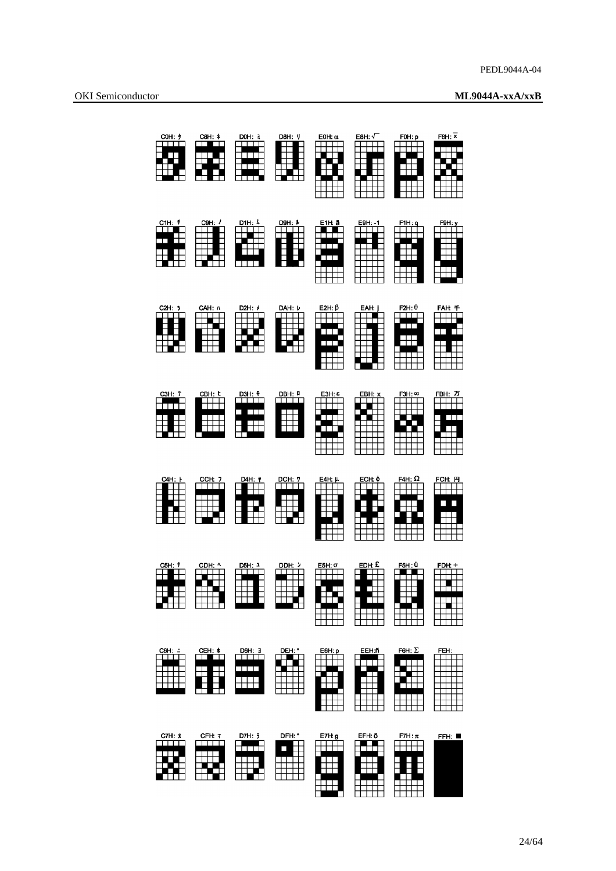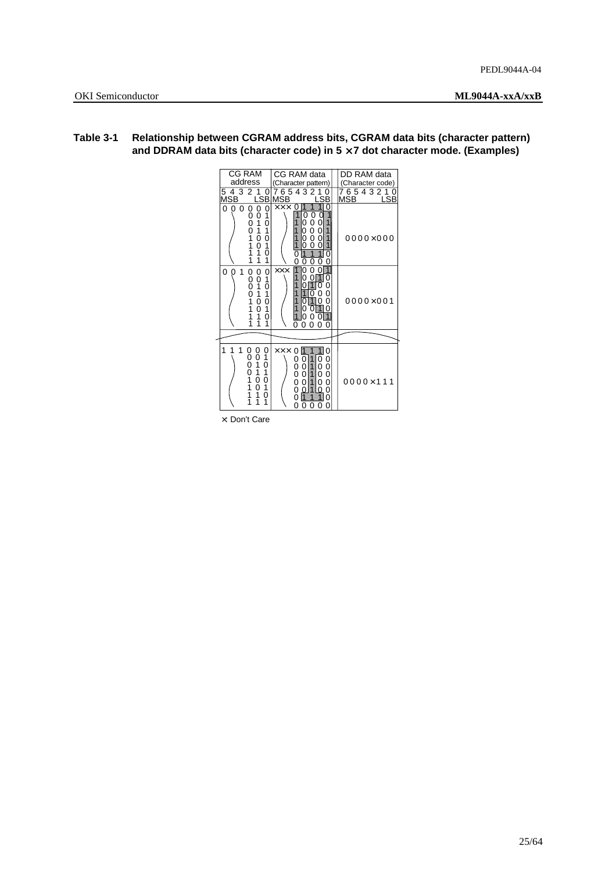| CG RAM                                                                                                                                                                               | CG RAM data                                                                                                                                                          | DD RAM data                  |
|--------------------------------------------------------------------------------------------------------------------------------------------------------------------------------------|----------------------------------------------------------------------------------------------------------------------------------------------------------------------|------------------------------|
| address                                                                                                                                                                              | (Character pattern)                                                                                                                                                  | (Character code)             |
| 4 3 2<br>7<br>0<br>5<br>MSB                                                                                                                                                          | 7654321<br>LSB MSB<br>SB                                                                                                                                             | 7654321<br><b>MSB</b><br>LSB |
| 0<br>0<br>0<br>0<br>1<br>0<br>0<br>0<br>0<br>0<br>1<br>0<br>ō<br>1<br>1<br>1<br>0<br>0<br>1<br>0<br>1<br>1<br>1<br>0<br>1<br>1                                                       | 0<br>$\times\times\times$<br>0<br>0<br>0<br>0<br>0<br>0<br>0<br>0<br>1<br>0<br>0<br>1<br>0<br>0<br>0<br>Ω<br>1<br>0<br>0<br>ი                                        | $0000 \times 000$            |
| 0<br>1<br>0<br>$\begin{smallmatrix} 0 \ 0 \ 0 \ 0 \end{smallmatrix}$<br>0<br>0<br>Ō<br>1<br>1<br>0<br>1<br>1<br>1<br>0<br>0<br>1<br>1<br>0<br>1<br>1<br>0<br>1<br>1                  | r<br>0<br>0<br><b>XXX</b><br>ი<br>1<br>0<br>0<br>O<br>0<br>O<br>$\mathbf{1}$<br>Ω<br>n<br>ი<br>ი<br>0<br>0<br>0                                                      | $0000\times001$              |
|                                                                                                                                                                                      |                                                                                                                                                                      |                              |
| 1<br>1<br>$\begin{smallmatrix} 0 \\ 1 \end{smallmatrix}$<br>0<br>0<br>0<br>0<br>0<br>0<br>$\frac{1}{1}$<br>0<br>1<br>1<br>0<br>0<br>$\frac{1}{1}$<br>0<br>1<br>1<br>0<br>1<br>1<br>1 | <b>XXX</b><br>1<br>1<br>11<br>0<br>0<br>0<br>1<br>0<br>0<br>0<br>0<br>0<br>1<br>0<br>0<br>$\dot{0}$<br>0<br>1<br>0<br>0<br>0<br>ი<br>0<br>1<br>∩<br>∩<br>O<br>ი<br>ი | $0000 \times 111$            |

## **Table 3-1 Relationship between CGRAM address bits, CGRAM data bits (character pattern) and DDRAM data bits (character code) in 5** × **7 dot character mode. (Examples)**

×: Don't Care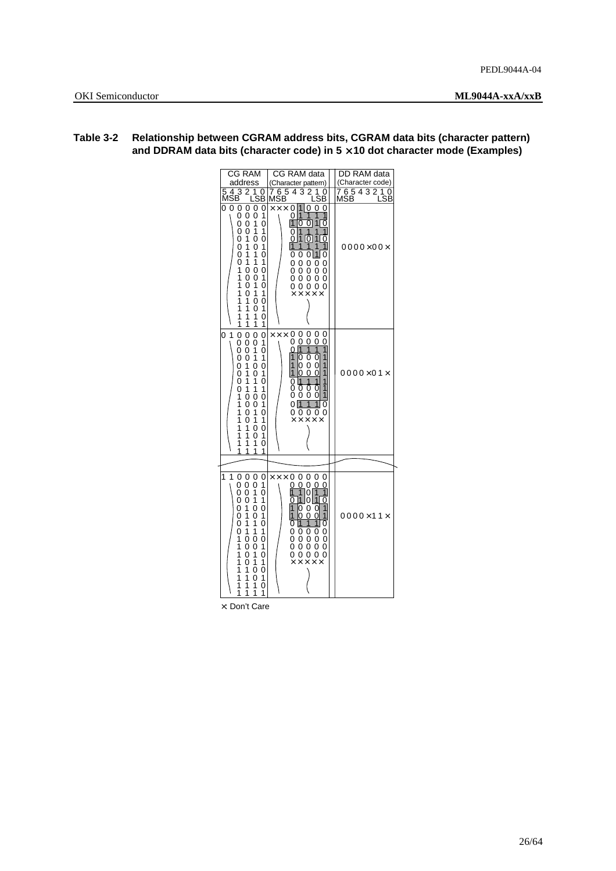| CG RAM                                                                                                                                                                                                                                                                                                                                                                                                                                                                                                                                                                              | CG RAM data                                                                                                                                                                                                                                                                                                                                                                              | <b>DD</b> RAM data   |
|-------------------------------------------------------------------------------------------------------------------------------------------------------------------------------------------------------------------------------------------------------------------------------------------------------------------------------------------------------------------------------------------------------------------------------------------------------------------------------------------------------------------------------------------------------------------------------------|------------------------------------------------------------------------------------------------------------------------------------------------------------------------------------------------------------------------------------------------------------------------------------------------------------------------------------------------------------------------------------------|----------------------|
| address                                                                                                                                                                                                                                                                                                                                                                                                                                                                                                                                                                             | (Character pattern)                                                                                                                                                                                                                                                                                                                                                                      | (Character code)     |
| 543<br>2<br>0<br>MSB<br>SB                                                                                                                                                                                                                                                                                                                                                                                                                                                                                                                                                          | 765432<br>0<br>MSB<br>LSB                                                                                                                                                                                                                                                                                                                                                                | 0<br>LSB             |
| 0 <sub>0</sub><br>0<br>0<br>0<br>0<br>0<br>1<br>$^{\rm o}_{\rm o}$<br>0<br>ō<br>1<br>0<br>ō<br>0<br>1<br>1<br>$\frac{1}{1}$<br>$^{\rm o}_{\rm o}$<br>0<br>0<br>0<br>1<br>0<br>1<br>1<br>0<br>Ō<br>1<br>1<br>1<br>1<br>0<br>0<br>0<br>1<br>0<br>1<br>0<br>i<br>$\overline{1}$<br>0<br>Ō<br>1<br>0<br>1<br>1<br>1<br>1<br>0<br>0<br>1<br>1<br>0<br>1<br>1<br>1<br>1<br>0<br>1<br>1<br>1<br>1                                                                                                                                                                                          | $\times\times\times$<br>0<br>$\Omega$<br>1<br>0<br>0<br>1<br>0<br>1<br>1<br>$\overline{1}$<br>$\mathbf 1$<br>0<br>0<br>0<br>1<br>1<br>1<br>0<br>1<br>10<br>$\mathbf{1}$<br>ი<br>0<br>1<br>1<br>1<br>1<br>1<br>0<br>0<br>0<br>11<br>0<br>0<br>0<br>0<br>0<br>0<br>0<br>0<br>0<br>0<br>0<br>0<br>0<br>0<br>0<br>0<br>0<br>0 <sub>0</sub><br>0<br>0<br>$X$ $X$ $X$ $X$ $X$                  | $0000\times00\times$ |
| $\overline{1}$<br>0<br>$\overline{0}$<br>0<br>0<br>0<br>0<br>1<br>0<br>0<br>0<br>1<br>0<br>0<br>$\begin{smallmatrix}1\0\end{smallmatrix}$<br>0<br>0<br>1<br>$\overline{1}$<br>0<br>0<br>1<br>0<br>1<br>0<br>Ō<br>1<br>1<br>0<br>Ī.<br>1<br>0<br>1<br>$\mathbf 0$<br>1<br>0<br>0<br>1<br>1<br>0<br>0<br>0<br>1<br>1<br>0<br>1<br>1<br>0<br>1<br>1<br>1<br>0<br>0<br>1<br>1<br>0<br>1<br>1<br>1<br>1<br>0<br>1<br>1<br>1<br>1                                                                                                                                                         | 0<br>0<br>0<br>0<br>$\times\times\times$<br>0<br>0<br>0<br>0<br>0<br>0<br>Ť<br>$\overline{1}$<br>1<br>1<br>ი<br>0<br>1<br>0<br>0<br>1<br>0<br>1<br>1<br>0<br>0<br>0<br>0<br>1<br>0<br>1<br>1<br>1<br>0<br>1<br>1<br>Ō<br>İ<br>0<br>0<br>0<br>1<br>0<br>0<br>0<br>0<br>$\vert$ 1<br>$\mathbf{1}$<br>0<br>1<br>0<br>$\overline{0}$<br>0<br>0<br>0<br>0<br>$\times\times\times\times\times$ | $0000\times01\times$ |
|                                                                                                                                                                                                                                                                                                                                                                                                                                                                                                                                                                                     |                                                                                                                                                                                                                                                                                                                                                                                          |                      |
| 1<br>1<br>0<br>0<br>0<br>0<br>Ō<br>0<br>0<br>1<br>ŏ<br>ō<br>1<br>0<br>0<br>1<br>0<br>1<br>$\begin{array}{c} 1 \\ 1 \end{array}$<br>$\dot{0}$<br>0<br>0<br>0<br>1<br>$\overline{1}$<br>1<br>0<br>0<br>$\begin{matrix} 1 \\ 0 \end{matrix}$<br>1<br>0<br>1<br>$\dot{0}$<br>0<br>1<br>Ō<br>Ī.<br>1<br>$\frac{1}{1}$<br>1<br>$^{\rm 0}_{\rm 0}$<br>$\begin{smallmatrix}0\0\1\end{smallmatrix}$<br>1<br>$\begin{array}{c} 1 \\ 1 \\ 1 \end{array}$<br>$\frac{1}{1}$<br>$^{\rm o}_{\rm o}$<br>$\begin{smallmatrix}0\0\1\end{smallmatrix}$<br>1<br>$\overline{1}$<br>0<br>1<br>1<br>1<br>1 | $\times\times\times$ 0<br>0<br>0<br>0<br>0<br>0<br>0<br>0<br>0<br>0<br>$\overline{1}$<br>1<br>0<br>1<br>1<br>1<br>$\mathbf 1$<br>0<br><u>0</u><br>0<br>1<br>1<br>0<br>0<br>0<br>0<br>1<br>1<br>0<br>1<br>$\overline{1}$<br>И<br>0<br>0<br>0<br>0<br>0<br>0<br>0<br>0<br>0<br>0<br>0<br>0<br>0<br>0<br>0<br>0<br>0<br>0<br>0<br>0<br>0<br>0<br>$\times\times\times\times\times$           | $0000\times11\times$ |

## **Table 3-2 Relationship between CGRAM address bits, CGRAM data bits (character pattern) and DDRAM data bits (character code) in 5** × **10 dot character mode (Examples)**

×: Don't Care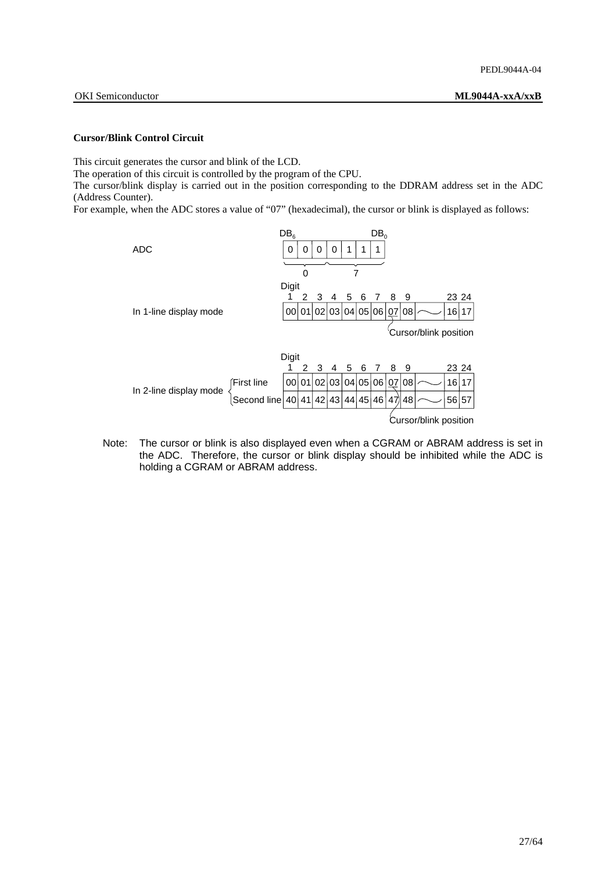This circuit generates the cursor and blink of the LCD.

The operation of this circuit is controlled by the program of the CPU.

The cursor/blink display is carried out in the position corresponding to the DDRAM address set in the ADC (Address Counter).

For example, when the ADC stores a value of "07" (hexadecimal), the cursor or blink is displayed as follows:



Note: The cursor or blink is also displayed even when a CGRAM or ABRAM address is set in the ADC. Therefore, the cursor or blink display should be inhibited while the ADC is holding a CGRAM or ABRAM address.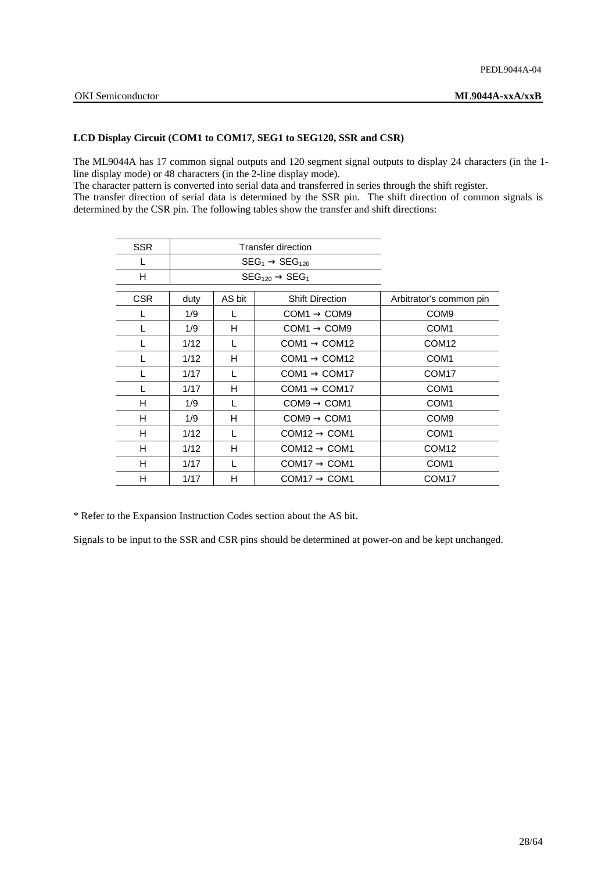### **LCD Display Circuit (COM1 to COM17, SEG1 to SEG120, SSR and CSR)**

The ML9044A has 17 common signal outputs and 120 segment signal outputs to display 24 characters (in the 1 line display mode) or 48 characters (in the 2-line display mode).

The character pattern is converted into serial data and transferred in series through the shift register.

The transfer direction of serial data is determined by the SSR pin. The shift direction of common signals is determined by the CSR pin. The following tables show the transfer and shift directions:

| SSR        |      | Transfer direction                          |                           |                         |
|------------|------|---------------------------------------------|---------------------------|-------------------------|
| L          |      | $\text{SEG}_1 \rightarrow \text{SEG}_{120}$ |                           |                         |
| H          |      |                                             | $SEG120 \rightarrow SEG1$ |                         |
| <b>CSR</b> | duty | AS bit                                      | <b>Shift Direction</b>    | Arbitrator's common pin |
| L          | 1/9  | L                                           | $COM1 \rightarrow COM9$   | COM <sub>9</sub>        |
|            | 1/9  | н                                           | $COM1 \rightarrow COM9$   | COM <sub>1</sub>        |
| L          | 1/12 | L                                           | $COM1 \rightarrow COM12$  | COM <sub>12</sub>       |
| L          | 1/12 | н                                           | $COM1 \rightarrow COM12$  | COM <sub>1</sub>        |
| L          | 1/17 | L                                           | $COM1 \rightarrow COM17$  | COM <sub>17</sub>       |
|            | 1/17 | н                                           | $COM1 \rightarrow COM17$  | COM <sub>1</sub>        |
| H          | 1/9  | L                                           | $COM9 \rightarrow COM1$   | COM <sub>1</sub>        |
| н          | 1/9  | н                                           | $COM9 \rightarrow COM1$   | COM <sub>9</sub>        |
| н          | 1/12 | L                                           | $COM12 \rightarrow COM1$  | COM <sub>1</sub>        |
| H          | 1/12 | H                                           | $COM12 \rightarrow COM1$  | COM <sub>12</sub>       |
| н          | 1/17 | L                                           | $COM17 \rightarrow COM1$  | COM <sub>1</sub>        |
| н          | 1/17 | н                                           | $COM17 \rightarrow COM1$  | COM <sub>17</sub>       |

\* Refer to the Expansion Instruction Codes section about the AS bit.

Signals to be input to the SSR and CSR pins should be determined at power-on and be kept unchanged.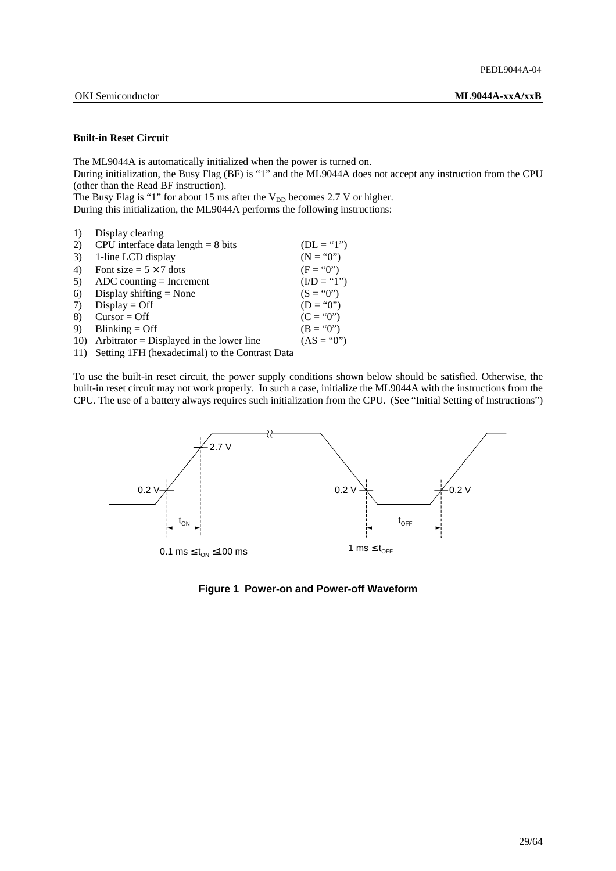### **Built-in Reset Circuit**

The ML9044A is automatically initialized when the power is turned on.

During initialization, the Busy Flag (BF) is "1" and the ML9044A does not accept any instruction from the CPU (other than the Read BF instruction).

The Busy Flag is "1" for about 15 ms after the  $V_{DD}$  becomes 2.7 V or higher. During this initialization, the ML9044A performs the following instructions:

| 1)  | Display clearing                                                                                                                                                                                                                                                                                              |               |
|-----|---------------------------------------------------------------------------------------------------------------------------------------------------------------------------------------------------------------------------------------------------------------------------------------------------------------|---------------|
| 2)  | CPU interface data length $= 8$ bits                                                                                                                                                                                                                                                                          | $(DL = "1")$  |
| 3)  | 1-line LCD display                                                                                                                                                                                                                                                                                            | $(N = "0")$   |
| 4)  | Font size = $5 \times 7$ dots                                                                                                                                                                                                                                                                                 | $(F = "0")$   |
| 5)  | $ADC$ counting = Increment                                                                                                                                                                                                                                                                                    | $(I/D = "1")$ |
| 6)  | Display shifting $=$ None                                                                                                                                                                                                                                                                                     | $(S = "0")$   |
| 7)  | $Display = Off$                                                                                                                                                                                                                                                                                               | $(D = "0")$   |
| 8)  | $Cursor = Off$                                                                                                                                                                                                                                                                                                | $(C = "0")$   |
| 9)  | $Blinking = Off$                                                                                                                                                                                                                                                                                              | $(B = "0")$   |
| 10) | Arbitrator = Displayed in the lower line                                                                                                                                                                                                                                                                      | $(AS = "0")$  |
|     | $11$ $\sqrt{2}$ $\sqrt{2}$ $\sqrt{2}$ $\sqrt{2}$ $\sqrt{2}$ $\sqrt{2}$ $\sqrt{2}$ $\sqrt{2}$ $\sqrt{2}$ $\sqrt{2}$ $\sqrt{2}$ $\sqrt{2}$ $\sqrt{2}$ $\sqrt{2}$ $\sqrt{2}$ $\sqrt{2}$ $\sqrt{2}$ $\sqrt{2}$ $\sqrt{2}$ $\sqrt{2}$ $\sqrt{2}$ $\sqrt{2}$ $\sqrt{2}$ $\sqrt{2}$ $\sqrt{2}$ $\sqrt{2}$ $\sqrt{2}$ |               |

11) Setting 1FH (hexadecimal) to the Contrast Data

To use the built-in reset circuit, the power supply conditions shown below should be satisfied. Otherwise, the built-in reset circuit may not work properly. In such a case, initialize the ML9044A with the instructions from the CPU. The use of a battery always requires such initialization from the CPU. (See "Initial Setting of Instructions")



**Figure 1 Power-on and Power-off Waveform**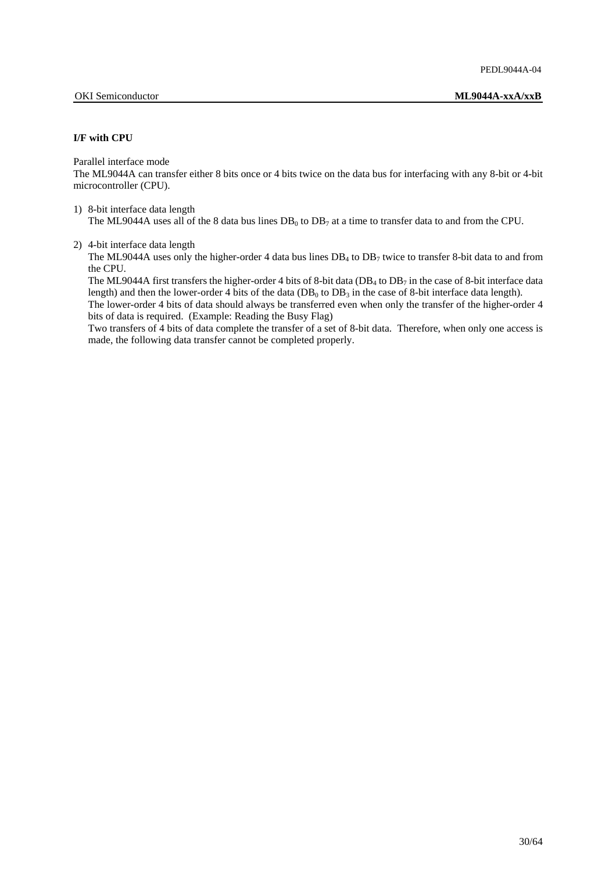### **I/F with CPU**

Parallel interface mode

The ML9044A can transfer either 8 bits once or 4 bits twice on the data bus for interfacing with any 8-bit or 4-bit microcontroller (CPU).

1) 8-bit interface data length The ML9044A uses all of the 8 data bus lines  $DB_0$  to  $DB_7$  at a time to transfer data to and from the CPU.

2) 4-bit interface data length

The ML9044A uses only the higher-order 4 data bus lines  $DB_4$  to  $DB_7$  twice to transfer 8-bit data to and from the CPU.

The ML9044A first transfers the higher-order 4 bits of 8-bit data ( $DB_4$  to  $DB_7$  in the case of 8-bit interface data length) and then the lower-order 4 bits of the data (DB<sub>0</sub> to DB<sub>3</sub> in the case of 8-bit interface data length).

 The lower-order 4 bits of data should always be transferred even when only the transfer of the higher-order 4 bits of data is required. (Example: Reading the Busy Flag)

 Two transfers of 4 bits of data complete the transfer of a set of 8-bit data. Therefore, when only one access is made, the following data transfer cannot be completed properly.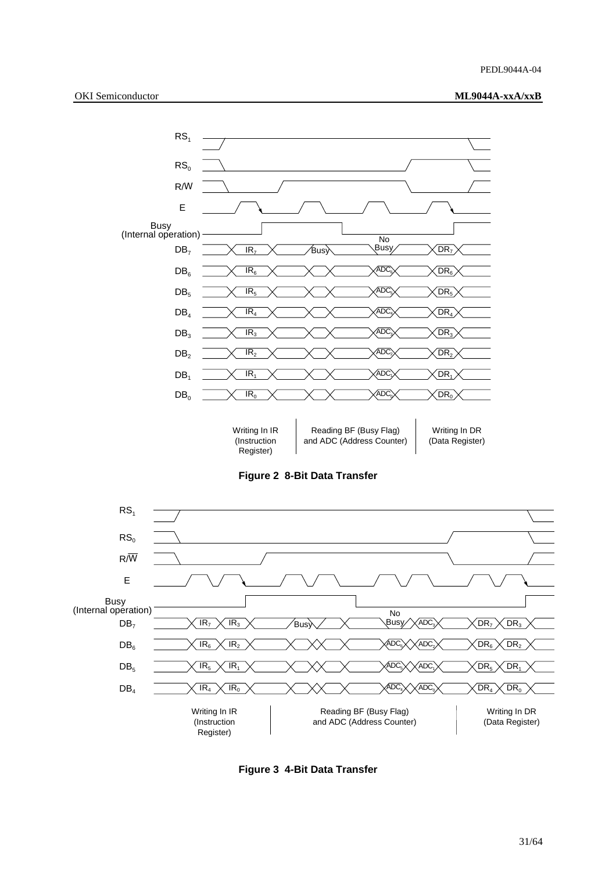



**Figure 2 8-Bit Data Transfer** 



**Figure 3 4-Bit Data Transfer**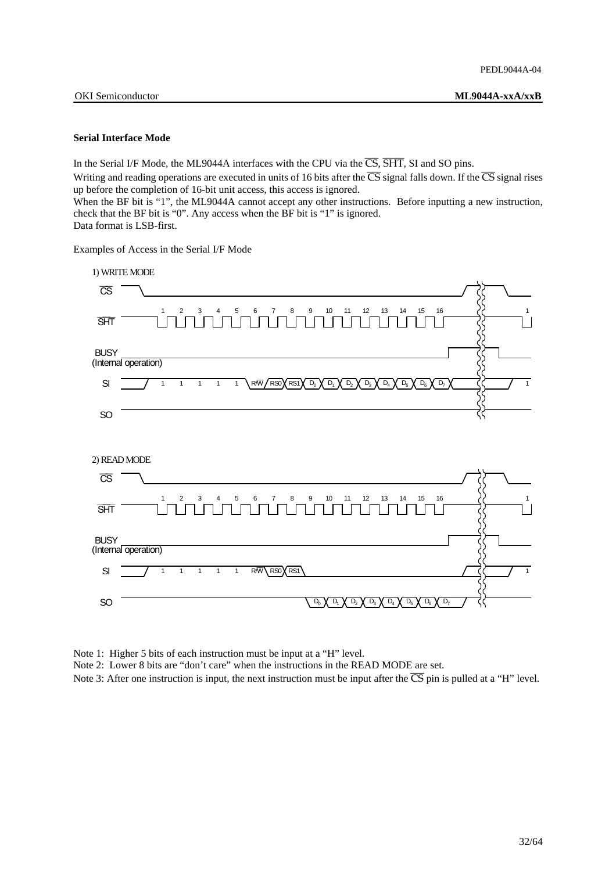### **Serial Interface Mode**

In the Serial I/F Mode, the ML9044A interfaces with the CPU via the  $\overline{CS}$ ,  $\overline{SHT}$ , SI and SO pins.

Writing and reading operations are executed in units of 16 bits after the  $\overline{CS}$  signal falls down. If the  $\overline{CS}$  signal rises up before the completion of 16-bit unit access, this access is ignored.

When the BF bit is "1", the ML9044A cannot accept any other instructions. Before inputting a new instruction, check that the BF bit is "0". Any access when the BF bit is "1" is ignored.

Data format is LSB-first.

Examples of Access in the Serial I/F Mode



Note 1: Higher 5 bits of each instruction must be input at a "H" level.

Note 2: Lower 8 bits are "don't care" when the instructions in the READ MODE are set.

Note 3: After one instruction is input, the next instruction must be input after the  $\overline{CS}$  pin is pulled at a "H" level.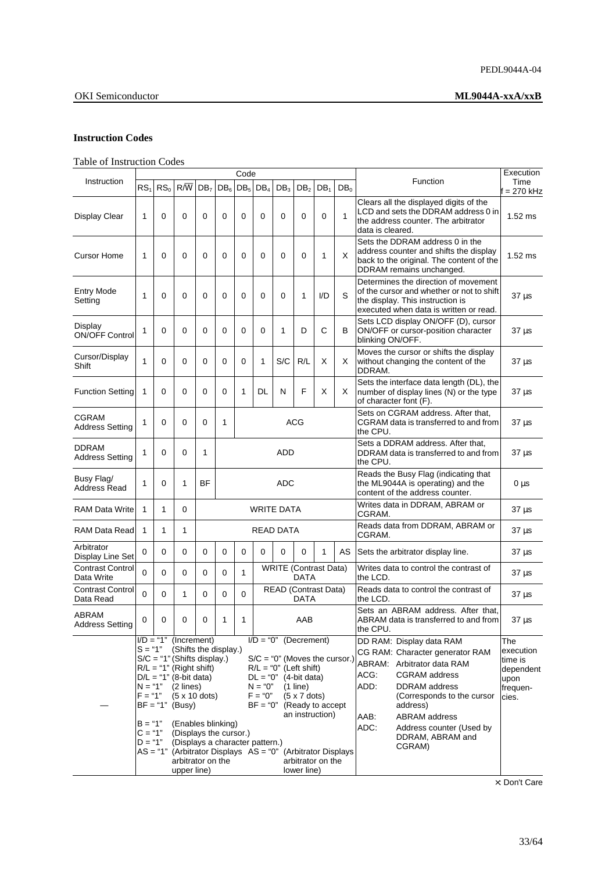### **Instruction Codes**

## Table of Instruction Codes

|                                        |                                                                            |                 |                                                                                                                                                                                                                                                                                            |                 |                 | Code            |                                                                                                                                                                                                                                                                                                                                                               |                              |                 |                 |                 |                                                                                                                                                                                                                                                                                                | Execution                                                             |
|----------------------------------------|----------------------------------------------------------------------------|-----------------|--------------------------------------------------------------------------------------------------------------------------------------------------------------------------------------------------------------------------------------------------------------------------------------------|-----------------|-----------------|-----------------|---------------------------------------------------------------------------------------------------------------------------------------------------------------------------------------------------------------------------------------------------------------------------------------------------------------------------------------------------------------|------------------------------|-----------------|-----------------|-----------------|------------------------------------------------------------------------------------------------------------------------------------------------------------------------------------------------------------------------------------------------------------------------------------------------|-----------------------------------------------------------------------|
| Instruction                            | RS <sub>1</sub>                                                            | RS <sub>0</sub> | $R/\overline{W}$                                                                                                                                                                                                                                                                           | DB <sub>7</sub> | DB <sub>6</sub> | DB <sub>5</sub> | $DB_4$                                                                                                                                                                                                                                                                                                                                                        | DB <sub>3</sub>              | DB <sub>2</sub> | DB <sub>1</sub> | DB <sub>0</sub> | Function                                                                                                                                                                                                                                                                                       | Time<br>i = 270 kHz                                                   |
| Display Clear                          | 1                                                                          | 0               | $\Omega$                                                                                                                                                                                                                                                                                   | 0               | 0               | 0               | 0                                                                                                                                                                                                                                                                                                                                                             | $\Omega$                     | 0               | 0               | 1               | Clears all the displayed digits of the<br>LCD and sets the DDRAM address 0 in<br>the address counter. The arbitrator<br>data is cleared.                                                                                                                                                       | $1.52$ ms                                                             |
| <b>Cursor Home</b>                     | 1                                                                          | 0               | $\Omega$                                                                                                                                                                                                                                                                                   | $\Omega$        | 0               | 0               | 0                                                                                                                                                                                                                                                                                                                                                             | 0                            | 0               | 1               | X               | Sets the DDRAM address 0 in the<br>address counter and shifts the display<br>back to the original. The content of the<br>DDRAM remains unchanged.                                                                                                                                              | $1.52$ ms                                                             |
| <b>Entry Mode</b><br>Setting           | 1                                                                          | 0               | $\Omega$                                                                                                                                                                                                                                                                                   | $\Omega$        | 0               | 0               | 0                                                                                                                                                                                                                                                                                                                                                             | 0                            | 1               | I/D             | S               | Determines the direction of movement<br>of the cursor and whether or not to shift<br>the display. This instruction is<br>executed when data is written or read.                                                                                                                                | $37 \mu s$                                                            |
| Display<br><b>ON/OFF Control</b>       | 1                                                                          | 0               | $\Omega$                                                                                                                                                                                                                                                                                   | 0               | 0               | 0               | 0                                                                                                                                                                                                                                                                                                                                                             | 1                            | D               | $\mathsf{C}$    | в               | Sets LCD display ON/OFF (D), cursor<br>ON/OFF or cursor-position character<br>blinking ON/OFF.                                                                                                                                                                                                 | $37 \mu s$                                                            |
| Cursor/Display<br>Shift                | 1                                                                          | 0               | $\Omega$                                                                                                                                                                                                                                                                                   | $\Omega$        | 0               | 0               | 1                                                                                                                                                                                                                                                                                                                                                             | S/C                          | R/L             | X               | X               | Moves the cursor or shifts the display<br>without changing the content of the<br>DDRAM.                                                                                                                                                                                                        | $37 \mu s$                                                            |
| <b>Function Setting</b>                | 1                                                                          | $\Omega$        | $\Omega$                                                                                                                                                                                                                                                                                   | 0               | 0               | 1               | DL                                                                                                                                                                                                                                                                                                                                                            | N                            | F               | X               | X               | Sets the interface data length (DL), the<br>number of display lines (N) or the type<br>of character font (F).                                                                                                                                                                                  | $37 \mu s$                                                            |
| <b>CGRAM</b><br><b>Address Setting</b> | 1                                                                          | 0               | 0                                                                                                                                                                                                                                                                                          | 0               | 1               |                 | ACG                                                                                                                                                                                                                                                                                                                                                           |                              |                 |                 |                 | Sets on CGRAM address. After that.<br>CGRAM data is transferred to and from<br>the CPU.                                                                                                                                                                                                        | $37 \mu s$                                                            |
| <b>DDRAM</b><br><b>Address Setting</b> | 1                                                                          | 0               | $\Omega$                                                                                                                                                                                                                                                                                   | 1               |                 | <b>ADD</b>      |                                                                                                                                                                                                                                                                                                                                                               |                              |                 |                 |                 | Sets a DDRAM address. After that,<br>DDRAM data is transferred to and from<br>the CPU.                                                                                                                                                                                                         | $37 \mu s$                                                            |
| Busy Flag/<br>Address Read             | 1                                                                          | 0               | $\mathbf{1}$                                                                                                                                                                                                                                                                               | <b>BF</b>       | <b>ADC</b>      |                 |                                                                                                                                                                                                                                                                                                                                                               |                              |                 |                 |                 | Reads the Busy Flag (indicating that<br>the ML9044A is operating) and the<br>content of the address counter.                                                                                                                                                                                   | $0 \mu s$                                                             |
| <b>RAM Data Write</b>                  | 1                                                                          | $\mathbf{1}$    | $\Omega$                                                                                                                                                                                                                                                                                   |                 |                 |                 |                                                                                                                                                                                                                                                                                                                                                               | <b>WRITE DATA</b>            |                 |                 |                 | Writes data in DDRAM, ABRAM or<br>CGRAM.                                                                                                                                                                                                                                                       | $37 \mu s$                                                            |
| <b>RAM Data Read</b>                   | 1                                                                          | 1               | 1                                                                                                                                                                                                                                                                                          |                 |                 |                 |                                                                                                                                                                                                                                                                                                                                                               | <b>READ DATA</b>             |                 |                 |                 | Reads data from DDRAM, ABRAM or<br>CGRAM.                                                                                                                                                                                                                                                      | 37 µs                                                                 |
| Arbitrator<br>Display Line Set         | 0                                                                          | $\Omega$        | $\Omega$                                                                                                                                                                                                                                                                                   | $\mathbf 0$     | 0               | 0               | $\Omega$                                                                                                                                                                                                                                                                                                                                                      | $\Omega$                     | $\Omega$        | 1               | AS              | Sets the arbitrator display line.                                                                                                                                                                                                                                                              | $37 \mu s$                                                            |
| <b>Contrast Control</b><br>Data Write  | 0                                                                          | 0               | $\Omega$                                                                                                                                                                                                                                                                                   | 0               | $\Omega$        | $\mathbf{1}$    |                                                                                                                                                                                                                                                                                                                                                               | <b>WRITE</b> (Contrast Data) | <b>DATA</b>     |                 |                 | Writes data to control the contrast of<br>the LCD.                                                                                                                                                                                                                                             | $37 \mu s$                                                            |
| <b>Contrast Control</b><br>Data Read   | 0                                                                          | 0               | 1                                                                                                                                                                                                                                                                                          | 0               | 0               | 0               |                                                                                                                                                                                                                                                                                                                                                               | <b>READ (Contrast Data)</b>  | <b>DATA</b>     |                 |                 | Reads data to control the contrast of<br>the LCD.                                                                                                                                                                                                                                              | $37 \mu s$                                                            |
| ABRAM<br><b>Address Setting</b>        | 0                                                                          | 0               | $\Omega$                                                                                                                                                                                                                                                                                   | 0               | 1               | 1               |                                                                                                                                                                                                                                                                                                                                                               |                              | AAB             |                 |                 | Sets an ABRAM address. After that.<br>ABRAM data is transferred to and from<br>the CPU.                                                                                                                                                                                                        | $37 \mu s$                                                            |
|                                        | $S = "1"$<br>$N = "1"$<br>$F = "1"$<br>$B = "1"$<br>$C = "1"$<br>$D = "1"$ |                 | $I/D = "1"$ (Increment)<br>(Shifts the display.)<br>$S/C = "1"$ (Shifts display.)<br>$R/L = "1"$ (Right shift)<br>$D/L = "1" (8-bit data)$<br>$(2$ lines)<br>$(5 \times 10$ dots)<br>$BF = "1" (Busy)$<br>(Enables blinking)<br>(Displays the cursor.)<br>arbitrator on the<br>upper line) |                 |                 |                 | $I/D = "0"$ (Decrement)<br>$S/C = "0"$ (Moves the cursor.)<br>$R/L = "0"$ (Left shift)<br>$DL = "0"$ (4-bit data)<br>$N = "0"$<br>$(1$ line)<br>$F = "0"$<br>$(5 \times 7$ dots)<br>$BF = "0"$ (Ready to accept<br>an instruction)<br>(Displays a character pattern.)<br>$AS = "1"$ (Arbitrator Displays $AS = "0"$ (Arbitrator Displays<br>arbitrator on the |                              |                 |                 |                 | DD RAM: Display data RAM<br>CG RAM: Character generator RAM<br>ABRAM: Arbitrator data RAM<br>ACG:<br><b>CGRAM</b> address<br>ADD:<br>DDRAM address<br>(Corresponds to the cursor<br>address)<br><b>ABRAM</b> address<br>AAB:<br>ADC:<br>Address counter (Used by<br>DDRAM, ABRAM and<br>CGRAM) | The<br>execution<br>time is<br>dependent<br>upon<br>frequen-<br>cies. |

×: Don't Care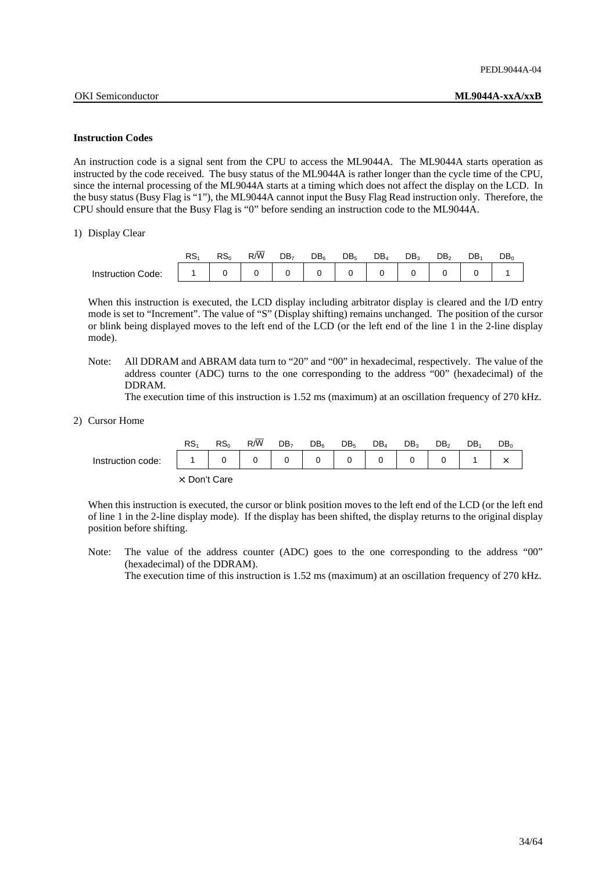### **Instruction Codes**

An instruction code is a signal sent from the CPU to access the ML9044A. The ML9044A starts operation as instructed by the code received. The busy status of the ML9044A is rather longer than the cycle time of the CPU, since the internal processing of the ML9044A starts at a timing which does not affect the display on the LCD. In the busy status (Busy Flag is "1"), the ML9044A cannot input the Busy Flag Read instruction only. Therefore, the CPU should ensure that the Busy Flag is "0" before sending an instruction code to the ML9044A.

1) Display Clear

|                          | DС<br>ּטר | RS <sub>0</sub> | $R/\overline{W}$ | DB <sub>7</sub> | $DB_6$ | DB <sub>5</sub> | $DB_4$ | DB. | DB. | DB. | $DB_0$ |
|--------------------------|-----------|-----------------|------------------|-----------------|--------|-----------------|--------|-----|-----|-----|--------|
| <b>Instruction Code:</b> |           |                 |                  |                 |        |                 |        |     |     |     |        |

When this instruction is executed, the LCD display including arbitrator display is cleared and the I/D entry mode is set to "Increment". The value of "S" (Display shifting) remains unchanged. The position of the cursor or blink being displayed moves to the left end of the LCD (or the left end of the line 1 in the 2-line display mode).

 Note: All DDRAM and ABRAM data turn to "20" and "00" in hexadecimal, respectively. The value of the address counter (ADC) turns to the one corresponding to the address "00" (hexadecimal) of the DDRAM.

The execution time of this instruction is 1.52 ms (maximum) at an oscillation frequency of 270 kHz.

### 2) Cursor Home

|                   | RS <sub>4</sub>       | RS <sub>o</sub> | R/W | DB <sub>7</sub> | DB <sub>6</sub> | DB <sub>5</sub> | $DB_4$ | DB <sub>2</sub> | DB <sub>2</sub> | DB. | DB <sub>o</sub> |
|-------------------|-----------------------|-----------------|-----|-----------------|-----------------|-----------------|--------|-----------------|-----------------|-----|-----------------|
| Instruction code: |                       |                 |     | 0               |                 |                 |        |                 |                 |     |                 |
|                   | $\times$ : Don't Care |                 |     |                 |                 |                 |        |                 |                 |     |                 |

 When this instruction is executed, the cursor or blink position moves to the left end of the LCD (or the left end of line 1 in the 2-line display mode). If the display has been shifted, the display returns to the original display position before shifting.

 Note: The value of the address counter (ADC) goes to the one corresponding to the address "00" (hexadecimal) of the DDRAM).

The execution time of this instruction is 1.52 ms (maximum) at an oscillation frequency of 270 kHz.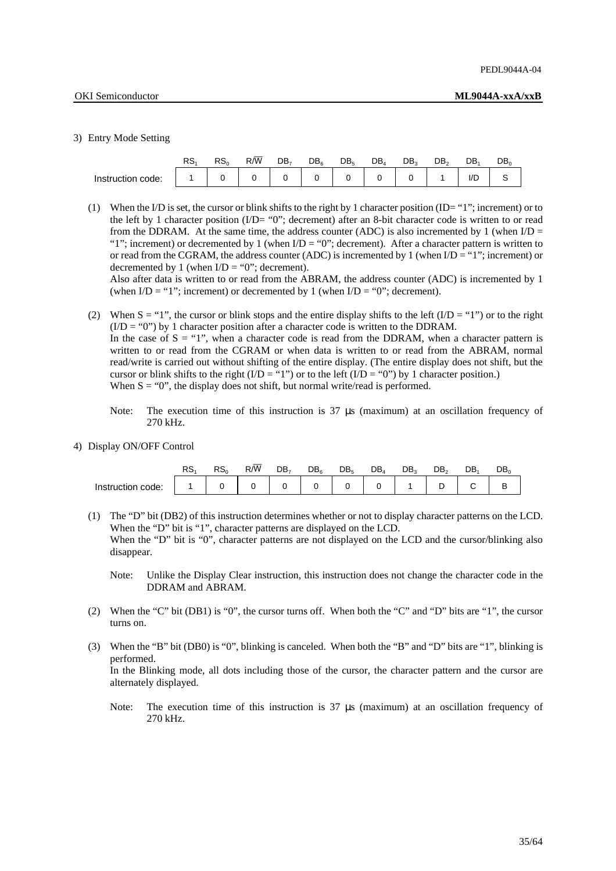### 3) Entry Mode Setting

|                   | RS. | RS <sub>c</sub> | $R/\overline{W}$ | DB, | $DB_6$ | DB <sub>5</sub> | $DB_4$ | DB <sub>2</sub> | DB。 | DB          | DB。 |
|-------------------|-----|-----------------|------------------|-----|--------|-----------------|--------|-----------------|-----|-------------|-----|
| Instruction code: |     |                 |                  |     |        |                 |        |                 |     | $1/\square$ |     |

(1) When the I/D is set, the cursor or blink shifts to the right by 1 character position  $(ID = "1"$ ; increment) or to the left by 1 character position (I/D= "0"; decrement) after an 8-bit character code is written to or read from the DDRAM. At the same time, the address counter (ADC) is also incremented by 1 (when  $ID =$ "1"; increment) or decremented by 1 (when  $I/D = "0"$ ; decrement). After a character pattern is written to or read from the CGRAM, the address counter (ADC) is incremented by 1 (when  $I/D = "1"$ ; increment) or decremented by 1 (when  $I/D = "0"$ ; decrement).

 Also after data is written to or read from the ABRAM, the address counter (ADC) is incremented by 1 (when  $ID = "1"$ ; increment) or decremented by 1 (when  $ID = "0"$ ; decrement).

- (2) When  $S = "1"$ , the cursor or blink stops and the entire display shifts to the left (I/D = "1") or to the right  $(I/D = "0")$  by 1 character position after a character code is written to the DDRAM. In the case of  $S = "1"$ , when a character code is read from the DDRAM, when a character pattern is written to or read from the CGRAM or when data is written to or read from the ABRAM, normal read/write is carried out without shifting of the entire display. (The entire display does not shift, but the cursor or blink shifts to the right  $(I/D = "1")$  or to the left  $(I/D = "0")$  by 1 character position.) When  $S = "0"$ , the display does not shift, but normal write/read is performed.
	- Note: The execution time of this instruction is  $37 \mu s$  (maximum) at an oscillation frequency of 270 kHz.
- 4) Display ON/OFF Control

|                   | RS. | RS <sub>0</sub> | $R/\overline{W}$ | DB, | $DB_6$ | DB <sub>5</sub> | $DB_4$ | DB。 |        | DB. | DB. |
|-------------------|-----|-----------------|------------------|-----|--------|-----------------|--------|-----|--------|-----|-----|
| Instruction code: |     |                 |                  |     |        |                 |        |     | $\Box$ |     |     |

- (1) The "D" bit (DB2) of this instruction determines whether or not to display character patterns on the LCD. When the "D" bit is "1", character patterns are displayed on the LCD. When the "D" bit is "0", character patterns are not displayed on the LCD and the cursor/blinking also disappear.
	- Note: Unlike the Display Clear instruction, this instruction does not change the character code in the DDRAM and ABRAM.
- (2) When the "C" bit (DB1) is "0", the cursor turns off. When both the "C" and "D" bits are "1", the cursor turns on.
- (3) When the "B" bit (DB0) is "0", blinking is canceled. When both the "B" and "D" bits are "1", blinking is performed. In the Blinking mode, all dots including those of the cursor, the character pattern and the cursor are alternately displayed.
	- Note: The execution time of this instruction is  $37 \mu s$  (maximum) at an oscillation frequency of 270 kHz.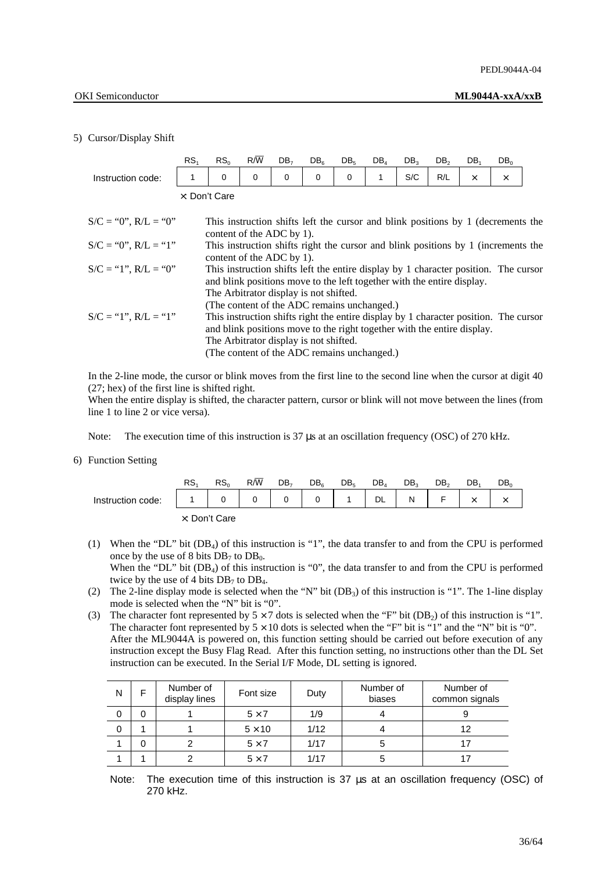### 5) Cursor/Display Shift

|                        | RS <sub>1</sub>       | RS <sub>0</sub>                                                                                                                                                 | $R/\overline{W}$ | DB <sub>7</sub> | DB <sub>6</sub> | DB <sub>5</sub> | $DB_4$ | DB <sub>3</sub> | DB <sub>2</sub> | DB <sub>1</sub>                                                                                                                                                 | DB <sub>o</sub> |  |
|------------------------|-----------------------|-----------------------------------------------------------------------------------------------------------------------------------------------------------------|------------------|-----------------|-----------------|-----------------|--------|-----------------|-----------------|-----------------------------------------------------------------------------------------------------------------------------------------------------------------|-----------------|--|
| Instruction code:      | 1                     | 0                                                                                                                                                               | 0                | 0               | 0               | 0               | 1      | S/C             | R/L             | $\times$                                                                                                                                                        | $\times$        |  |
|                        | $\times$ : Don't Care |                                                                                                                                                                 |                  |                 |                 |                 |        |                 |                 |                                                                                                                                                                 |                 |  |
| $S/C = "0", R/L = "0"$ |                       | content of the ADC by 1).                                                                                                                                       |                  |                 |                 |                 |        |                 |                 | This instruction shifts left the cursor and blink positions by 1 (decrements the                                                                                |                 |  |
| $S/C = "0", R/L = "1"$ |                       | content of the ADC by 1).                                                                                                                                       |                  |                 |                 |                 |        |                 |                 | This instruction shifts right the cursor and blink positions by 1 (increments the                                                                               |                 |  |
| $S/C = "1", R/L = "0"$ |                       | and blink positions move to the left together with the entire display.<br>The Arbitrator display is not shifted.<br>(The content of the ADC remains unchanged.) |                  |                 |                 |                 |        |                 |                 | This instruction shifts left the entire display by 1 character position. The cursor                                                                             |                 |  |
| $S/C = "1", R/L = "1"$ |                       | The Arbitrator display is not shifted.<br>(The content of the ADC remains unchanged.)                                                                           |                  |                 |                 |                 |        |                 |                 | This instruction shifts right the entire display by 1 character position. The cursor<br>and blink positions move to the right together with the entire display. |                 |  |

 In the 2-line mode, the cursor or blink moves from the first line to the second line when the cursor at digit 40 (27; hex) of the first line is shifted right.

 When the entire display is shifted, the character pattern, cursor or blink will not move between the lines (from line 1 to line 2 or vice versa).

Note: The execution time of this instruction is 37 µs at an oscillation frequency (OSC) of 270 kHz.

### 6) Function Setting

|                   | RS. | RS <sub>o</sub> | R/W | DB <sub>7</sub> | DB <sub>6</sub> | DB <sub>5</sub> | $DB_4$    | DB <sub>3</sub> | DB <sub>2</sub> | DB.          | DB。 |
|-------------------|-----|-----------------|-----|-----------------|-----------------|-----------------|-----------|-----------------|-----------------|--------------|-----|
| Instruction code: |     |                 |     | $\mathbf 0$     | 0               |                 | <b>DL</b> | N               | F.              | $\checkmark$ |     |
|                   |     | x: Don't Care   |     |                 |                 |                 |           |                 |                 |              |     |

- (1) When the "DL" bit (DB4) of this instruction is "1", the data transfer to and from the CPU is performed once by the use of 8 bits  $DB_7$  to  $DB_0$ . When the "DL" bit  $(DB_4)$  of this instruction is "0", the data transfer to and from the CPU is performed twice by the use of 4 bits  $DB_7$  to  $DB_4$ .
- (2) The 2-line display mode is selected when the "N" bit  $(DB_3)$  of this instruction is "1". The 1-line display mode is selected when the "N" bit is "0".
- (3) The character font represented by  $5 \times 7$  dots is selected when the "F" bit (DB<sub>2</sub>) of this instruction is "1". The character font represented by  $5 \times 10$  dots is selected when the "F" bit is "1" and the "N" bit is "0". After the ML9044A is powered on, this function setting should be carried out before execution of any instruction except the Busy Flag Read. After this function setting, no instructions other than the DL Set instruction can be executed. In the Serial I/F Mode, DL setting is ignored.

| N | F | Number of<br>display lines | Font size     | Duty | Number of<br>biases | Number of<br>common signals |
|---|---|----------------------------|---------------|------|---------------------|-----------------------------|
| 0 | 0 |                            | $5 \times 7$  | 1/9  |                     |                             |
| 0 |   |                            | $5 \times 10$ | 1/12 |                     | 12                          |
|   | 0 |                            | $5 \times 7$  | 1/17 |                     |                             |
|   |   |                            | $5 \times 7$  | 1/17 |                     |                             |

Note: The execution time of this instruction is 37  $\mu$ s at an oscillation frequency (OSC) of 270 kHz.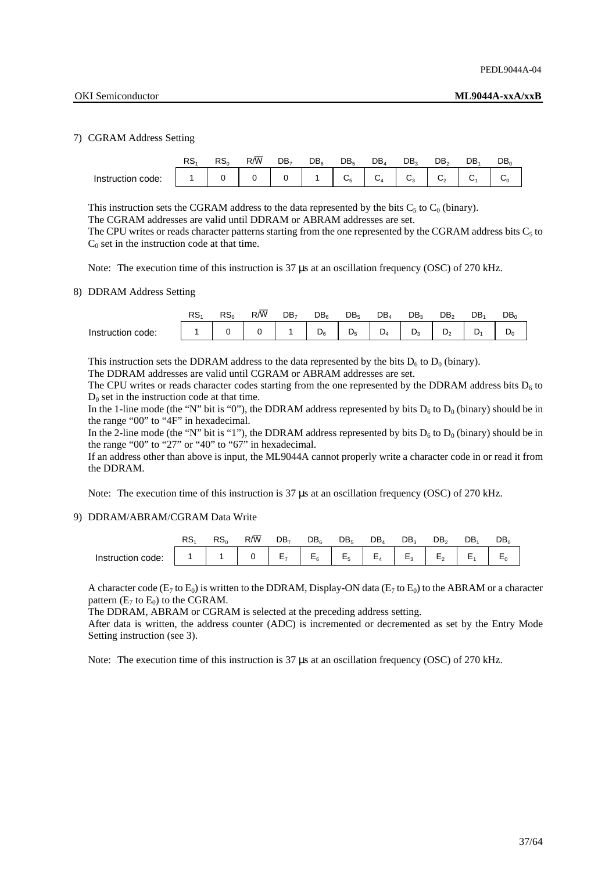### 7) CGRAM Address Setting

|                   | RS. | RS <sub>0</sub> | $R/\overline{W}$ | DB <sub>7</sub> | DB <sub>e</sub> | DB <sub>5</sub> | $DB_4$ | DB.            | DB <sub>2</sub>     | DB.          | DB, |
|-------------------|-----|-----------------|------------------|-----------------|-----------------|-----------------|--------|----------------|---------------------|--------------|-----|
| Instruction code: |     |                 |                  |                 |                 | $C_5$           | $C_4$  | C <sub>3</sub> | $C_{2}$<br><u>.</u> | $\sim$<br>v1 | ◡օ  |

This instruction sets the CGRAM address to the data represented by the bits  $C_5$  to  $C_0$  (binary).

The CGRAM addresses are valid until DDRAM or ABRAM addresses are set.

The CPU writes or reads character patterns starting from the one represented by the CGRAM address bits  $C_5$  to  $C_0$  set in the instruction code at that time.

Note: The execution time of this instruction is 37  $\mu$ s at an oscillation frequency (OSC) of 270 kHz.

### 8) DDRAM Address Setting

|                      | RS <sub>1</sub> | RS <sub>n</sub> | R/W | DB, | $DB_6$     | DB <sub>5</sub> | DB, | DB.    | DB.          | DB | DB.            |
|----------------------|-----------------|-----------------|-----|-----|------------|-----------------|-----|--------|--------------|----|----------------|
| Instruction<br>code: |                 |                 |     |     | D<br>$U_6$ | D<br>◡          | ے ۔ | ∍<br>◡ | D<br>ىر<br>- |    | $\mathbf{v}_0$ |

This instruction sets the DDRAM address to the data represented by the bits  $D_6$  to  $D_0$  (binary).

The DDRAM addresses are valid until CGRAM or ABRAM addresses are set.

The CPU writes or reads character codes starting from the one represented by the DDRAM address bits  $D<sub>6</sub>$  to  $D_0$  set in the instruction code at that time.

In the 1-line mode (the "N" bit is "0"), the DDRAM address represented by bits  $D_6$  to  $D_0$  (binary) should be in the range "00" to "4F" in hexadecimal.

In the 2-line mode (the "N" bit is "1"), the DDRAM address represented by bits  $D_6$  to  $D_0$  (binary) should be in the range "00" to "27" or "40" to "67" in hexadecimal.

 If an address other than above is input, the ML9044A cannot properly write a character code in or read it from the DDRAM.

Note: The execution time of this instruction is 37 us at an oscillation frequency (OSC) of 270 kHz.

### 9) DDRAM/ABRAM/CGRAM Data Write

|                   | כ ה | RS <sub>0</sub> | R/W | DB,                 | DB <sub>e</sub>    | DB <sub>5</sub>      | $DB_4$  |                                   |                | DB. | DB, |
|-------------------|-----|-----------------|-----|---------------------|--------------------|----------------------|---------|-----------------------------------|----------------|-----|-----|
| Instruction code: |     |                 |     | Е<br>--<br><u>.</u> | $F_{\alpha}$<br>-- | E <sub>5</sub><br>–ు | $E_{A}$ | $\overline{ }$<br>►.<br>. .<br>-ు | $\overline{ }$ | -   | -   |

A character code  $(E_7$  to  $E_0$ ) is written to the DDRAM, Display-ON data  $(E_7$  to  $E_0$ ) to the ABRAM or a character pattern  $(E_7 \text{ to } E_0)$  to the CGRAM.

The DDRAM, ABRAM or CGRAM is selected at the preceding address setting.

 After data is written, the address counter (ADC) is incremented or decremented as set by the Entry Mode Setting instruction (see 3).

Note: The execution time of this instruction is 37  $\mu$ s at an oscillation frequency (OSC) of 270 kHz.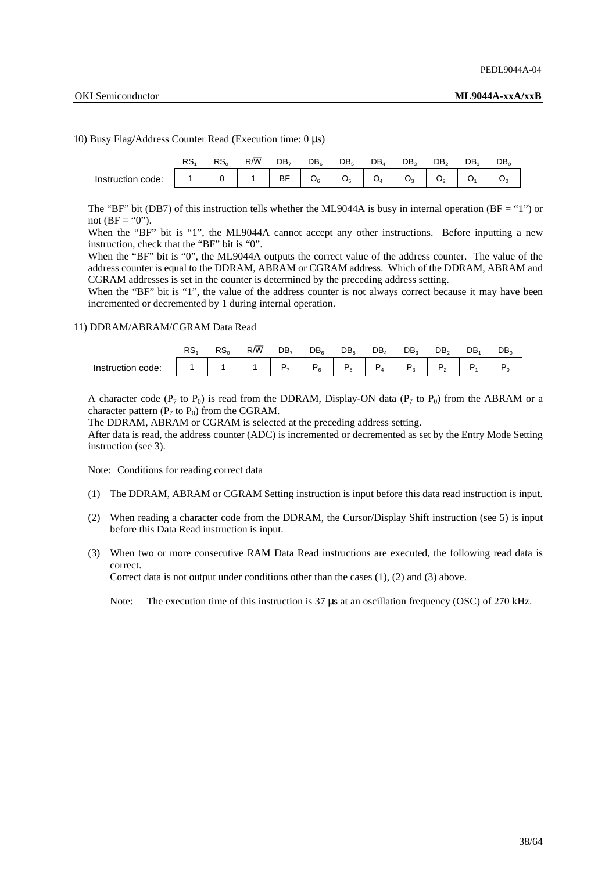10) Busy Flag/Address Counter Read (Execution time: 0 µs)

|                   | RS <sub>0</sub> | $R/\overline{W}$ | DB <sub>7</sub> | DB <sub>6</sub> | DB <sub>5</sub> | $DB_4$         | DB。   |                            | DB. | DB。 |
|-------------------|-----------------|------------------|-----------------|-----------------|-----------------|----------------|-------|----------------------------|-----|-----|
| Instruction code: |                 |                  | BF              | $O_6$           | O <sub>5</sub>  | O <sub>4</sub> | $O_3$ | O <sub>2</sub><br><b>.</b> |     |     |

The "BF" bit (DB7) of this instruction tells whether the ML9044A is busy in internal operation (BF = "1") or not  $(BF = "0")$ .

When the "BF" bit is "1", the ML9044A cannot accept any other instructions. Before inputting a new instruction, check that the "BF" bit is "0".

 When the "BF" bit is "0", the ML9044A outputs the correct value of the address counter. The value of the address counter is equal to the DDRAM, ABRAM or CGRAM address. Which of the DDRAM, ABRAM and CGRAM addresses is set in the counter is determined by the preceding address setting.

When the "BF" bit is "1", the value of the address counter is not always correct because it may have been incremented or decremented by 1 during internal operation.

### 11) DDRAM/ABRAM/CGRAM Data Read

|                   | RS. | RS <sub>0</sub> | R/W | DB, | DB。    | DB <sub>5</sub> | $DB_4$ | DB。 | DB <sub>2</sub> | DB. | DB <sub>0</sub> |
|-------------------|-----|-----------------|-----|-----|--------|-----------------|--------|-----|-----------------|-----|-----------------|
| Instruction code: |     |                 |     | D   | D<br>6 | ×.              |        |     |                 |     |                 |

A character code ( $P_7$  to  $P_0$ ) is read from the DDRAM, Display-ON data ( $P_7$  to  $P_0$ ) from the ABRAM or a character pattern ( $P_7$  to  $P_0$ ) from the CGRAM.

The DDRAM, ABRAM or CGRAM is selected at the preceding address setting.

 After data is read, the address counter (ADC) is incremented or decremented as set by the Entry Mode Setting instruction (see 3).

Note: Conditions for reading correct data

- (1) The DDRAM, ABRAM or CGRAM Setting instruction is input before this data read instruction is input.
- (2) When reading a character code from the DDRAM, the Cursor/Display Shift instruction (see 5) is input before this Data Read instruction is input.
- (3) When two or more consecutive RAM Data Read instructions are executed, the following read data is correct.

Correct data is not output under conditions other than the cases (1), (2) and (3) above.

Note: The execution time of this instruction is 37 µs at an oscillation frequency (OSC) of 270 kHz.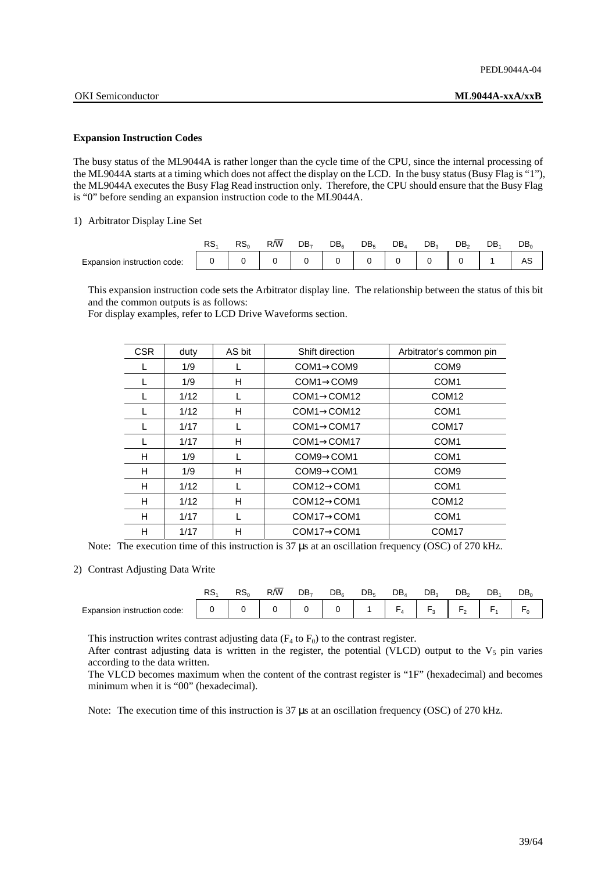### **Expansion Instruction Codes**

The busy status of the ML9044A is rather longer than the cycle time of the CPU, since the internal processing of the ML9044A starts at a timing which does not affect the display on the LCD. In the busy status (Busy Flag is "1"), the ML9044A executes the Busy Flag Read instruction only. Therefore, the CPU should ensure that the Busy Flag is "0" before sending an expansion instruction code to the ML9044A.

### 1) Arbitrator Display Line Set

|                             | RS. | RS <sub>0</sub> | R/W | DB, | DB <sub>e</sub> | DB. | DB, | DB <sub>2</sub> | DB <sub>2</sub> | DB. | $\mathsf{DB}_0$ |
|-----------------------------|-----|-----------------|-----|-----|-----------------|-----|-----|-----------------|-----------------|-----|-----------------|
| Expansion instruction code: |     |                 |     |     |                 |     |     |                 |                 |     | سہ              |

 This expansion instruction code sets the Arbitrator display line. The relationship between the status of this bit and the common outputs is as follows:

For display examples, refer to LCD Drive Waveforms section.

| <b>CSR</b> | duty | AS bit | Shift direction          | Arbitrator's common pin |
|------------|------|--------|--------------------------|-------------------------|
|            | 1/9  |        | $COM1 \rightarrow$ COM9  | COM <sub>9</sub>        |
|            | 1/9  | н      | $COM1 \rightarrow$ COM9  | COM <sub>1</sub>        |
|            | 1/12 |        | $COM1 \rightarrow$ COM12 | COM <sub>12</sub>       |
| L          | 1/12 | н      | $COM1 \rightarrow COM12$ | COM <sub>1</sub>        |
|            | 1/17 |        | $COM1 \rightarrow$ COM17 | COM <sub>17</sub>       |
|            | 1/17 | н      | $COM1 \rightarrow$ COM17 | COM <sub>1</sub>        |
| н          | 1/9  |        | $COM9 \rightarrow COM1$  | COM <sub>1</sub>        |
| н          | 1/9  | н      | $COM9 \rightarrow COM1$  | COM <sub>9</sub>        |
| н          | 1/12 |        | $COM12 \rightarrow COM1$ | COM <sub>1</sub>        |
| н          | 1/12 | н      | $COM12 \rightarrow COM1$ | COM <sub>12</sub>       |
| н          | 1/17 |        | $COM17 \rightarrow COM1$ | COM <sub>1</sub>        |
| н          | 1/17 | Н      | $COM17 \rightarrow COM1$ | COM <sub>17</sub>       |

Note: The execution time of this instruction is 37 µs at an oscillation frequency (OSC) of 270 kHz.

### 2) Contrast Adjusting Data Write

|                             | RS. | RS <sub>0</sub> | R/W | DB, | DB. | DB. | $DB_4$         | DB.    | DB. | DB. | $DB_0$ |
|-----------------------------|-----|-----------------|-----|-----|-----|-----|----------------|--------|-----|-----|--------|
| Expansion instruction code: |     |                 |     |     |     |     | $\overline{ }$ | -<br>w | -   |     |        |

This instruction writes contrast adjusting data  $(F_4 \text{ to } F_0)$  to the contrast register.

After contrast adjusting data is written in the register, the potential (VLCD) output to the  $V_5$  pin varies according to the data written.

 The VLCD becomes maximum when the content of the contrast register is "1F" (hexadecimal) and becomes minimum when it is "00" (hexadecimal).

Note: The execution time of this instruction is 37  $\mu$ s at an oscillation frequency (OSC) of 270 kHz.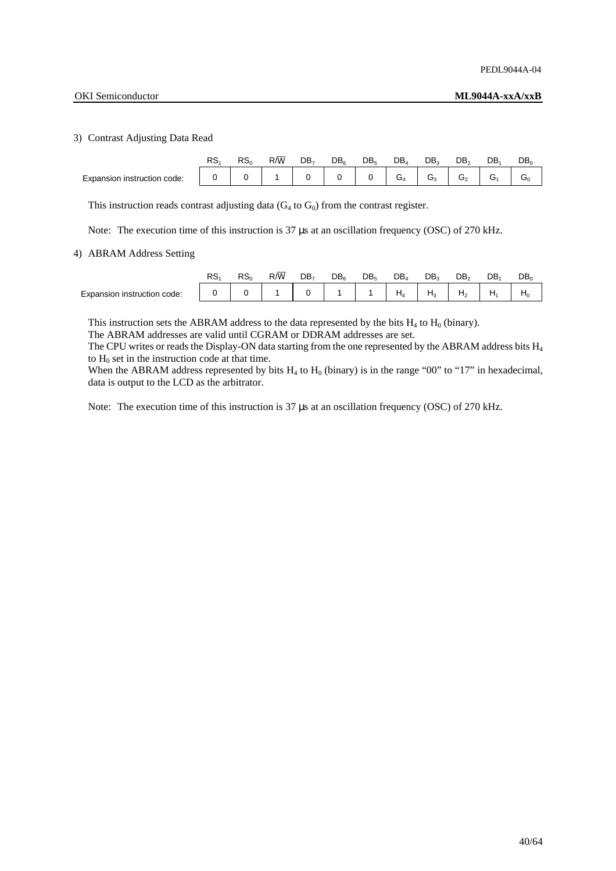### 3) Contrast Adjusting Data Read

|                             | DC<br>∘⊂∩ | RS <sub>o</sub> | $R/\overline{W}$ | DB <sub>7</sub> | DB <sub>e</sub> | DB. | DB,          | DB.          | DB。 | DB. | DB. |
|-----------------------------|-----------|-----------------|------------------|-----------------|-----------------|-----|--------------|--------------|-----|-----|-----|
| Expansion instruction code: |           |                 |                  | $\sim$          |                 |     | $\sim$<br>⊿ت | $\sim$<br>،ت | ⌒   |     | ౮∩  |

This instruction reads contrast adjusting data  $(G_4 \text{ to } G_0)$  from the contrast register.

Note: The execution time of this instruction is 37  $\mu$ s at an oscillation frequency (OSC) of 270 kHz.

### 4) ABRAM Address Setting

|                             | RS | RS <sub>0</sub> | $R/\overline{W}$ | DB, | DB. | DB, | $DB_4$         | DB. | DB。             | DB. | DB <sub>0</sub> |
|-----------------------------|----|-----------------|------------------|-----|-----|-----|----------------|-----|-----------------|-----|-----------------|
| Expansion instruction code: |    |                 |                  |     |     |     | $\mathbf{u}_A$ |     | -le<br><u>.</u> |     | $H_0$           |

This instruction sets the ABRAM address to the data represented by the bits  $H_4$  to  $H_0$  (binary).

The ABRAM addresses are valid until CGRAM or DDRAM addresses are set.

The CPU writes or reads the Display-ON data starting from the one represented by the ABRAM address bits H<sub>4</sub> to  $H_0$  set in the instruction code at that time.

When the ABRAM address represented by bits  $H_4$  to  $H_0$  (binary) is in the range "00" to "17" in hexadecimal, data is output to the LCD as the arbitrator.

Note: The execution time of this instruction is 37  $\mu$ s at an oscillation frequency (OSC) of 270 kHz.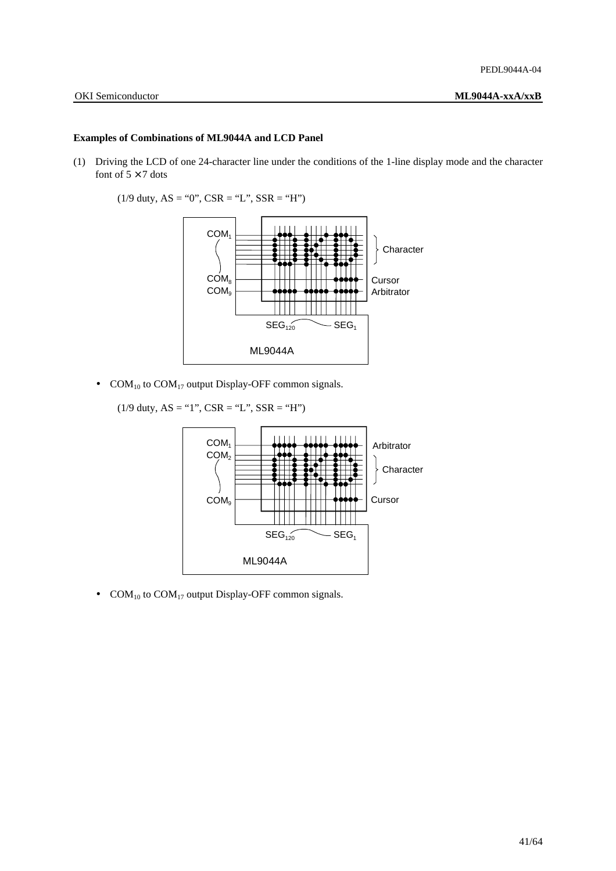### **Examples of Combinations of ML9044A and LCD Panel**

- (1) Driving the LCD of one 24-character line under the conditions of the 1-line display mode and the character font of  $5 \times 7$  dots
	- $(1/9$  duty,  $AS = "0", CSR = "L", SSR = "H"$



- COM<sub>10</sub> to COM<sub>17</sub> output Display-OFF common signals.
	- $(1/9$  duty,  $AS = "1", CSR = "L", SSR = "H"$



• COM<sub>10</sub> to COM<sub>17</sub> output Display-OFF common signals.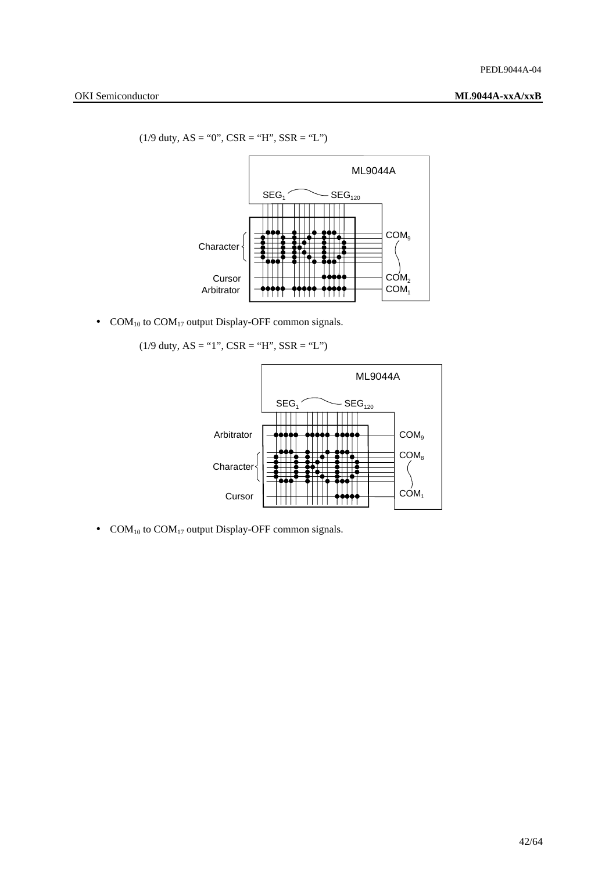$(1/9$  duty, AS = "0", CSR = "H", SSR = "L")



• COM<sub>10</sub> to COM<sub>17</sub> output Display-OFF common signals.

 $(1/9$  duty, AS = "1", CSR = "H", SSR = "L")



• COM<sub>10</sub> to COM<sub>17</sub> output Display-OFF common signals.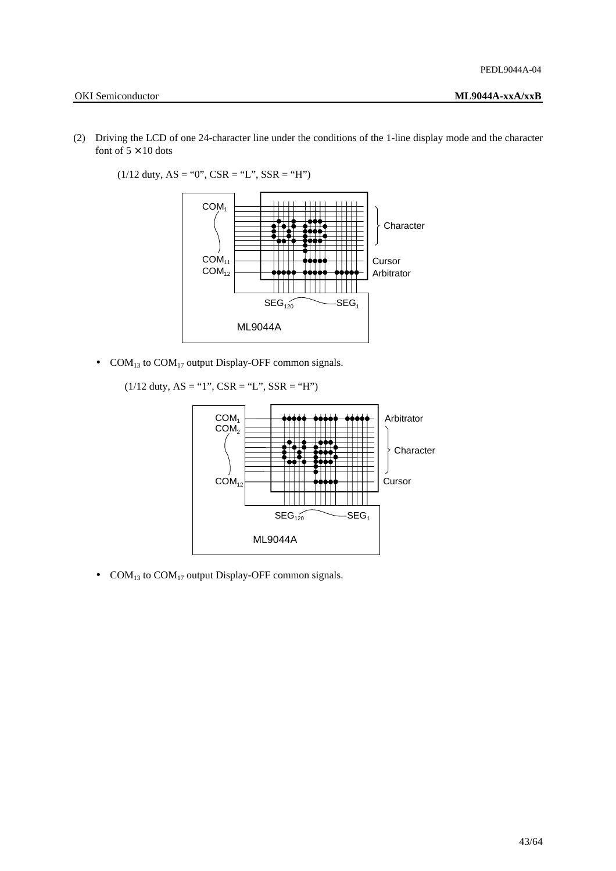- 
- (2) Driving the LCD of one 24-character line under the conditions of the 1-line display mode and the character font of  $5 \times 10$  dots



 $(1/12$  duty, AS = "0", CSR = "L", SSR = "H")

• COM<sub>13</sub> to COM<sub>17</sub> output Display-OFF common signals.

 $(1/12$  duty,  $AS = "1", CSR = "L", SSR = "H"$ 



• COM<sub>13</sub> to COM<sub>17</sub> output Display-OFF common signals.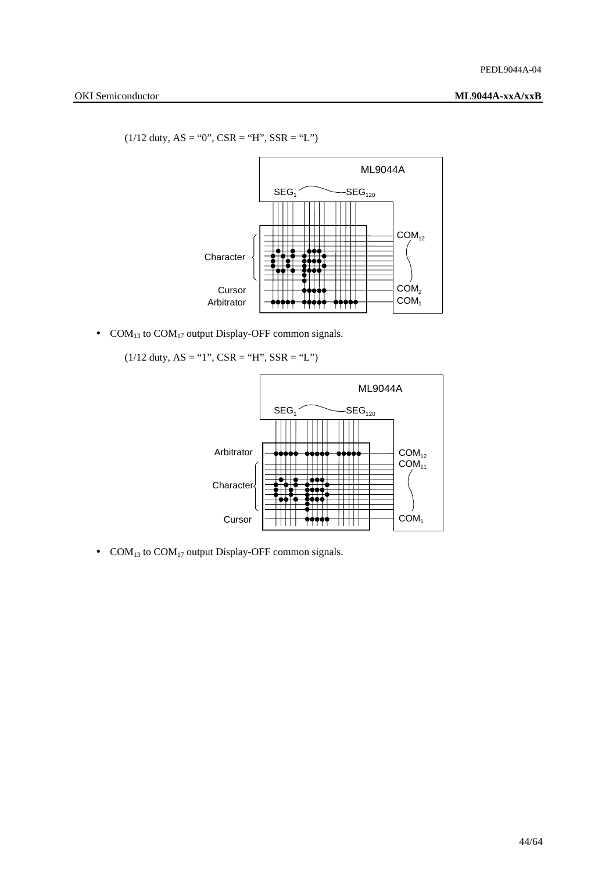$(1/12 \text{ duty}, AS = "0", CSR = "H", SSR = "L")$ 



• COM<sub>13</sub> to COM<sub>17</sub> output Display-OFF common signals.

 $(1/12$  duty, AS = "1", CSR = "H", SSR = "L")



• COM<sub>13</sub> to COM<sub>17</sub> output Display-OFF common signals.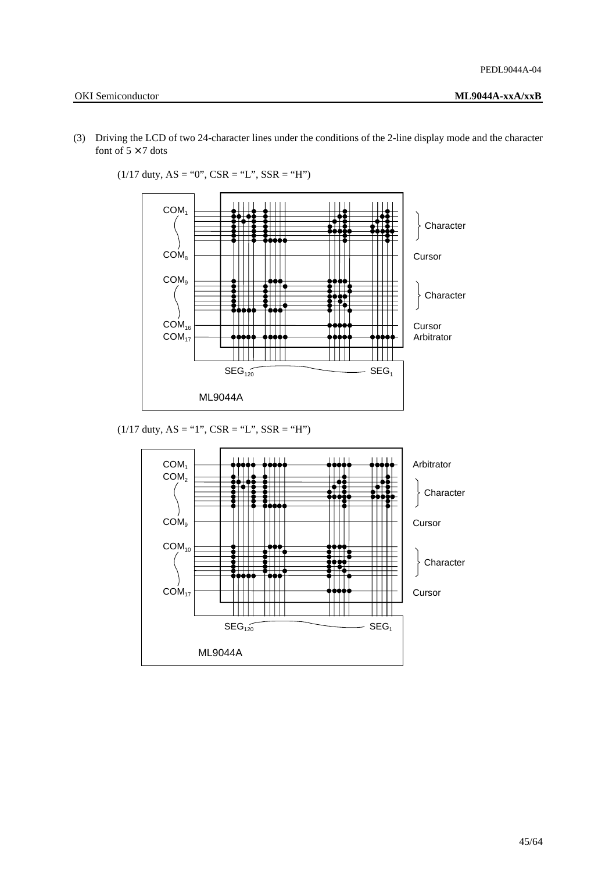- OKI Semiconductor **ML9044A-xxA/xxB**
- (3) Driving the LCD of two 24-character lines under the conditions of the 2-line display mode and the character font of  $5 \times 7$  dots



 $(1/17 \text{ duty}, AS = "0", CSR = "L", SSR = "H")$ 

 $(1/17$  duty,  $AS = "1", CSR = "L", SSR = "H"$ 

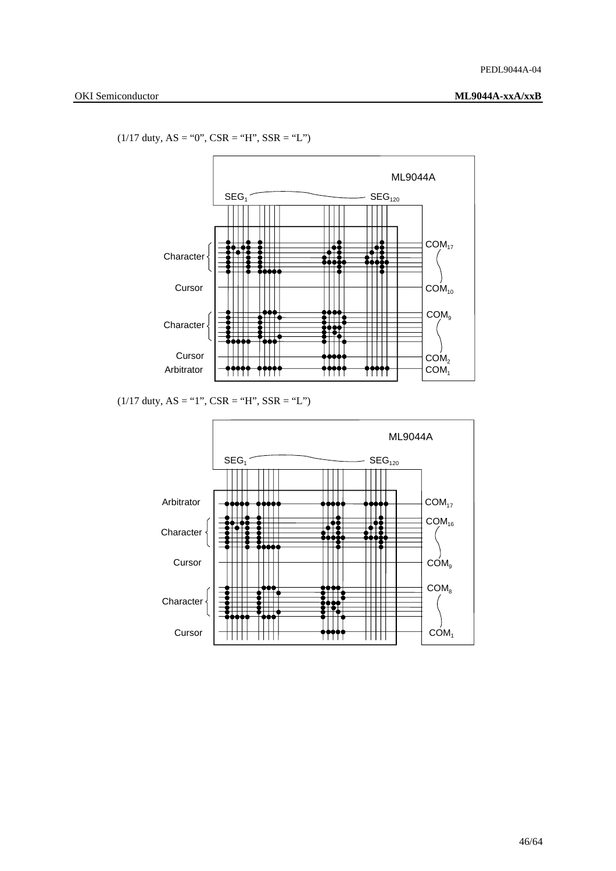$(1/17 \text{ duty}, AS = "0", CSR = "H", SSR = "L")$ 



 $(1/17$  duty,  $AS = "1", CSR = "H", SSR = "L")$ 

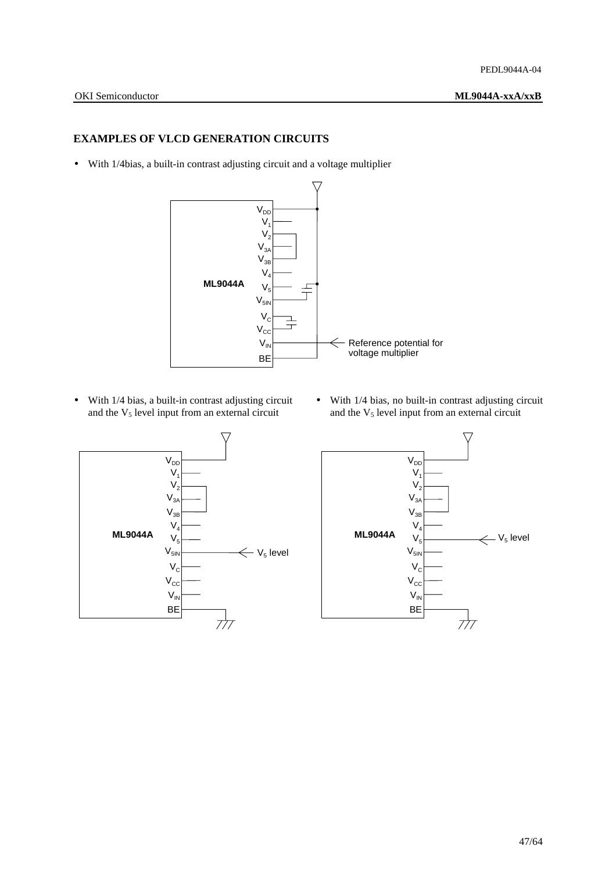## **EXAMPLES OF VLCD GENERATION CIRCUITS**

• With 1/4bias, a built-in contrast adjusting circuit and a voltage multiplier



and the  $V_5$  level input from an external circuit and the  $V_5$  level input from an external circuit



• With 1/4 bias, a built-in contrast adjusting circuit • With 1/4 bias, no built-in contrast adjusting circuit

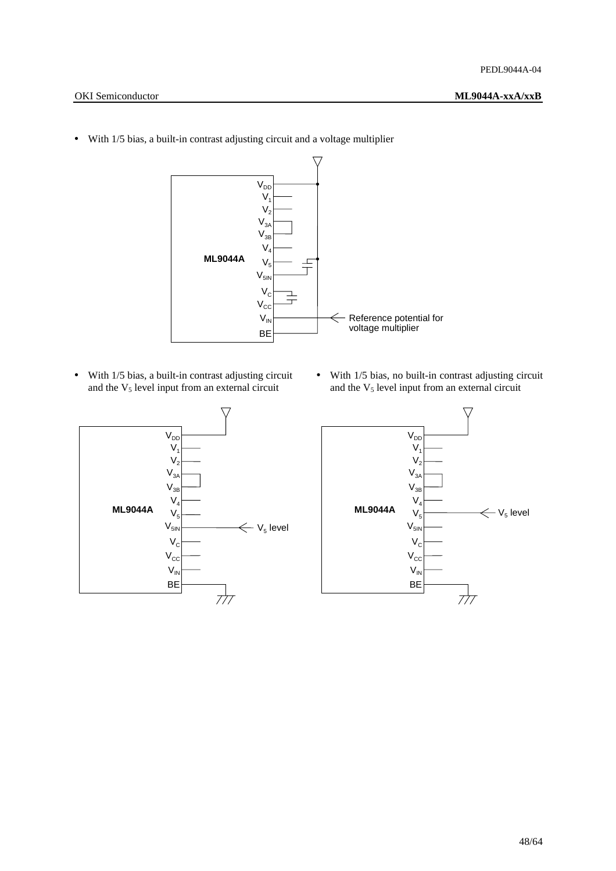- OKI Semiconductor **ML9044A-xxA/xxB**
	- $V_{DD}$  $V<sub>1</sub>$  $V<sub>2</sub>$  $V_{3A}$  $V_{3B}$  $V<sub>4</sub>$ **ML9044A**  $V<sub>5</sub>$  $V_{5IN}$  $V_{\rm C}$  $\frac{1}{1}$  $V_{\rm CC}$ - Reference potential for  $V_{IN}$  $\Leftarrow$ voltage multiplier BE
- With 1/5 bias, a built-in contrast adjusting circuit and a voltage multiplier

• With 1/5 bias, a built-in contrast adjusting circuit  $\bullet$  With 1/5 bias, no built-in contrast adjusting circuit and the  $V_5$  level input from an external circuit and the  $V_5$  level input from an external circuit and the  $V<sub>5</sub>$  level input from an external circuit



-<br>V<sub>DD</sub>  $V<sub>1</sub>$  $V<sub>2</sub>$  $V_{3A}$  $V_{3B}$  $V_4$ **ML9044A**  $\leftarrow$  V<sub>5</sub> level  $V<sub>5</sub>$  $V_{5I}$  $V<sub>c</sub>$  $V_{\text{cc}}$  $V_{IN}$ BE  $7/7$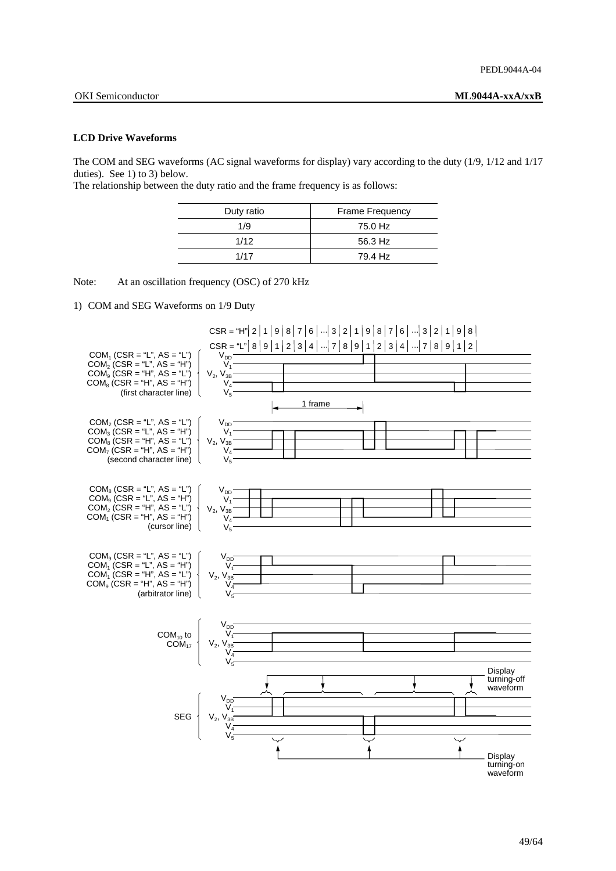### **LCD Drive Waveforms**

The COM and SEG waveforms (AC signal waveforms for display) vary according to the duty (1/9, 1/12 and 1/17 duties). See 1) to 3) below.

The relationship between the duty ratio and the frame frequency is as follows:

| Duty ratio | <b>Frame Frequency</b> |
|------------|------------------------|
| 1/9        | 75.0 Hz                |
| 1/12       | 56.3 Hz                |
| 1/17       | 79.4 Hz                |
|            |                        |

Note: At an oscillation frequency (OSC) of 270 kHz

1) COM and SEG Waveforms on 1/9 Duty

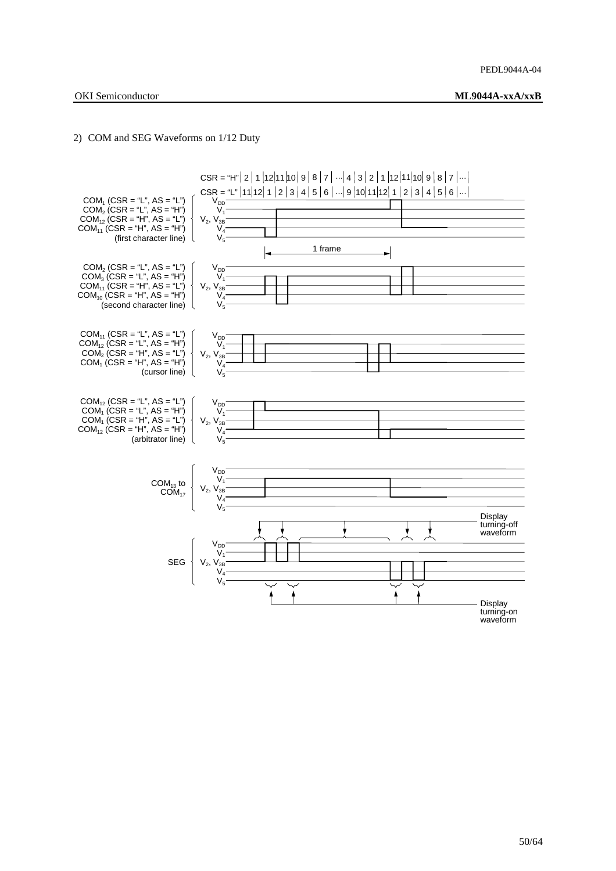### 2) COM and SEG Waveforms on 1/12 Duty

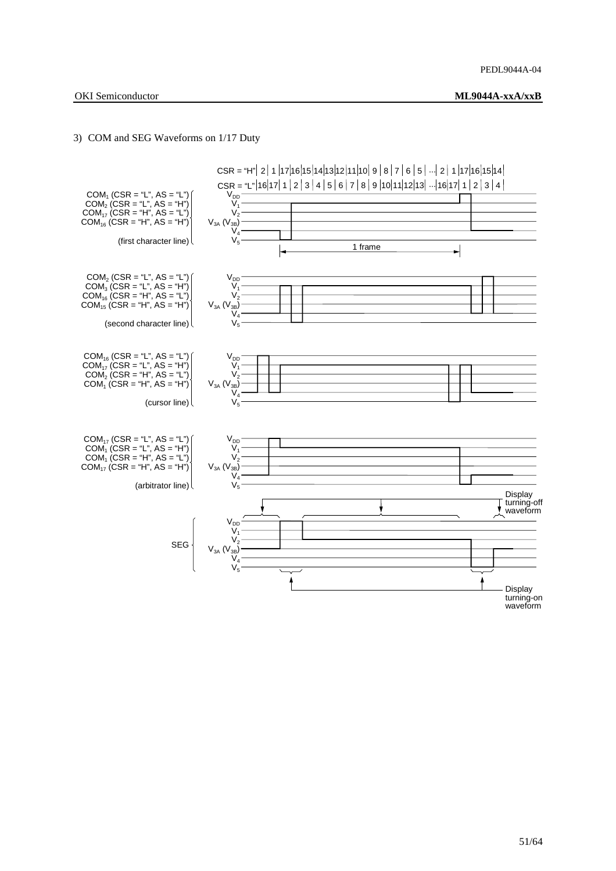### 3) COM and SEG Waveforms on 1/17 Duty

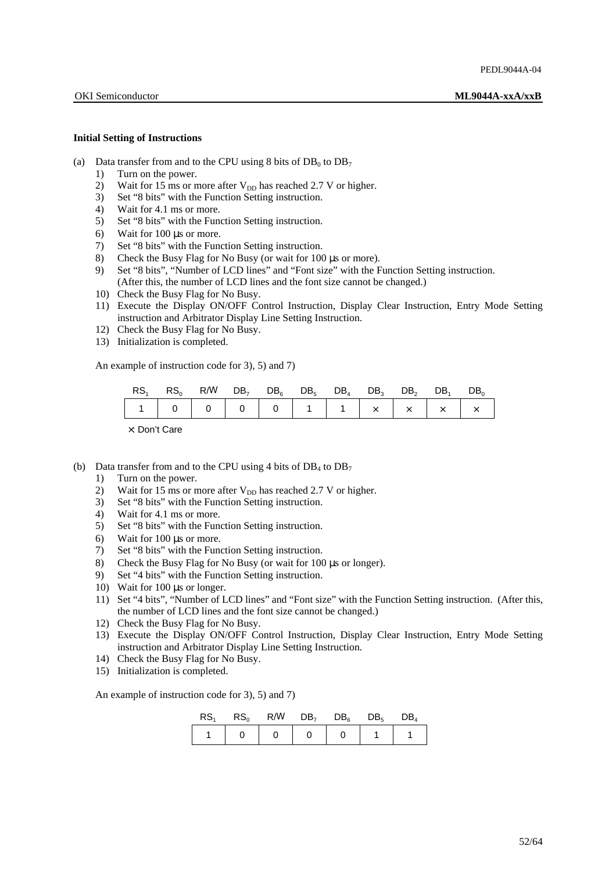### **Initial Setting of Instructions**

- (a) Data transfer from and to the CPU using 8 bits of  $DB_0$  to  $DB_7$ 
	- 1) Turn on the power.
	- 2) Wait for 15 ms or more after  $V_{DD}$  has reached 2.7 V or higher.
	- 3) Set "8 bits" with the Function Setting instruction.
	- 4) Wait for 4.1 ms or more.
	- 5) Set "8 bits" with the Function Setting instruction.
	- 6) Wait for 100  $\mu$ s or more.<br>
	7) Set "8 bits" with the Fund
	- Set "8 bits" with the Function Setting instruction.
	- 8) Check the Busy Flag for No Busy (or wait for 100 µs or more).
	- 9) Set "8 bits", "Number of LCD lines" and "Font size" with the Function Setting instruction. (After this, the number of LCD lines and the font size cannot be changed.)
	- 10) Check the Busy Flag for No Busy.
	- 11) Execute the Display ON/OFF Control Instruction, Display Clear Instruction, Entry Mode Setting instruction and Arbitrator Display Line Setting Instruction.
	- 12) Check the Busy Flag for No Busy.
	- 13) Initialization is completed.

An example of instruction code for 3), 5) and 7)

| $\mathsf{RS}_1$ $\mathsf{RS}_0$ $\mathsf{R}/\overline{\mathsf{W}}$ $\mathsf{DB}_7$ $\mathsf{DB}_6$ $\mathsf{DB}_5$ $\mathsf{DB}_4$ $\mathsf{DB}_3$ $\mathsf{DB}_2$ $\mathsf{DB}_1$ $\mathsf{DB}_0$ |  |  |  |  |  |
|----------------------------------------------------------------------------------------------------------------------------------------------------------------------------------------------------|--|--|--|--|--|
|                                                                                                                                                                                                    |  |  |  |  |  |

×: Don't Care

(b) Data transfer from and to the CPU using 4 bits of  $DB_4$  to  $DB_7$ 

- 1) Turn on the power.
- 2) Wait for 15 ms or more after  $V_{DD}$  has reached 2.7 V or higher.
- 3) Set "8 bits" with the Function Setting instruction.
- 4) Wait for 4.1 ms or more.
- 5) Set "8 bits" with the Function Setting instruction.
- 6) Wait for 100 µs or more.
- 7) Set "8 bits" with the Function Setting instruction.
- 8) Check the Busy Flag for No Busy (or wait for 100 µs or longer).
- 9) Set "4 bits" with the Function Setting instruction.
- 10) Wait for 100  $\mu$ s or longer.
- 11) Set "4 bits", "Number of LCD lines" and "Font size" with the Function Setting instruction. (After this, the number of LCD lines and the font size cannot be changed.)
- 12) Check the Busy Flag for No Busy.
- 13) Execute the Display ON/OFF Control Instruction, Display Clear Instruction, Entry Mode Setting instruction and Arbitrator Display Line Setting Instruction.
- 14) Check the Busy Flag for No Busy.
- 15) Initialization is completed.

An example of instruction code for 3), 5) and 7)

| RS <sub>1</sub> |  | $\text{RS}_{0}$ $\text{R}/\overline{\text{W}}$ $\text{DB}_{7}$ $\text{DB}_{6}$ $\text{DB}_{5}$ $\text{DB}_{4}$ |  |
|-----------------|--|----------------------------------------------------------------------------------------------------------------|--|
|                 |  |                                                                                                                |  |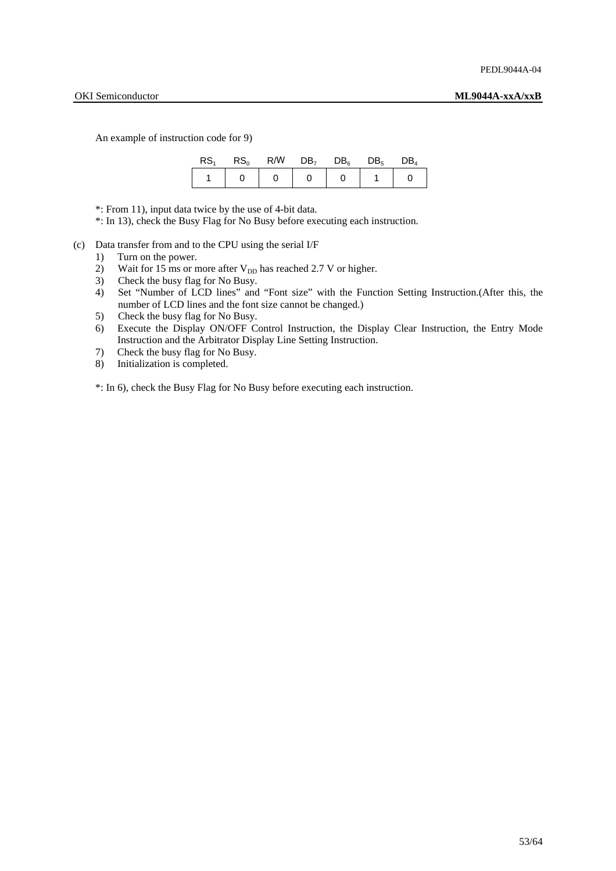An example of instruction code for 9)

| RS. | $\text{RS}_{\scriptscriptstyle{\alpha}}$ | $R/\overline{W}$ DB <sub>7</sub> DB <sub>6</sub> DB <sub>5</sub> DB <sub>4</sub> |  |  |
|-----|------------------------------------------|----------------------------------------------------------------------------------|--|--|
|     |                                          |                                                                                  |  |  |

\*: From 11), input data twice by the use of 4-bit data.

\*: In 13), check the Busy Flag for No Busy before executing each instruction.

- (c) Data transfer from and to the CPU using the serial I/F
	- 1) Turn on the power.
	- 2) Wait for 15 ms or more after  $V_{DD}$  has reached 2.7 V or higher.
	- 3) Check the busy flag for No Busy.
	- 4) Set "Number of LCD lines" and "Font size" with the Function Setting Instruction.(After this, the number of LCD lines and the font size cannot be changed.)
	- 5) Check the busy flag for No Busy.
	- 6) Execute the Display ON/OFF Control Instruction, the Display Clear Instruction, the Entry Mode Instruction and the Arbitrator Display Line Setting Instruction.
	- 7) Check the busy flag for No Busy.
	- 8) Initialization is completed.

\*: In 6), check the Busy Flag for No Busy before executing each instruction.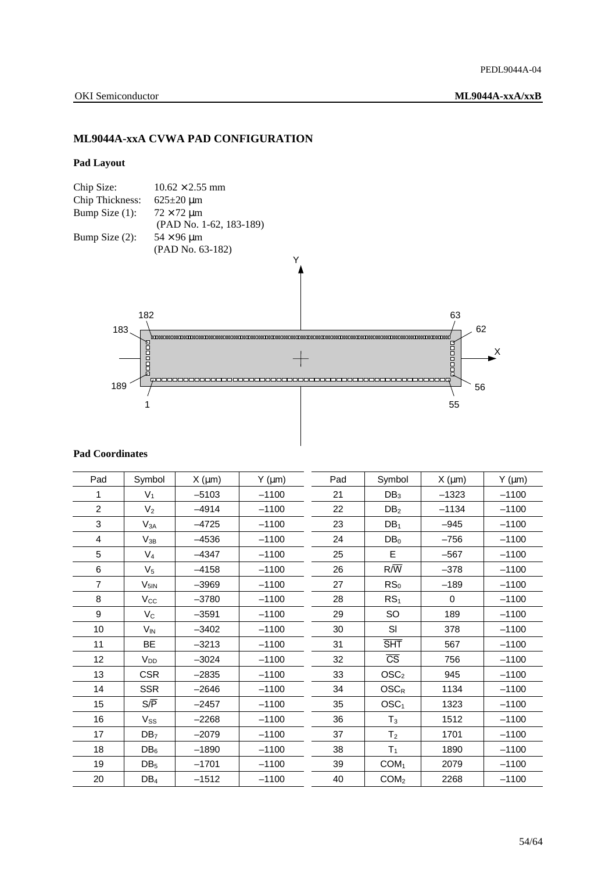## **ML9044A-xxA CVWA PAD CONFIGURATION**

### **Pad Layout**



## **Pad Coordinates**

| Pad            | Symbol           | $X \text{ (µm)}$ | $Y$ ( $\mu$ m) | Pad | Symbol                      | X (µm)      | $Y$ ( $\mu$ m) |
|----------------|------------------|------------------|----------------|-----|-----------------------------|-------------|----------------|
|                | $V_1$            | $-5103$          | $-1100$        | 21  | DB <sub>3</sub>             | $-1323$     | $-1100$        |
| $\overline{2}$ | V <sub>2</sub>   | $-4914$          | $-1100$        | 22  | DB <sub>2</sub>             | $-1134$     | $-1100$        |
| 3              | $V_{3A}$         | $-4725$          | $-1100$        | 23  | DB <sub>1</sub>             | $-945$      | $-1100$        |
| 4              | $V_{3B}$         | $-4536$          | $-1100$        | 24  | DB <sub>0</sub>             | $-756$      | $-1100$        |
| 5              | $V_4$            | $-4347$          | $-1100$        | 25  | E                           | $-567$      | $-1100$        |
| 6              | V <sub>5</sub>   | $-4158$          | $-1100$        | 26  | $R/\overline{W}$            | $-378$      | $-1100$        |
| $\overline{7}$ | $V_{5IN}$        | $-3969$          | $-1100$        | 27  | RS <sub>0</sub>             | $-189$      | $-1100$        |
| 8              | $V_{\rm CC}$     | $-3780$          | $-1100$        | 28  | RS <sub>1</sub>             | $\mathbf 0$ | $-1100$        |
| 9              | $V_C$            | $-3591$          | $-1100$        | 29  | SO                          | 189         | $-1100$        |
| 10             | $V_{IN}$         | $-3402$          | $-1100$        | 30  | SI                          | 378         | $-1100$        |
| 11             | BE               | $-3213$          | $-1100$        | 31  | <b>SHT</b>                  | 567         | $-1100$        |
| 12             | V <sub>DD</sub>  | $-3024$          | $-1100$        | 32  | $\overline{\text{CS}}$      | 756         | $-1100$        |
| 13             | <b>CSR</b>       | $-2835$          | $-1100$        | 33  | $\text{OSC}_2$              | 945         | $-1100$        |
| 14             | <b>SSR</b>       | $-2646$          | $-1100$        | 34  | $\mathsf{OSC}_{\mathsf{R}}$ | 1134        | $-1100$        |
| 15             | $S/\overline{P}$ | $-2457$          | $-1100$        | 35  | OSC <sub>1</sub>            | 1323        | $-1100$        |
| 16             | $V_{SS}$         | $-2268$          | $-1100$        | 36  | $T_3$                       | 1512        | $-1100$        |
| 17             | DB <sub>7</sub>  | $-2079$          | $-1100$        | 37  | T <sub>2</sub>              | 1701        | $-1100$        |
| 18             | $DB_6$           | $-1890$          | $-1100$        | 38  | T <sub>1</sub>              | 1890        | $-1100$        |
| 19             | DB <sub>5</sub>  | $-1701$          | $-1100$        | 39  | COM <sub>1</sub>            | 2079        | $-1100$        |
| 20             | $DB_4$           | $-1512$          | $-1100$        | 40  | COM <sub>2</sub>            | 2268        | $-1100$        |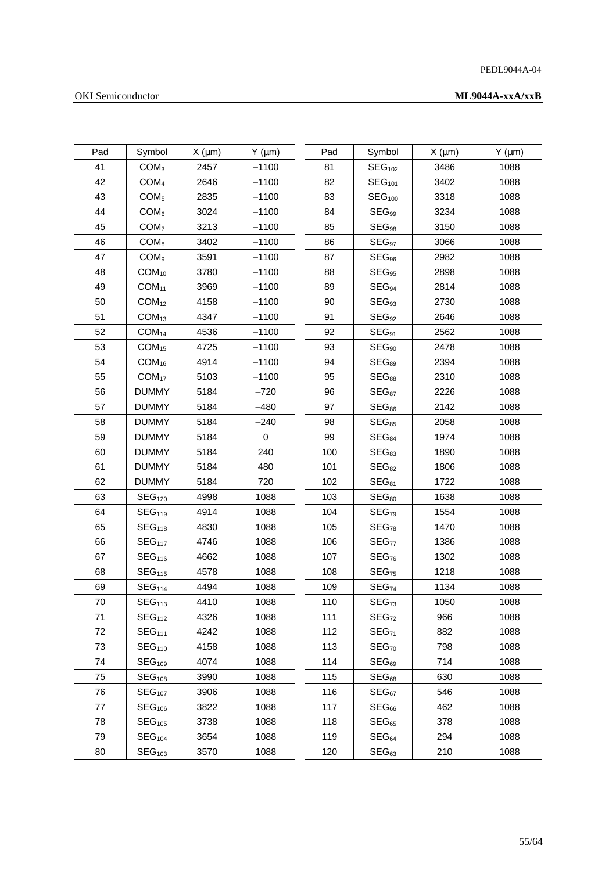## PEDL9044A-04

## OKI Semiconductor

| Pad | Symbol             | $X \text{ (µm)}$ | $Y$ ( $\mu$ m) | Pad | Symbol             | $X \text{ (µm)}$ | $Y$ ( $\mu$ m) |
|-----|--------------------|------------------|----------------|-----|--------------------|------------------|----------------|
| 41  | COM <sub>3</sub>   | 2457             | $-1100$        | 81  | SEG <sub>102</sub> | 3486             | 1088           |
| 42  | COM <sub>4</sub>   | 2646             | $-1100$        | 82  | SEG <sub>101</sub> | 3402             | 1088           |
| 43  | COM <sub>5</sub>   | 2835             | $-1100$        | 83  | SEG <sub>100</sub> | 3318             | 1088           |
| 44  | COM <sub>6</sub>   | 3024             | $-1100$        | 84  | $SEG_{99}$         | 3234             | 1088           |
| 45  | COM <sub>7</sub>   | 3213             | $-1100$        | 85  | $SEG_{98}$         | 3150             | 1088           |
| 46  | COM <sub>8</sub>   | 3402             | $-1100$        | 86  | SEG <sub>97</sub>  | 3066             | 1088           |
| 47  | COM <sub>9</sub>   | 3591             | $-1100$        | 87  | $SEG_{96}$         | 2982             | 1088           |
| 48  | COM <sub>10</sub>  | 3780             | $-1100$        | 88  | $SEG_{95}$         | 2898             | 1088           |
| 49  | COM <sub>11</sub>  | 3969             | $-1100$        | 89  | SEG <sub>94</sub>  | 2814             | 1088           |
| 50  | COM <sub>12</sub>  | 4158             | $-1100$        | 90  | SEG <sub>93</sub>  | 2730             | 1088           |
| 51  | COM <sub>13</sub>  | 4347             | $-1100$        | 91  | SEG <sub>92</sub>  | 2646             | 1088           |
| 52  | COM <sub>14</sub>  | 4536             | $-1100$        | 92  | $SEG_{91}$         | 2562             | 1088           |
| 53  | COM <sub>15</sub>  | 4725             | $-1100$        | 93  | SEG <sub>90</sub>  | 2478             | 1088           |
| 54  | COM <sub>16</sub>  | 4914             | $-1100$        | 94  | SEG89              | 2394             | 1088           |
| 55  | COM <sub>17</sub>  | 5103             | $-1100$        | 95  | $SEG_{88}$         | 2310             | 1088           |
| 56  | <b>DUMMY</b>       | 5184             | $-720$         | 96  | SEG <sub>87</sub>  | 2226             | 1088           |
| 57  | <b>DUMMY</b>       | 5184             | $-480$         | 97  | $SEG_{86}$         | 2142             | 1088           |
| 58  | <b>DUMMY</b>       | 5184             | $-240$         | 98  | SEG <sub>85</sub>  | 2058             | 1088           |
| 59  | <b>DUMMY</b>       | 5184             | $\mathbf 0$    | 99  | SEG <sub>84</sub>  | 1974             | 1088           |
| 60  | <b>DUMMY</b>       | 5184             | 240            | 100 | SEG <sub>83</sub>  | 1890             | 1088           |
| 61  | <b>DUMMY</b>       | 5184             | 480            | 101 | SEG <sub>82</sub>  | 1806             | 1088           |
| 62  | <b>DUMMY</b>       | 5184             | 720            | 102 | $SEG_{81}$         | 1722             | 1088           |
| 63  | SEG <sub>120</sub> | 4998             | 1088           | 103 | SEG <sub>80</sub>  | 1638             | 1088           |
| 64  | SEG <sub>119</sub> | 4914             | 1088           | 104 | SEG <sub>79</sub>  | 1554             | 1088           |
| 65  | SEG <sub>118</sub> | 4830             | 1088           | 105 | SEG <sub>78</sub>  | 1470             | 1088           |
| 66  | SEG <sub>117</sub> | 4746             | 1088           | 106 | SEG <sub>77</sub>  | 1386             | 1088           |
| 67  | SEG <sub>116</sub> | 4662             | 1088           | 107 | SEG <sub>76</sub>  | 1302             | 1088           |
| 68  | SEG <sub>115</sub> | 4578             | 1088           | 108 | SEG <sub>75</sub>  | 1218             | 1088           |
| 69  | SEG <sub>114</sub> | 4494             | 1088           | 109 | SEG <sub>74</sub>  | 1134             | 1088           |
| 70  | SEG <sub>113</sub> | 4410             | 1088           | 110 | SEG <sub>73</sub>  | 1050             | 1088           |
| 71  | SEG <sub>112</sub> | 4326             | 1088           | 111 | SEG <sub>72</sub>  | 966              | 1088           |
| 72  | SEG <sub>111</sub> | 4242             | 1088           | 112 | SEG <sub>71</sub>  | 882              | 1088           |
| 73  | SEG <sub>110</sub> | 4158             | 1088           | 113 | SEG <sub>70</sub>  | 798              | 1088           |
| 74  | SEG <sub>109</sub> | 4074             | 1088           | 114 | SEG <sub>69</sub>  | 714              | 1088           |
| 75  | SEG <sub>108</sub> | 3990             | 1088           | 115 | SEG <sub>68</sub>  | 630              | 1088           |
| 76  | SEG <sub>107</sub> | 3906             | 1088           | 116 | SEG <sub>67</sub>  | 546              | 1088           |
| 77  | SEG <sub>106</sub> | 3822             | 1088           | 117 | SEG <sub>66</sub>  | 462              | 1088           |
| 78  | SEG <sub>105</sub> | 3738             | 1088           | 118 | SEG <sub>65</sub>  | 378              | 1088           |
| 79  | SEG <sub>104</sub> | 3654             | 1088           | 119 | SEG <sub>64</sub>  | 294              | 1088           |
| 80  | SEG <sub>103</sub> | 3570             | 1088           | 120 | SEG <sub>63</sub>  | 210              | 1088           |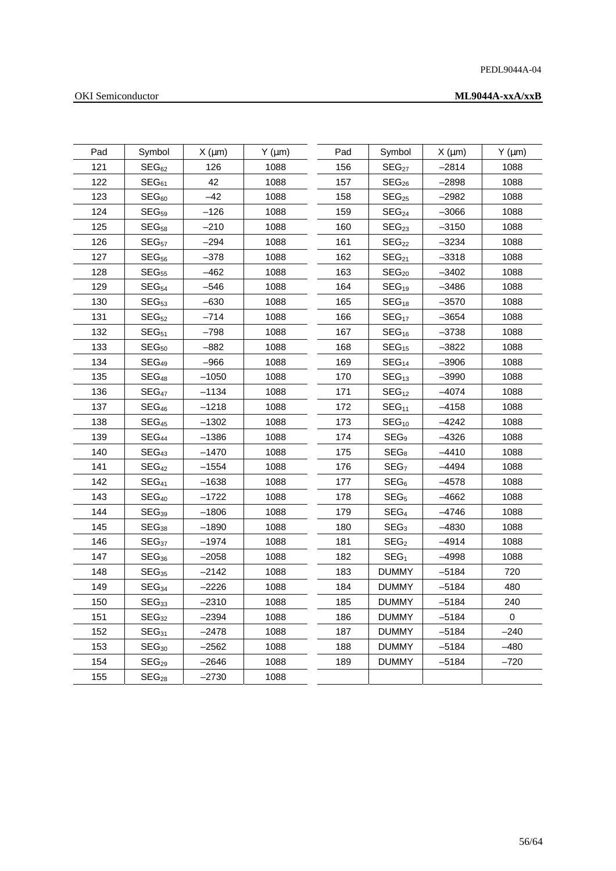## PEDL9044A-04

## OKI Semiconductor

| Pad | Symbol            | $X \text{ (µm)}$ | $Y$ ( $\mu$ m) | Pad | Symbol            | $X \text{ (µm)}$ | $Y$ ( $\mu$ m) |
|-----|-------------------|------------------|----------------|-----|-------------------|------------------|----------------|
| 121 | SEG <sub>62</sub> | 126              | 1088           | 156 | SEG <sub>27</sub> | $-2814$          | 1088           |
| 122 | SEG <sub>61</sub> | 42               | 1088           | 157 | SEG <sub>26</sub> | $-2898$          | 1088           |
| 123 | SEG <sub>60</sub> | $-42$            | 1088           | 158 | SEG <sub>25</sub> | $-2982$          | 1088           |
| 124 | SEG <sub>59</sub> | $-126$           | 1088           | 159 | SEG <sub>24</sub> | $-3066$          | 1088           |
| 125 | SEG <sub>58</sub> | $-210$           | 1088           | 160 | SEG <sub>23</sub> | $-3150$          | 1088           |
| 126 | SEG <sub>57</sub> | $-294$           | 1088           | 161 | SEG <sub>22</sub> | $-3234$          | 1088           |
| 127 | SEG <sub>56</sub> | $-378$           | 1088           | 162 | SEG <sub>21</sub> | $-3318$          | 1088           |
| 128 | SEG <sub>55</sub> | -462             | 1088           | 163 | SEG <sub>20</sub> | $-3402$          | 1088           |
| 129 | SEG <sub>54</sub> | $-546$           | 1088           | 164 | $SEG_{19}$        | $-3486$          | 1088           |
| 130 | SEG <sub>53</sub> | $-630$           | 1088           | 165 | $SEG_{18}$        | $-3570$          | 1088           |
| 131 | SEG <sub>52</sub> | $-714$           | 1088           | 166 | SEG <sub>17</sub> | $-3654$          | 1088           |
| 132 | SEG <sub>51</sub> | -798             | 1088           | 167 | $SEG_{16}$        | -3738            | 1088           |
| 133 | SEG <sub>50</sub> | $-882$           | 1088           | 168 | $SEG_{15}$        | $-3822$          | 1088           |
| 134 | SEG <sub>49</sub> | $-966$           | 1088           | 169 | SEG <sub>14</sub> | $-3906$          | 1088           |
| 135 | SEG <sub>48</sub> | $-1050$          | 1088           | 170 | SEG <sub>13</sub> | $-3990$          | 1088           |
| 136 | SEG <sub>47</sub> | $-1134$          | 1088           | 171 | SEG <sub>12</sub> | $-4074$          | 1088           |
| 137 | SEG <sub>46</sub> | $-1218$          | 1088           | 172 | SEG <sub>11</sub> | $-4158$          | 1088           |
| 138 | SEG <sub>45</sub> | $-1302$          | 1088           | 173 | SEG <sub>10</sub> | $-4242$          | 1088           |
| 139 | SEG <sub>44</sub> | $-1386$          | 1088           | 174 | SEG <sub>9</sub>  | $-4326$          | 1088           |
| 140 | SEG <sub>43</sub> | $-1470$          | 1088           | 175 | $SEG_8$           | $-4410$          | 1088           |
| 141 | SEG <sub>42</sub> | $-1554$          | 1088           | 176 | SEG <sub>7</sub>  | $-4494$          | 1088           |
| 142 | SEG <sub>41</sub> | $-1638$          | 1088           | 177 | SEG <sub>6</sub>  | $-4578$          | 1088           |
| 143 | SEG <sub>40</sub> | $-1722$          | 1088           | 178 | SEG <sub>5</sub>  | $-4662$          | 1088           |
| 144 | $SEG_{39}$        | $-1806$          | 1088           | 179 | SEG <sub>4</sub>  | $-4746$          | 1088           |
| 145 | SEG <sub>38</sub> | $-1890$          | 1088           | 180 | SEG <sub>3</sub>  | $-4830$          | 1088           |
| 146 | SEG <sub>37</sub> | $-1974$          | 1088           | 181 | SEG <sub>2</sub>  | $-4914$          | 1088           |
| 147 | $SEG_{36}$        | $-2058$          | 1088           | 182 | SEG <sub>1</sub>  | $-4998$          | 1088           |
| 148 | SEG <sub>35</sub> | $-2142$          | 1088           | 183 | <b>DUMMY</b>      | $-5184$          | 720            |
| 149 | SEG <sub>34</sub> | -2226            | 1088           | 184 | <b>DUMMY</b>      | $-5184$          | 480            |
| 150 | SEG <sub>33</sub> | $-2310$          | 1088           | 185 | DUMMY             | $-5184$          | 240            |
| 151 | SEG <sub>32</sub> | $-2394$          | 1088           | 186 | <b>DUMMY</b>      | $-5184$          | $\Omega$       |
| 152 | SEG <sub>31</sub> | $-2478$          | 1088           | 187 | <b>DUMMY</b>      | $-5184$          | $-240$         |
| 153 | SEG <sub>30</sub> | $-2562$          | 1088           | 188 | <b>DUMMY</b>      | $-5184$          | $-480$         |
| 154 | SEG <sub>29</sub> | $-2646$          | 1088           | 189 | <b>DUMMY</b>      | $-5184$          | $-720$         |
| 155 | SEG <sub>28</sub> | $-2730$          | 1088           |     |                   |                  |                |
|     |                   |                  |                |     |                   |                  |                |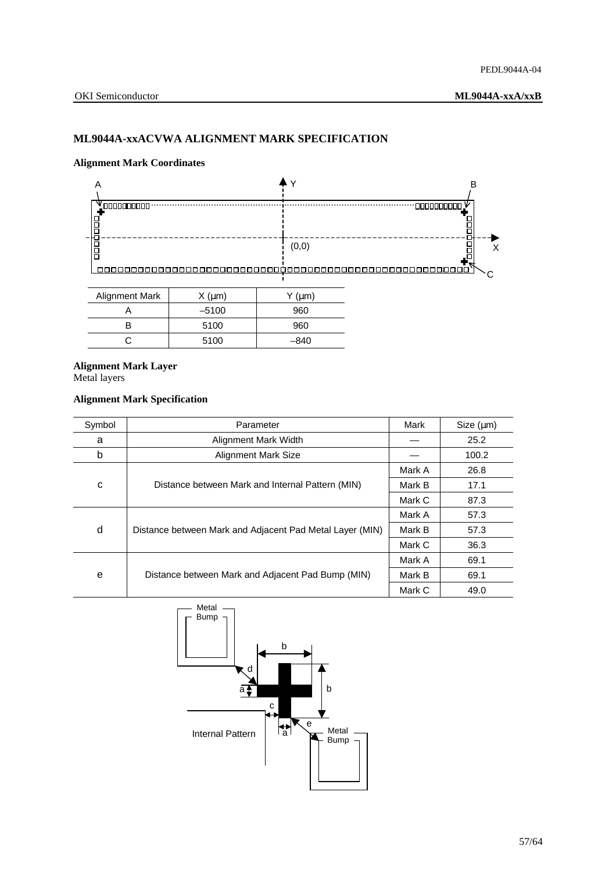## **ML9044A-xxACVWA ALIGNMENT MARK SPECIFICATION**

### **Alignment Mark Coordinates**



| Alignment Mark | $X \, (\mu m)$ | Υ (μm) |
|----------------|----------------|--------|
|                | $-5100$        | 960    |
|                | 5100           | 960    |
|                | 5100           | –840   |

## **Alignment Mark Layer**

Metal layers

## **Alignment Mark Specification**

| Symbol | Parameter                                                | Mark   | Size (µm) |
|--------|----------------------------------------------------------|--------|-----------|
| a      | Alignment Mark Width                                     |        | 25.2      |
| b      | <b>Alignment Mark Size</b>                               |        | 100.2     |
| C      |                                                          | Mark A | 26.8      |
|        | Distance between Mark and Internal Pattern (MIN)         | Mark B | 17.1      |
|        |                                                          | Mark C | 87.3      |
| d      |                                                          | Mark A | 57.3      |
|        | Distance between Mark and Adjacent Pad Metal Layer (MIN) | Mark B | 57.3      |
|        |                                                          | Mark C | 36.3      |
| e      |                                                          | Mark A | 69.1      |
|        | Distance between Mark and Adjacent Pad Bump (MIN)        | Mark B | 69.1      |
|        |                                                          | Mark C | 49.0      |

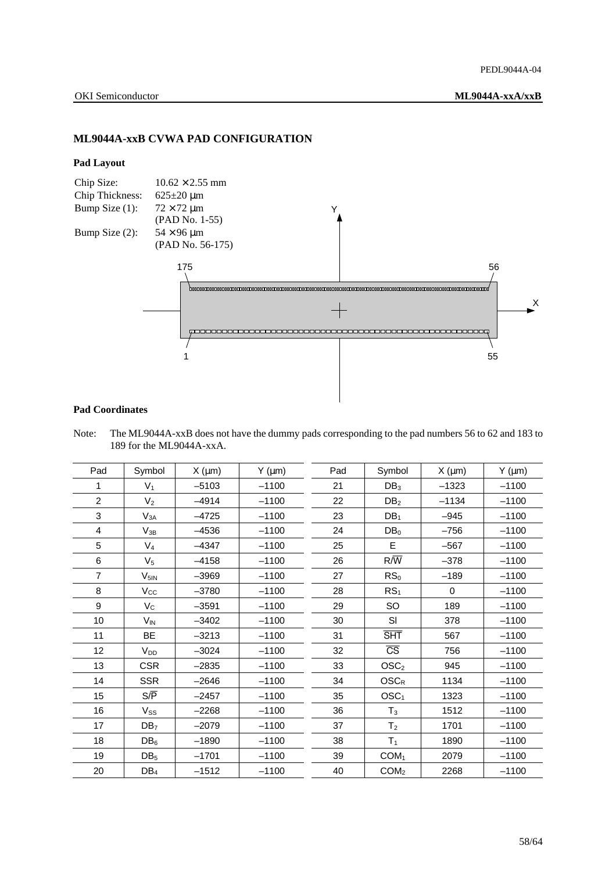## **ML9044A-xxB CVWA PAD CONFIGURATION**

### **Pad Layout**



### **Pad Coordinates**

Note: The ML9044A-xxB does not have the dummy pads corresponding to the pad numbers 56 to 62 and 183 to 189 for the ML9044A-xxA.

| Pad            | Symbol           | $X \text{ (µm)}$ | $Y$ ( $\mu$ m) | Pad | Symbol                 | $X \text{ (µm)}$ | $Y$ ( $\mu$ m) |
|----------------|------------------|------------------|----------------|-----|------------------------|------------------|----------------|
| 1              | V <sub>1</sub>   | $-5103$          | $-1100$        | 21  | DB <sub>3</sub>        | $-1323$          | $-1100$        |
| $\overline{c}$ | V <sub>2</sub>   | $-4914$          | $-1100$        | 22  | DB <sub>2</sub>        | $-1134$          | $-1100$        |
| 3              | $V_{3A}$         | $-4725$          | $-1100$        | 23  | DB <sub>1</sub>        | $-945$           | $-1100$        |
| 4              | $V_{3B}$         | $-4536$          | $-1100$        | 24  | DB <sub>0</sub>        | $-756$           | $-1100$        |
| 5              | $V_4$            | $-4347$          | $-1100$        | 25  | E                      | $-567$           | $-1100$        |
| 6              | $V_5$            | $-4158$          | $-1100$        | 26  | $R/\overline{W}$       | $-378$           | $-1100$        |
| $\overline{7}$ | $V_{5IN}$        | $-3969$          | $-1100$        | 27  | RS <sub>0</sub>        | $-189$           | $-1100$        |
| 8              | $V_{\rm CC}$     | $-3780$          | $-1100$        | 28  | RS <sub>1</sub>        | $\Omega$         | $-1100$        |
| 9              | $V_{\rm C}$      | $-3591$          | $-1100$        | 29  | SO                     | 189              | $-1100$        |
| 10             | $V_{IN}$         | $-3402$          | $-1100$        | 30  | SI                     | 378              | $-1100$        |
| 11             | BE               | $-3213$          | $-1100$        | 31  | <b>SHT</b>             | 567              | $-1100$        |
| 12             | V <sub>DD</sub>  | $-3024$          | $-1100$        | 32  | $\overline{\text{CS}}$ | 756              | $-1100$        |
| 13             | <b>CSR</b>       | $-2835$          | $-1100$        | 33  | OSC <sub>2</sub>       | 945              | $-1100$        |
| 14             | <b>SSR</b>       | $-2646$          | $-1100$        | 34  | $OSC_R$                | 1134             | $-1100$        |
| 15             | $S/\overline{P}$ | $-2457$          | $-1100$        | 35  | OSC <sub>1</sub>       | 1323             | $-1100$        |
| 16             | $V_{SS}$         | $-2268$          | $-1100$        | 36  | $T_3$                  | 1512             | $-1100$        |
| 17             | DB <sub>7</sub>  | $-2079$          | $-1100$        | 37  | T <sub>2</sub>         | 1701             | $-1100$        |
| 18             | $DB_6$           | $-1890$          | $-1100$        | 38  | T <sub>1</sub>         | 1890             | $-1100$        |
| 19             | DB <sub>5</sub>  | $-1701$          | $-1100$        | 39  | COM <sub>1</sub>       | 2079             | $-1100$        |
| 20             | $DB_4$           | $-1512$          | $-1100$        | 40  | COM <sub>2</sub>       | 2268             | $-1100$        |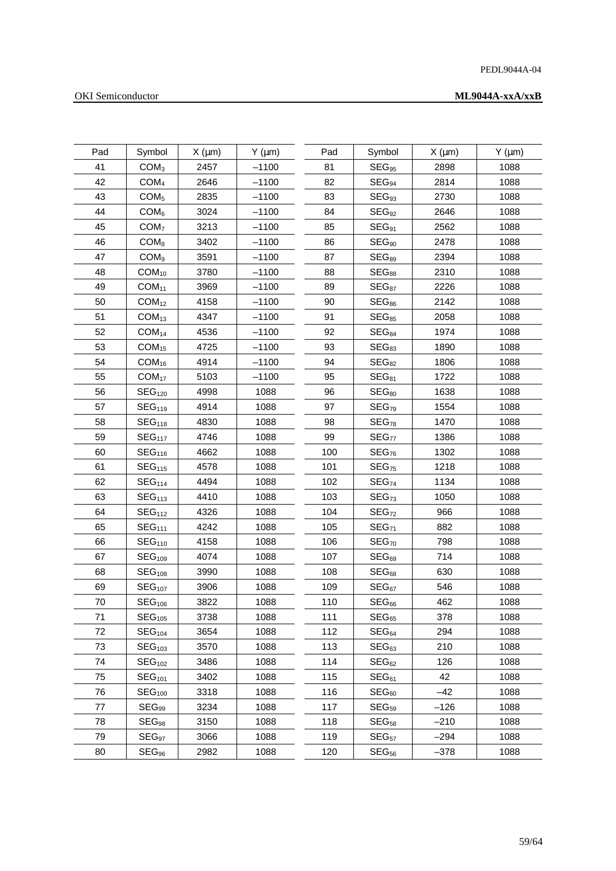## PEDL9044A-04

## OKI Semiconductor

| Pad | Symbol             | $X \text{ (µm)}$ | $Y$ ( $\mu$ m) | Pad | Symbol              | $X \text{ (µm)}$ | $Y$ ( $\mu$ m) |
|-----|--------------------|------------------|----------------|-----|---------------------|------------------|----------------|
| 41  | COM <sub>3</sub>   | 2457             | $-1100$        | 81  | $SEG_{95}$          | 2898             | 1088           |
| 42  | COM <sub>4</sub>   | 2646             | $-1100$        | 82  | $SEG_{94}$          | 2814             | 1088           |
| 43  | COM <sub>5</sub>   | 2835             | $-1100$        | 83  | SEG <sub>93</sub>   | 2730             | 1088           |
| 44  | COM <sub>6</sub>   | 3024             | $-1100$        | 84  | SEG <sub>92</sub>   | 2646             | 1088           |
| 45  | COM <sub>7</sub>   | 3213             | $-1100$        | 85  | $SEG_{91}$          | 2562             | 1088           |
| 46  | COM <sub>8</sub>   | 3402             | $-1100$        | 86  | SEG <sub>90</sub>   | 2478             | 1088           |
| 47  | COM <sub>9</sub>   | 3591             | $-1100$        | 87  | $SEG_{89}$          | 2394             | 1088           |
| 48  | $COM_{10}$         | 3780             | $-1100$        | 88  | SEG <sub>88</sub>   | 2310             | 1088           |
| 49  | COM <sub>11</sub>  | 3969             | $-1100$        | 89  | $SEG_{87}$          | 2226             | 1088           |
| 50  | COM <sub>12</sub>  | 4158             | $-1100$        | 90  | $SEG_{86}$          | 2142             | 1088           |
| 51  | COM <sub>13</sub>  | 4347             | $-1100$        | 91  | SEG <sub>85</sub>   | 2058             | 1088           |
| 52  | COM <sub>14</sub>  | 4536             | $-1100$        | 92  | $\mathsf{SEG}_{84}$ | 1974             | 1088           |
| 53  | COM <sub>15</sub>  | 4725             | $-1100$        | 93  | SEG <sub>83</sub>   | 1890             | 1088           |
| 54  | $COM_{16}$         | 4914             | $-1100$        | 94  | SEG <sub>82</sub>   | 1806             | 1088           |
| 55  | COM <sub>17</sub>  | 5103             | $-1100$        | 95  | SEG <sub>81</sub>   | 1722             | 1088           |
| 56  | SEG <sub>120</sub> | 4998             | 1088           | 96  | SEG <sub>80</sub>   | 1638             | 1088           |
| 57  | SEG <sub>119</sub> | 4914             | 1088           | 97  | SEG <sub>79</sub>   | 1554             | 1088           |
| 58  | SEG <sub>118</sub> | 4830             | 1088           | 98  | SEG <sub>78</sub>   | 1470             | 1088           |
| 59  | SEG <sub>117</sub> | 4746             | 1088           | 99  | SEG <sub>77</sub>   | 1386             | 1088           |
| 60  | SEG <sub>116</sub> | 4662             | 1088           | 100 | SEG <sub>76</sub>   | 1302             | 1088           |
| 61  | SEG <sub>115</sub> | 4578             | 1088           | 101 | SEG <sub>75</sub>   | 1218             | 1088           |
| 62  | SEG <sub>114</sub> | 4494             | 1088           | 102 | SEG <sub>74</sub>   | 1134             | 1088           |
| 63  | SEG <sub>113</sub> | 4410             | 1088           | 103 | SEG <sub>73</sub>   | 1050             | 1088           |
| 64  | SEG <sub>112</sub> | 4326             | 1088           | 104 | SEG <sub>72</sub>   | 966              | 1088           |
| 65  | SEG <sub>111</sub> | 4242             | 1088           | 105 | SEG <sub>71</sub>   | 882              | 1088           |
| 66  | SEG <sub>110</sub> | 4158             | 1088           | 106 | SEG <sub>70</sub>   | 798              | 1088           |
| 67  | SEG <sub>109</sub> | 4074             | 1088           | 107 | SEG <sub>69</sub>   | 714              | 1088           |
| 68  | SEG <sub>108</sub> | 3990             | 1088           | 108 | SEG <sub>68</sub>   | 630              | 1088           |
| 69  | SEG <sub>107</sub> | 3906             | 1088           | 109 | SEG <sub>67</sub>   | 546              | 1088           |
| 70  | SEG <sub>106</sub> | 3822             | 1088           | 110 | SEG <sub>66</sub>   | 462              | 1088           |
| 71  | SEG <sub>105</sub> | 3738             | 1088           | 111 | SEG <sub>65</sub>   | 378              | 1088           |
| 72  | SEG <sub>104</sub> | 3654             | 1088           | 112 | SEG <sub>64</sub>   | 294              | 1088           |
| 73  | SEG <sub>103</sub> | 3570             | 1088           | 113 | SEG <sub>63</sub>   | 210              | 1088           |
| 74  | SEG <sub>102</sub> | 3486             | 1088           | 114 | SEG <sub>62</sub>   | 126              | 1088           |
| 75  | SEG <sub>101</sub> | 3402             | 1088           | 115 | SEG <sub>61</sub>   | 42               | 1088           |
| 76  | SEG <sub>100</sub> | 3318             | 1088           | 116 | SEG <sub>60</sub>   | $-42$            | 1088           |
| 77  | $SEG_{99}$         | 3234             | 1088           | 117 | SEG <sub>59</sub>   | $-126$           | 1088           |
| 78  | $SEG_{98}$         | 3150             | 1088           | 118 | SEG <sub>58</sub>   | $-210$           | 1088           |
| 79  | SEG <sub>97</sub>  | 3066             | 1088           | 119 | SEG <sub>57</sub>   | $-294$           | 1088           |
| 80  | $SEG_{96}$         | 2982             | 1088           | 120 | SEG <sub>56</sub>   | $-378$           | 1088           |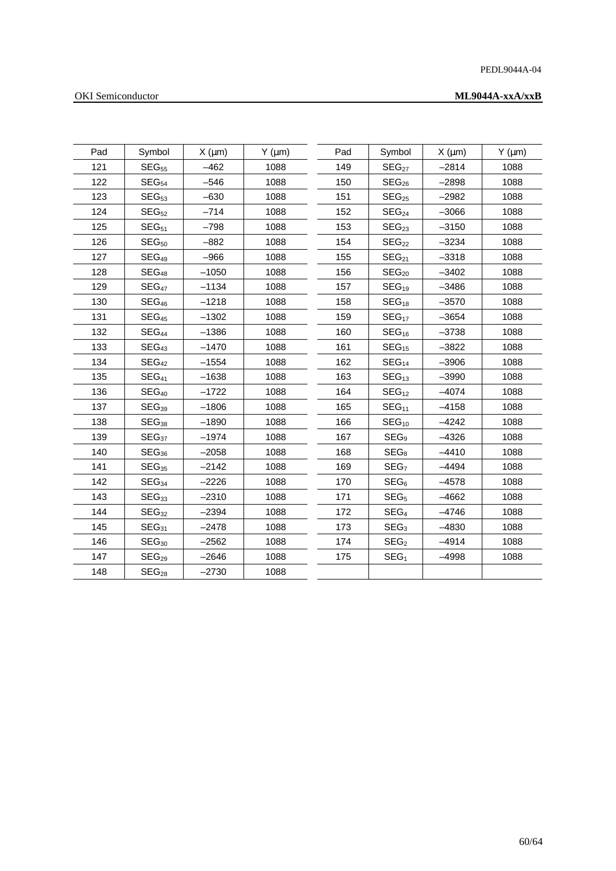## PEDL9044A-04

## OKI Semiconductor

| Pad | Symbol            | $X$ ( $\mu$ m) | $Y$ ( $\mu$ m) | Pad | Symbol            | $X \text{ (µm)}$ | $Y$ ( $\mu$ m) |
|-----|-------------------|----------------|----------------|-----|-------------------|------------------|----------------|
| 121 | SEG <sub>55</sub> | $-462$         | 1088           | 149 | SEG <sub>27</sub> | $-2814$          | 1088           |
| 122 | SEG <sub>54</sub> | $-546$         | 1088           | 150 | SEG <sub>26</sub> | $-2898$          | 1088           |
| 123 | SEG <sub>53</sub> | $-630$         | 1088           | 151 | SEG <sub>25</sub> | $-2982$          | 1088           |
| 124 | SEG <sub>52</sub> | $-714$         | 1088           | 152 | SEG <sub>24</sub> | $-3066$          | 1088           |
| 125 | SEG <sub>51</sub> | $-798$         | 1088           | 153 | SEG <sub>23</sub> | $-3150$          | 1088           |
| 126 | SEG <sub>50</sub> | $-882$         | 1088           | 154 | SEG <sub>22</sub> | $-3234$          | 1088           |
| 127 | SEG <sub>49</sub> | $-966$         | 1088           | 155 | SEG <sub>21</sub> | $-3318$          | 1088           |
| 128 | SEG <sub>48</sub> | $-1050$        | 1088           | 156 | SEG <sub>20</sub> | $-3402$          | 1088           |
| 129 | SEG <sub>47</sub> | $-1134$        | 1088           | 157 | SEG <sub>19</sub> | $-3486$          | 1088           |
| 130 | SEG <sub>46</sub> | $-1218$        | 1088           | 158 | SEG <sub>18</sub> | $-3570$          | 1088           |
| 131 | SEG <sub>45</sub> | $-1302$        | 1088           | 159 | SEG <sub>17</sub> | $-3654$          | 1088           |
| 132 | SEG <sub>44</sub> | $-1386$        | 1088           | 160 | SEG <sub>16</sub> | $-3738$          | 1088           |
| 133 | SEG <sub>43</sub> | $-1470$        | 1088           | 161 | SEG <sub>15</sub> | $-3822$          | 1088           |
| 134 | SEG <sub>42</sub> | $-1554$        | 1088           | 162 | SEG <sub>14</sub> | $-3906$          | 1088           |
| 135 | SEG <sub>41</sub> | $-1638$        | 1088           | 163 | SEG <sub>13</sub> | $-3990$          | 1088           |
| 136 | SEG <sub>40</sub> | $-1722$        | 1088           | 164 | SEG <sub>12</sub> | $-4074$          | 1088           |
| 137 | SEG <sub>39</sub> | $-1806$        | 1088           | 165 | SEG <sub>11</sub> | $-4158$          | 1088           |
| 138 | SEG <sub>38</sub> | $-1890$        | 1088           | 166 | SEG <sub>10</sub> | $-4242$          | 1088           |
| 139 | SEG <sub>37</sub> | $-1974$        | 1088           | 167 | SEG <sub>9</sub>  | $-4326$          | 1088           |
| 140 | SEG <sub>36</sub> | $-2058$        | 1088           | 168 | $SEG_8$           | $-4410$          | 1088           |
| 141 | SEG <sub>35</sub> | $-2142$        | 1088           | 169 | SEG <sub>7</sub>  | $-4494$          | 1088           |
| 142 | SEG <sub>34</sub> | $-2226$        | 1088           | 170 | SEG <sub>6</sub>  | $-4578$          | 1088           |
| 143 | SEG <sub>33</sub> | $-2310$        | 1088           | 171 | SEG <sub>5</sub>  | $-4662$          | 1088           |
| 144 | SEG <sub>32</sub> | $-2394$        | 1088           | 172 | SEG <sub>4</sub>  | $-4746$          | 1088           |
| 145 | SEG <sub>31</sub> | $-2478$        | 1088           | 173 | SEG <sub>3</sub>  | $-4830$          | 1088           |
| 146 | SEG <sub>30</sub> | $-2562$        | 1088           | 174 | SEG <sub>2</sub>  | $-4914$          | 1088           |
| 147 | SEG <sub>29</sub> | $-2646$        | 1088           | 175 | SEG <sub>1</sub>  | $-4998$          | 1088           |
| 148 | SEG <sub>28</sub> | $-2730$        | 1088           |     |                   |                  |                |
|     |                   |                |                |     |                   |                  |                |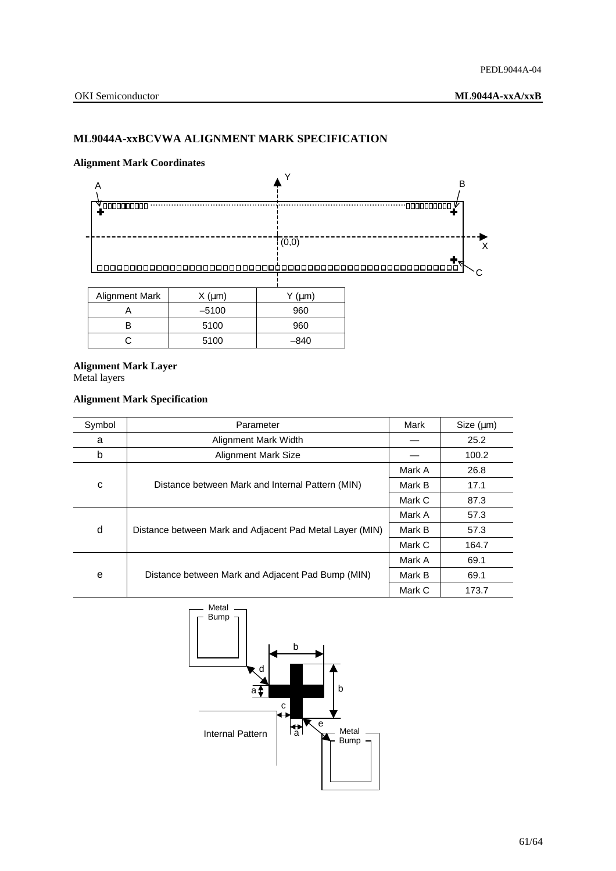## **ML9044A-xxBCVWA ALIGNMENT MARK SPECIFICATION**

### **Alignment Mark Coordinates**



## **Alignment Mark Layer**

Metal layers

## **Alignment Mark Specification**

| Symbol | Parameter                                                | Mark   | Size (µm) |
|--------|----------------------------------------------------------|--------|-----------|
| a      | Alignment Mark Width                                     |        | 25.2      |
| b      | <b>Alignment Mark Size</b>                               |        | 100.2     |
| C      |                                                          | Mark A | 26.8      |
|        | Distance between Mark and Internal Pattern (MIN)         | Mark B | 17.1      |
|        |                                                          | Mark C | 87.3      |
|        |                                                          | Mark A | 57.3      |
| d      | Distance between Mark and Adjacent Pad Metal Layer (MIN) | Mark B | 57.3      |
|        |                                                          | Mark C | 164.7     |
| e      |                                                          | Mark A | 69.1      |
|        | Distance between Mark and Adjacent Pad Bump (MIN)        | Mark B | 69.1      |
|        |                                                          | Mark C | 173.7     |

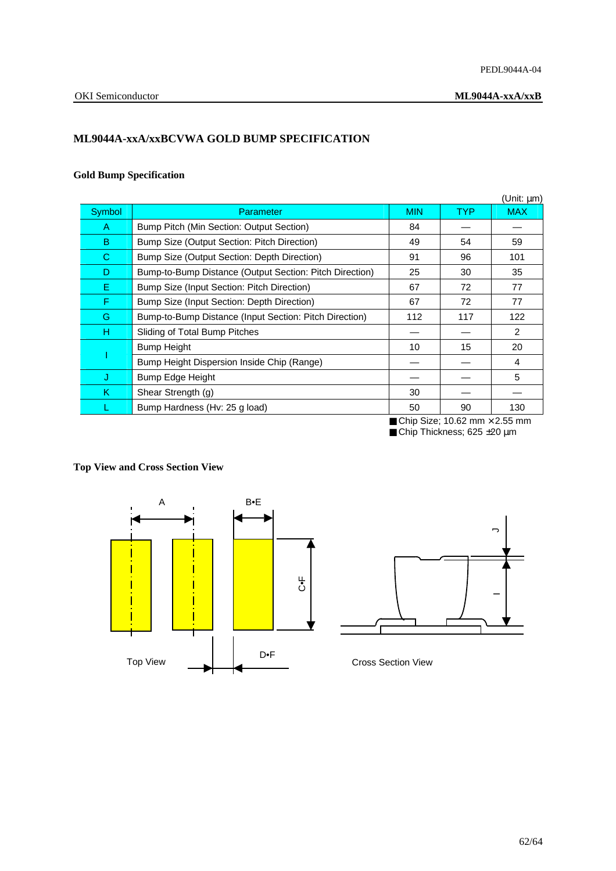## **ML9044A-xxA/xxBCVWA GOLD BUMP SPECIFICATION**

## **Gold Bump Specification**

|        |                                                         |            |                                                   | (Unit: $\mu$ m) |
|--------|---------------------------------------------------------|------------|---------------------------------------------------|-----------------|
| Symbol | Parameter                                               | <b>MIN</b> | <b>TYP</b>                                        | <b>MAX</b>      |
| A      | Bump Pitch (Min Section: Output Section)                | 84         |                                                   |                 |
| B      | Bump Size (Output Section: Pitch Direction)             | 49         | 54                                                | 59              |
| C.     | Bump Size (Output Section: Depth Direction)             | 91         | 96                                                | 101             |
| D      | Bump-to-Bump Distance (Output Section: Pitch Direction) | 25         | 30                                                | 35              |
| E.     | Bump Size (Input Section: Pitch Direction)              | 67         | 72                                                | 77              |
| F.     | Bump Size (Input Section: Depth Direction)              | 67         | 72                                                | 77              |
| G      | Bump-to-Bump Distance (Input Section: Pitch Direction)  | 112        | 117                                               | 122             |
| H      | Sliding of Total Bump Pitches                           |            |                                                   | 2               |
|        | <b>Bump Height</b>                                      | 10         | 15                                                | 20              |
|        | Bump Height Dispersion Inside Chip (Range)              |            |                                                   | 4               |
| J      | <b>Bump Edge Height</b>                                 |            |                                                   | 5               |
| Κ      | Shear Strength (g)                                      | 30         |                                                   |                 |
|        | Bump Hardness (Hv: 25 g load)                           | 50         | 90                                                | 130             |
|        |                                                         |            | $\blacksquare$ Chin Siza: 10.62 mm $\vee$ 2.55 mm |                 |

<sup>■</sup> Chip Size; 10.62 mm  $\times$  2.55 mm ■ Chip Thickness; 625 ±20 μm

# **Top View and Cross Section View**



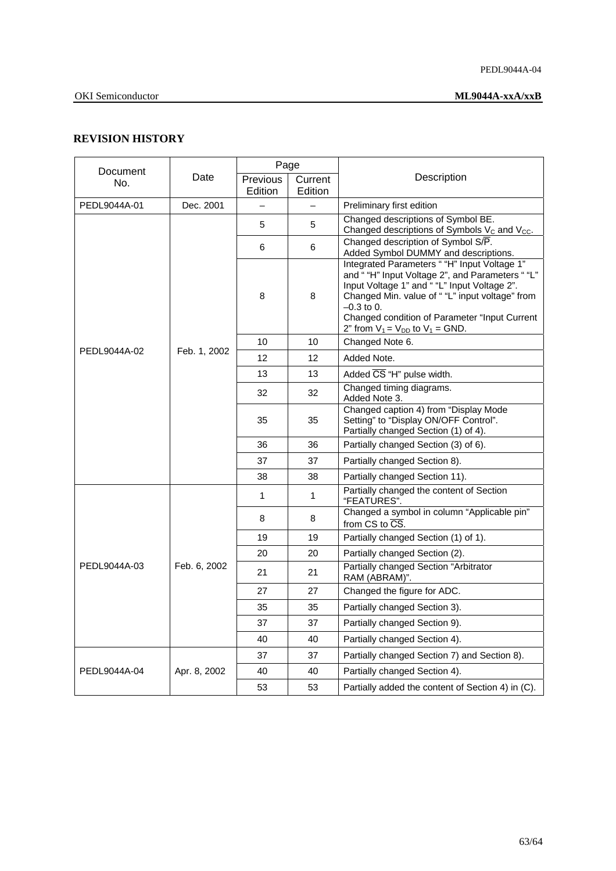## **REVISION HISTORY**

| Document     | Date         | Page     |         |                                                                                                                                                                                                                                                                                                             |  |
|--------------|--------------|----------|---------|-------------------------------------------------------------------------------------------------------------------------------------------------------------------------------------------------------------------------------------------------------------------------------------------------------------|--|
| No.          |              | Previous | Current | Description                                                                                                                                                                                                                                                                                                 |  |
|              |              | Edition  | Edition |                                                                                                                                                                                                                                                                                                             |  |
| PEDL9044A-01 | Dec. 2001    |          |         | Preliminary first edition                                                                                                                                                                                                                                                                                   |  |
|              |              | 5        | 5       | Changed descriptions of Symbol BE.<br>Changed descriptions of Symbols V <sub>c</sub> and V <sub>cc</sub> .                                                                                                                                                                                                  |  |
|              |              | 6        | 6       | Changed description of Symbol S/P.<br>Added Symbol DUMMY and descriptions.                                                                                                                                                                                                                                  |  |
|              |              | 8        | 8       | Integrated Parameters " "H" Input Voltage 1"<br>and ""H" Input Voltage 2", and Parameters ""L"<br>Input Voltage 1" and ""L" Input Voltage 2".<br>Changed Min. value of ""L" input voltage" from<br>$-0.3$ to 0.<br>Changed condition of Parameter "Input Current<br>2" from $V_1 = V_{DD}$ to $V_1 = GND$ . |  |
|              |              | 10       | 10      | Changed Note 6.                                                                                                                                                                                                                                                                                             |  |
| PEDL9044A-02 | Feb. 1, 2002 | 12       | 12      | Added Note.                                                                                                                                                                                                                                                                                                 |  |
|              |              | 13       | 13      | Added CS "H" pulse width.                                                                                                                                                                                                                                                                                   |  |
|              |              | 32       | 32      | Changed timing diagrams.<br>Added Note 3.                                                                                                                                                                                                                                                                   |  |
|              |              | 35       | 35      | Changed caption 4) from "Display Mode<br>Setting" to "Display ON/OFF Control".<br>Partially changed Section (1) of 4).                                                                                                                                                                                      |  |
|              |              | 36       | 36      | Partially changed Section (3) of 6).                                                                                                                                                                                                                                                                        |  |
|              |              | 37       | 37      | Partially changed Section 8).                                                                                                                                                                                                                                                                               |  |
|              |              | 38       | 38      | Partially changed Section 11).                                                                                                                                                                                                                                                                              |  |
|              | Feb. 6, 2002 | 1        | 1       | Partially changed the content of Section<br>"FEATURES".                                                                                                                                                                                                                                                     |  |
|              |              | 8        | 8       | Changed a symbol in column "Applicable pin"<br>from CS to CS.                                                                                                                                                                                                                                               |  |
|              |              | 19       | 19      | Partially changed Section (1) of 1).                                                                                                                                                                                                                                                                        |  |
|              |              | 20       | 20      | Partially changed Section (2).                                                                                                                                                                                                                                                                              |  |
| PEDL9044A-03 |              | 21       | 21      | Partially changed Section "Arbitrator<br>RAM (ABRAM)".                                                                                                                                                                                                                                                      |  |
|              |              | 27       | 27      | Changed the figure for ADC.                                                                                                                                                                                                                                                                                 |  |
|              |              | 35       | 35      | Partially changed Section 3).                                                                                                                                                                                                                                                                               |  |
|              |              | 37       | 37      | Partially changed Section 9).                                                                                                                                                                                                                                                                               |  |
|              |              | 40       | 40      | Partially changed Section 4).                                                                                                                                                                                                                                                                               |  |
|              |              | 37       | 37      | Partially changed Section 7) and Section 8).                                                                                                                                                                                                                                                                |  |
| PEDL9044A-04 | Apr. 8, 2002 | 40       | 40      | Partially changed Section 4).                                                                                                                                                                                                                                                                               |  |
|              |              | 53       | 53      | Partially added the content of Section 4) in (C).                                                                                                                                                                                                                                                           |  |